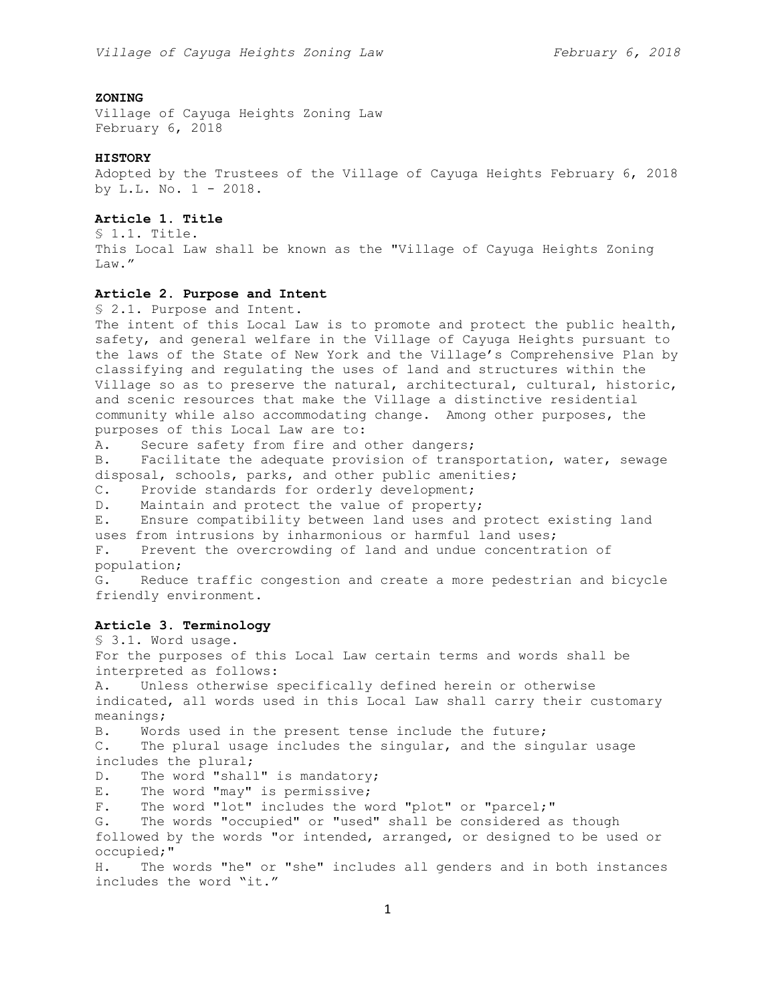# **ZONING**

Village of Cayuga Heights Zoning Law February 6, 2018

#### **HISTORY**

Adopted by the Trustees of the Village of Cayuga Heights February 6, 2018 by L.L. No. 1 - 2018.

# **Article 1. Title**

§ 1.1. Title. This Local Law shall be known as the "Village of Cayuga Heights Zoning Law."

# **Article 2. Purpose and Intent**

§ 2.1. Purpose and Intent.

The intent of this Local Law is to promote and protect the public health, safety, and general welfare in the Village of Cayuga Heights pursuant to the laws of the State of New York and the Village's Comprehensive Plan by classifying and regulating the uses of land and structures within the Village so as to preserve the natural, architectural, cultural, historic, and scenic resources that make the Village a distinctive residential community while also accommodating change. Among other purposes, the purposes of this Local Law are to:

A. Secure safety from fire and other dangers;

B. Facilitate the adequate provision of transportation, water, sewage disposal, schools, parks, and other public amenities;

C. Provide standards for orderly development;

D. Maintain and protect the value of property;

E. Ensure compatibility between land uses and protect existing land uses from intrusions by inharmonious or harmful land uses;

F. Prevent the overcrowding of land and undue concentration of population;

G. Reduce traffic congestion and create a more pedestrian and bicycle friendly environment.

# **Article 3. Terminology**

§ 3.1. Word usage.

For the purposes of this Local Law certain terms and words shall be interpreted as follows:

A. Unless otherwise specifically defined herein or otherwise indicated, all words used in this Local Law shall carry their customary meanings;

B. Words used in the present tense include the future;

C. The plural usage includes the singular, and the singular usage includes the plural;

D. The word "shall" is mandatory;

E. The word "may" is permissive;

F. The word "lot" includes the word "plot" or "parcel;"

G. The words "occupied" or "used" shall be considered as though followed by the words "or intended, arranged, or designed to be used or

occupied;"

H. The words "he" or "she" includes all genders and in both instances includes the word "it."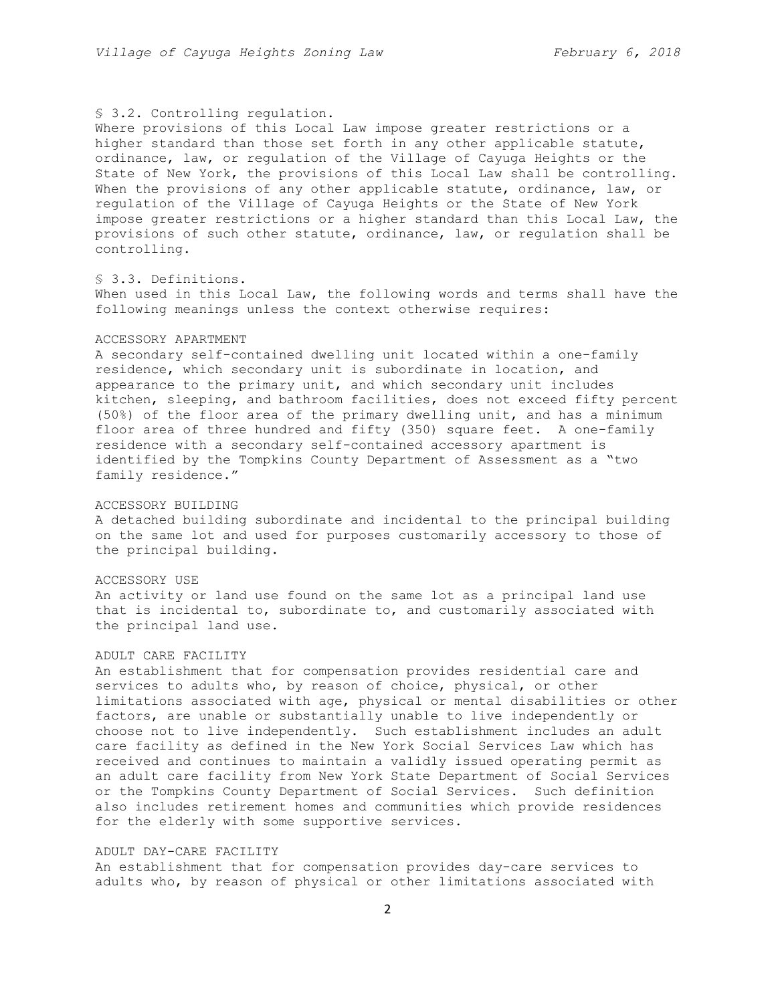# § 3.2. Controlling regulation.

Where provisions of this Local Law impose greater restrictions or a higher standard than those set forth in any other applicable statute, ordinance, law, or regulation of the Village of Cayuga Heights or the State of New York, the provisions of this Local Law shall be controlling. When the provisions of any other applicable statute, ordinance, law, or regulation of the Village of Cayuga Heights or the State of New York impose greater restrictions or a higher standard than this Local Law, the provisions of such other statute, ordinance, law, or regulation shall be controlling.

# § 3.3. Definitions.

When used in this Local Law, the following words and terms shall have the following meanings unless the context otherwise requires:

#### ACCESSORY APARTMENT

A secondary self-contained dwelling unit located within a one-family residence, which secondary unit is subordinate in location, and appearance to the primary unit, and which secondary unit includes kitchen, sleeping, and bathroom facilities, does not exceed fifty percent (50%) of the floor area of the primary dwelling unit, and has a minimum floor area of three hundred and fifty (350) square feet. A one-family residence with a secondary self-contained accessory apartment is identified by the Tompkins County Department of Assessment as a "two family residence."

## ACCESSORY BUILDING

A detached building subordinate and incidental to the principal building on the same lot and used for purposes customarily accessory to those of the principal building.

# ACCESSORY USE

An activity or land use found on the same lot as a principal land use that is incidental to, subordinate to, and customarily associated with the principal land use.

## ADULT CARE FACILITY

An establishment that for compensation provides residential care and services to adults who, by reason of choice, physical, or other limitations associated with age, physical or mental disabilities or other factors, are unable or substantially unable to live independently or choose not to live independently. Such establishment includes an adult care facility as defined in the New York Social Services Law which has received and continues to maintain a validly issued operating permit as an adult care facility from New York State Department of Social Services or the Tompkins County Department of Social Services. Such definition also includes retirement homes and communities which provide residences for the elderly with some supportive services.

# ADULT DAY-CARE FACILITY

An establishment that for compensation provides day-care services to adults who, by reason of physical or other limitations associated with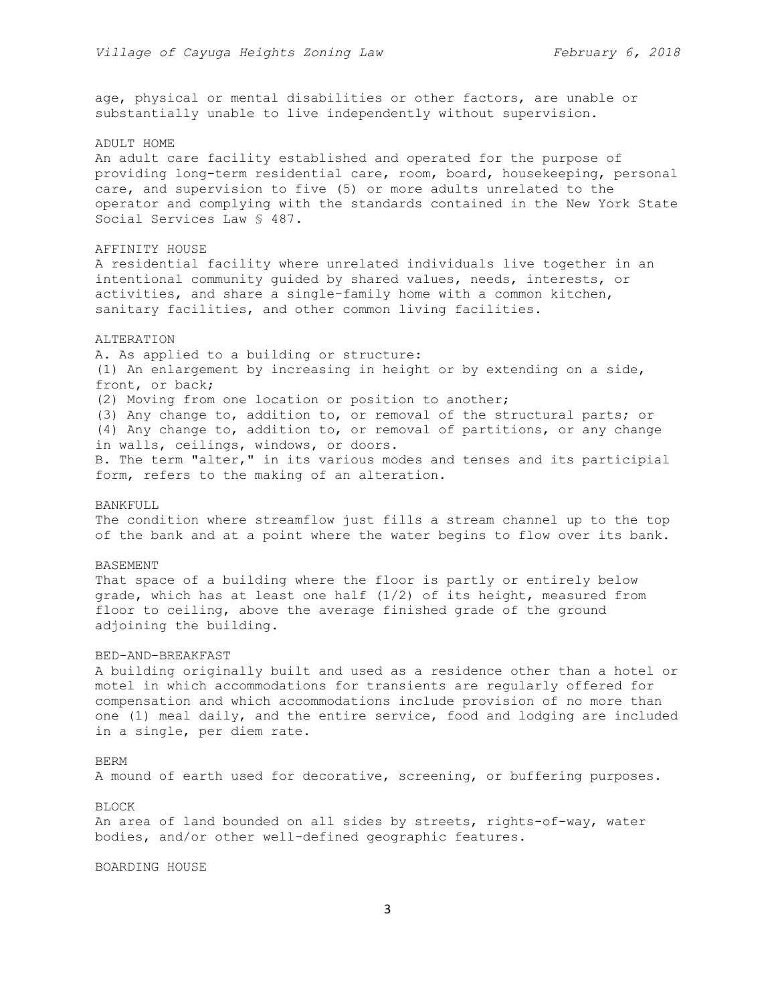age, physical or mental disabilities or other factors, are unable or substantially unable to live independently without supervision.

#### ADULT HOME

An adult care facility established and operated for the purpose of providing long-term residential care, room, board, housekeeping, personal care, and supervision to five (5) or more adults unrelated to the operator and complying with the standards contained in the New York State Social Services Law § 487.

#### AFFINITY HOUSE

A residential facility where unrelated individuals live together in an intentional community guided by shared values, needs, interests, or activities, and share a single-family home with a common kitchen, sanitary facilities, and other common living facilities.

#### ALTERATION

A. As applied to a building or structure: (1) An enlargement by increasing in height or by extending on a side, front, or back; (2) Moving from one location or position to another; (3) Any change to, addition to, or removal of the structural parts; or (4) Any change to, addition to, or removal of partitions, or any change in walls, ceilings, windows, or doors. B. The term "alter," in its various modes and tenses and its participial form, refers to the making of an alteration.

#### BANKFULL

The condition where streamflow just fills a stream channel up to the top of the bank and at a point where the water begins to flow over its bank.

## BASEMENT

That space of a building where the floor is partly or entirely below grade, which has at least one half  $(1/2)$  of its height, measured from floor to ceiling, above the average finished grade of the ground adjoining the building.

#### BED-AND-BREAKFAST

A building originally built and used as a residence other than a hotel or motel in which accommodations for transients are regularly offered for compensation and which accommodations include provision of no more than one (1) meal daily, and the entire service, food and lodging are included in a single, per diem rate.

## BERM

A mound of earth used for decorative, screening, or buffering purposes.

#### BLOCK

An area of land bounded on all sides by streets, rights-of-way, water bodies, and/or other well-defined geographic features.

## BOARDING HOUSE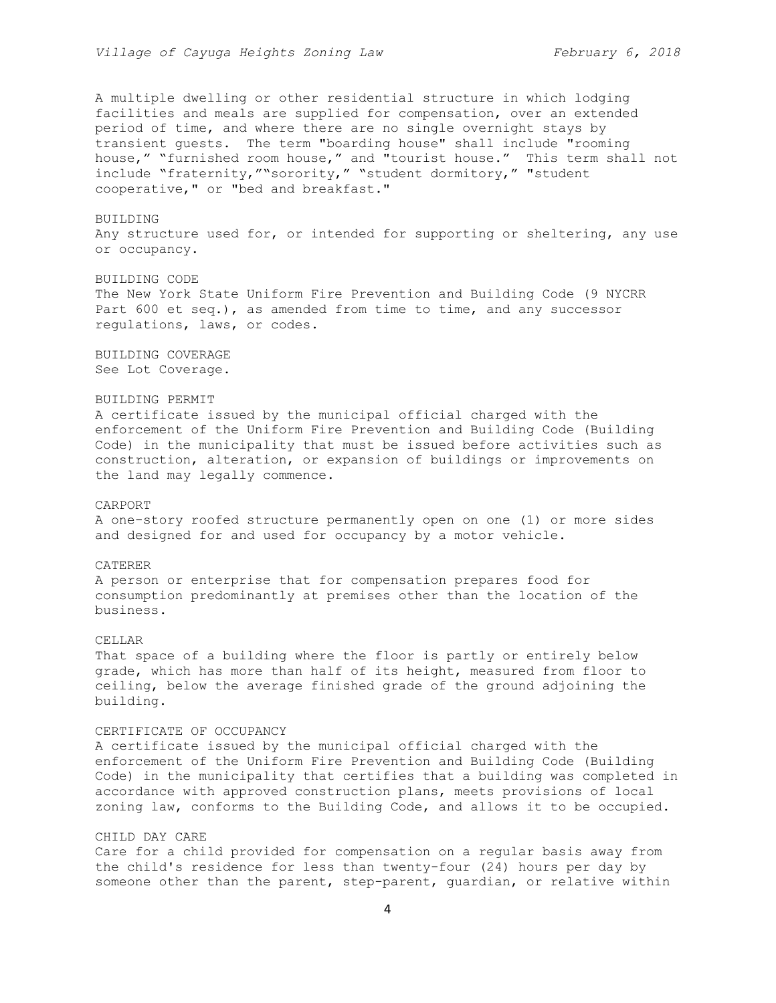A multiple dwelling or other residential structure in which lodging facilities and meals are supplied for compensation, over an extended period of time, and where there are no single overnight stays by transient guests. The term "boarding house" shall include "rooming house," "furnished room house," and "tourist house." This term shall not include "fraternity,""sorority," "student dormitory," "student cooperative," or "bed and breakfast."

## BUILDING

Any structure used for, or intended for supporting or sheltering, any use or occupancy.

## BUILDING CODE

The New York State Uniform Fire Prevention and Building Code (9 NYCRR Part 600 et seq.), as amended from time to time, and any successor regulations, laws, or codes.

BUILDING COVERAGE See Lot Coverage.

## BUILDING PERMIT

A certificate issued by the municipal official charged with the enforcement of the Uniform Fire Prevention and Building Code (Building Code) in the municipality that must be issued before activities such as construction, alteration, or expansion of buildings or improvements on the land may legally commence.

## CARPORT

A one-story roofed structure permanently open on one (1) or more sides and designed for and used for occupancy by a motor vehicle.

## CATERER

A person or enterprise that for compensation prepares food for consumption predominantly at premises other than the location of the business.

## CELLAR

That space of a building where the floor is partly or entirely below grade, which has more than half of its height, measured from floor to ceiling, below the average finished grade of the ground adjoining the building.

## CERTIFICATE OF OCCUPANCY

A certificate issued by the municipal official charged with the enforcement of the Uniform Fire Prevention and Building Code (Building Code) in the municipality that certifies that a building was completed in accordance with approved construction plans, meets provisions of local zoning law, conforms to the Building Code, and allows it to be occupied.

# CHILD DAY CARE

Care for a child provided for compensation on a regular basis away from the child's residence for less than twenty-four (24) hours per day by someone other than the parent, step-parent, guardian, or relative within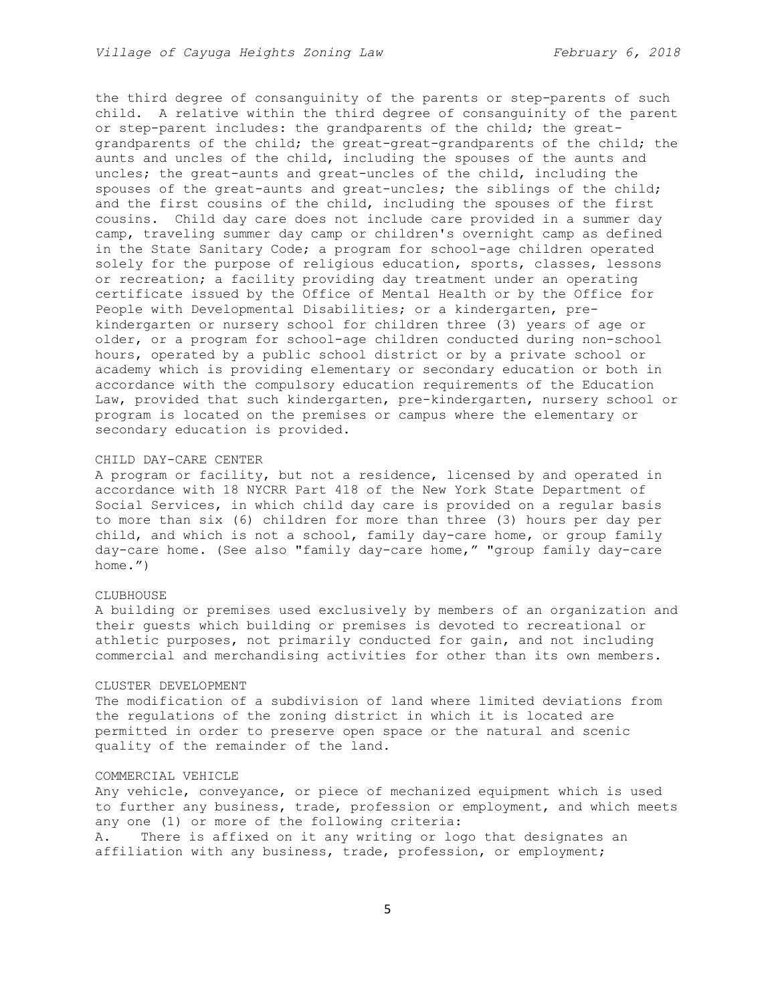the third degree of consanguinity of the parents or step-parents of such child. A relative within the third degree of consanguinity of the parent or step-parent includes: the grandparents of the child; the greatgrandparents of the child; the great-great-grandparents of the child; the aunts and uncles of the child, including the spouses of the aunts and uncles; the great-aunts and great-uncles of the child, including the spouses of the great-aunts and great-uncles; the siblings of the child; and the first cousins of the child, including the spouses of the first cousins. Child day care does not include care provided in a summer day camp, traveling summer day camp or children's overnight camp as defined in the State Sanitary Code; a program for school-age children operated solely for the purpose of religious education, sports, classes, lessons or recreation; a facility providing day treatment under an operating certificate issued by the Office of Mental Health or by the Office for People with Developmental Disabilities; or a kindergarten, prekindergarten or nursery school for children three (3) years of age or older, or a program for school-age children conducted during non-school hours, operated by a public school district or by a private school or academy which is providing elementary or secondary education or both in accordance with the compulsory education requirements of the Education Law, provided that such kindergarten, pre-kindergarten, nursery school or program is located on the premises or campus where the elementary or secondary education is provided.

# CHILD DAY-CARE CENTER

A program or facility, but not a residence, licensed by and operated in accordance with 18 NYCRR Part 418 of the New York State Department of Social Services, in which child day care is provided on a regular basis to more than six (6) children for more than three (3) hours per day per child, and which is not a school, family day-care home, or group family day-care home. (See also "family day-care home," "group family day-care home.")

## CLUBHOUSE.

A building or premises used exclusively by members of an organization and their guests which building or premises is devoted to recreational or athletic purposes, not primarily conducted for gain, and not including commercial and merchandising activities for other than its own members.

#### CLUSTER DEVELOPMENT

The modification of a subdivision of land where limited deviations from the regulations of the zoning district in which it is located are permitted in order to preserve open space or the natural and scenic quality of the remainder of the land.

#### COMMERCIAL VEHICLE

Any vehicle, conveyance, or piece of mechanized equipment which is used to further any business, trade, profession or employment, and which meets any one (1) or more of the following criteria: A. There is affixed on it any writing or logo that designates an

affiliation with any business, trade, profession, or employment;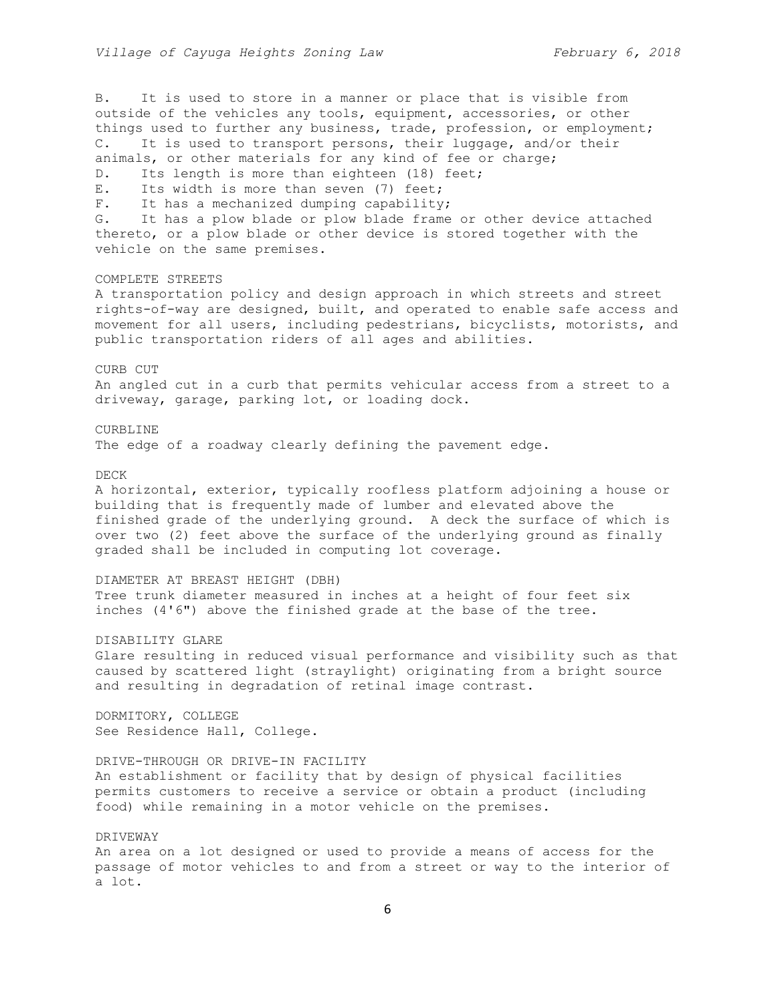B. It is used to store in a manner or place that is visible from outside of the vehicles any tools, equipment, accessories, or other things used to further any business, trade, profession, or employment; C. It is used to transport persons, their luggage, and/or their animals, or other materials for any kind of fee or charge; D. Its length is more than eighteen (18) feet; E. Its width is more than seven (7) feet; F. It has a mechanized dumping capability; G. It has a plow blade or plow blade frame or other device attached thereto, or a plow blade or other device is stored together with the vehicle on the same premises. COMPLETE STREETS A transportation policy and design approach in which streets and street rights-of-way are designed, built, and operated to enable safe access and movement for all users, including pedestrians, bicyclists, motorists, and public transportation riders of all ages and abilities. CURB CUT An angled cut in a curb that permits vehicular access from a street to a driveway, garage, parking lot, or loading dock. CURBLINE The edge of a roadway clearly defining the pavement edge. DECK A horizontal, exterior, typically roofless platform adjoining a house or building that is frequently made of lumber and elevated above the finished grade of the underlying ground. A deck the surface of which is over two (2) feet above the surface of the underlying ground as finally graded shall be included in computing lot coverage. DIAMETER AT BREAST HEIGHT (DBH) Tree trunk diameter measured in inches at a height of four feet six inches (4'6") above the finished grade at the base of the tree. DISABILITY GLARE Glare resulting in reduced visual performance and visibility such as that caused by scattered light (straylight) originating from a bright source and resulting in degradation of retinal image contrast. DORMITORY, COLLEGE See Residence Hall, College. DRIVE-THROUGH OR DRIVE-IN FACILITY An establishment or facility that by design of physical facilities permits customers to receive a service or obtain a product (including food) while remaining in a motor vehicle on the premises. DRIVEWAY An area on a lot designed or used to provide a means of access for the passage of motor vehicles to and from a street or way to the interior of a lot.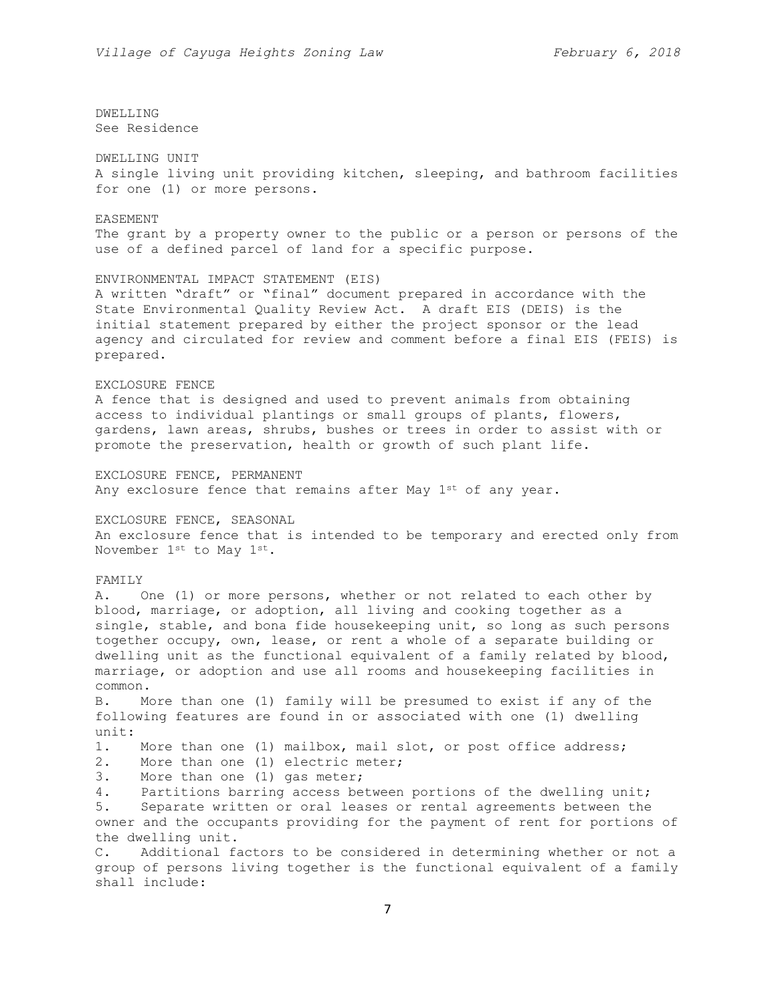DWELLING See Residence

DWELLING UNIT A single living unit providing kitchen, sleeping, and bathroom facilities for one (1) or more persons.

EASEMENT The grant by a property owner to the public or a person or persons of the use of a defined parcel of land for a specific purpose.

ENVIRONMENTAL IMPACT STATEMENT (EIS) A written "draft" or "final" document prepared in accordance with the State Environmental Quality Review Act. A draft EIS (DEIS) is the initial statement prepared by either the project sponsor or the lead agency and circulated for review and comment before a final EIS (FEIS) is prepared.

#### EXCLOSURE FENCE

A fence that is designed and used to prevent animals from obtaining access to individual plantings or small groups of plants, flowers, gardens, lawn areas, shrubs, bushes or trees in order to assist with or promote the preservation, health or growth of such plant life.

EXCLOSURE FENCE, PERMANENT Any exclosure fence that remains after May  $1^{st}$  of any year.

EXCLOSURE FENCE, SEASONAL An exclosure fence that is intended to be temporary and erected only from November 1st to May 1st.

## FAMILY

A. One (1) or more persons, whether or not related to each other by blood, marriage, or adoption, all living and cooking together as a single, stable, and bona fide housekeeping unit, so long as such persons together occupy, own, lease, or rent a whole of a separate building or dwelling unit as the functional equivalent of a family related by blood, marriage, or adoption and use all rooms and housekeeping facilities in common.

B. More than one (1) family will be presumed to exist if any of the following features are found in or associated with one (1) dwelling unit:

1. More than one (1) mailbox, mail slot, or post office address;

2. More than one (1) electric meter;

3. More than one (1) gas meter;

4. Partitions barring access between portions of the dwelling unit;

5. Separate written or oral leases or rental agreements between the owner and the occupants providing for the payment of rent for portions of the dwelling unit.

C. Additional factors to be considered in determining whether or not a group of persons living together is the functional equivalent of a family shall include: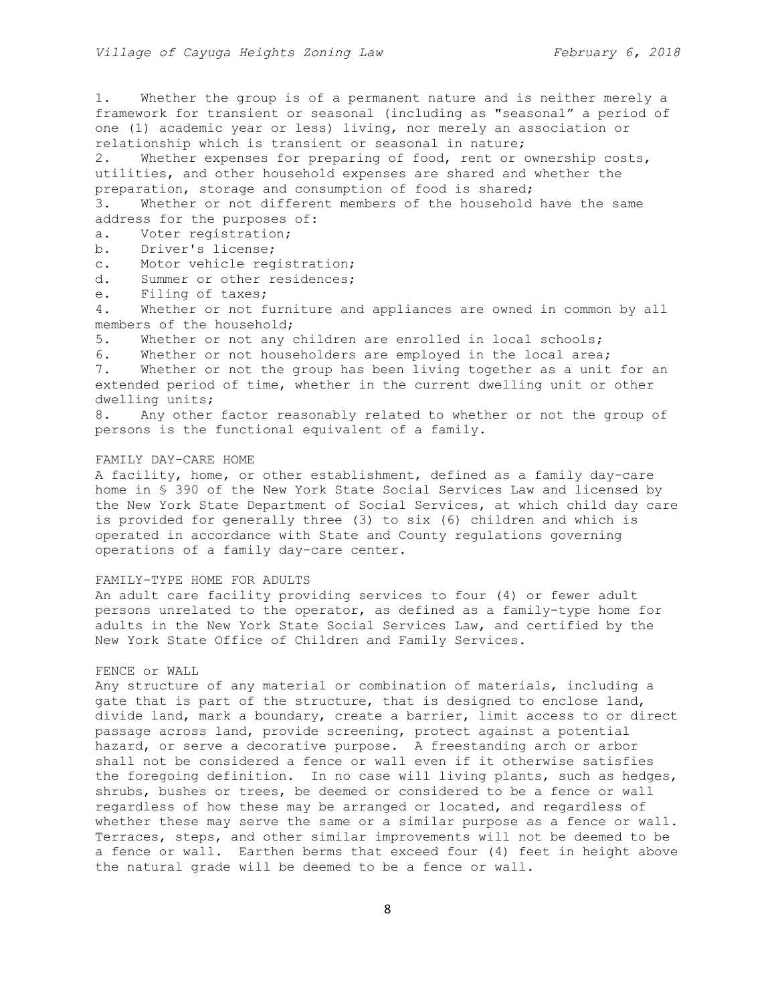1. Whether the group is of a permanent nature and is neither merely a framework for transient or seasonal (including as "seasonal" a period of one (1) academic year or less) living, nor merely an association or relationship which is transient or seasonal in nature;

2. Whether expenses for preparing of food, rent or ownership costs, utilities, and other household expenses are shared and whether the preparation, storage and consumption of food is shared;

3. Whether or not different members of the household have the same address for the purposes of:

- a. Voter registration;
- b. Driver's license;

c. Motor vehicle registration;

d. Summer or other residences;

e. Filing of taxes;

4. Whether or not furniture and appliances are owned in common by all members of the household;

5. Whether or not any children are enrolled in local schools;

6. Whether or not householders are employed in the local area;

7. Whether or not the group has been living together as a unit for an extended period of time, whether in the current dwelling unit or other dwelling units;

8. Any other factor reasonably related to whether or not the group of persons is the functional equivalent of a family.

## FAMILY DAY-CARE HOME

A facility, home, or other establishment, defined as a family day-care home in § 390 of the New York State Social Services Law and licensed by the New York State Department of Social Services, at which child day care is provided for generally three (3) to six (6) children and which is operated in accordance with State and County regulations governing operations of a family day-care center.

# FAMILY-TYPE HOME FOR ADULTS

An adult care facility providing services to four (4) or fewer adult persons unrelated to the operator, as defined as a family-type home for adults in the New York State Social Services Law, and certified by the New York State Office of Children and Family Services.

# FENCE or WALL

Any structure of any material or combination of materials, including a gate that is part of the structure, that is designed to enclose land, divide land, mark a boundary, create a barrier, limit access to or direct passage across land, provide screening, protect against a potential hazard, or serve a decorative purpose. A freestanding arch or arbor shall not be considered a fence or wall even if it otherwise satisfies the foregoing definition. In no case will living plants, such as hedges, shrubs, bushes or trees, be deemed or considered to be a fence or wall regardless of how these may be arranged or located, and regardless of whether these may serve the same or a similar purpose as a fence or wall. Terraces, steps, and other similar improvements will not be deemed to be a fence or wall. Earthen berms that exceed four (4) feet in height above the natural grade will be deemed to be a fence or wall.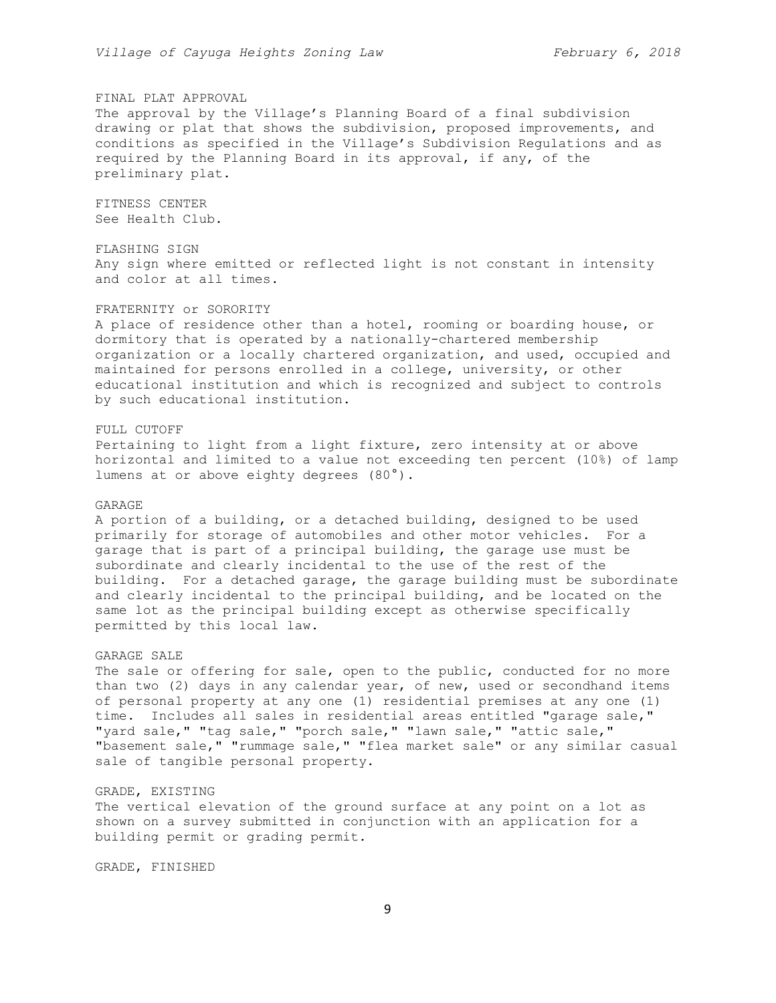## FINAL PLAT APPROVAL

The approval by the Village's Planning Board of a final subdivision drawing or plat that shows the subdivision, proposed improvements, and conditions as specified in the Village's Subdivision Regulations and as required by the Planning Board in its approval, if any, of the preliminary plat.

FITNESS CENTER See Health Club.

FLASHING SIGN Any sign where emitted or reflected light is not constant in intensity and color at all times.

# FRATERNITY or SORORITY

A place of residence other than a hotel, rooming or boarding house, or dormitory that is operated by a nationally-chartered membership organization or a locally chartered organization, and used, occupied and maintained for persons enrolled in a college, university, or other educational institution and which is recognized and subject to controls by such educational institution.

#### FULL CUTOFF

Pertaining to light from a light fixture, zero intensity at or above horizontal and limited to a value not exceeding ten percent (10%) of lamp lumens at or above eighty degrees (80°).

#### GARAGE

A portion of a building, or a detached building, designed to be used primarily for storage of automobiles and other motor vehicles. For a garage that is part of a principal building, the garage use must be subordinate and clearly incidental to the use of the rest of the building. For a detached garage, the garage building must be subordinate and clearly incidental to the principal building, and be located on the same lot as the principal building except as otherwise specifically permitted by this local law.

#### GARAGE SALE

The sale or offering for sale, open to the public, conducted for no more than two (2) days in any calendar year, of new, used or secondhand items of personal property at any one (1) residential premises at any one (1) time. Includes all sales in residential areas entitled "garage sale," "yard sale," "tag sale," "porch sale," "lawn sale," "attic sale," "basement sale," "rummage sale," "flea market sale" or any similar casual sale of tangible personal property.

## GRADE, EXISTING

The vertical elevation of the ground surface at any point on a lot as shown on a survey submitted in conjunction with an application for a building permit or grading permit.

GRADE, FINISHED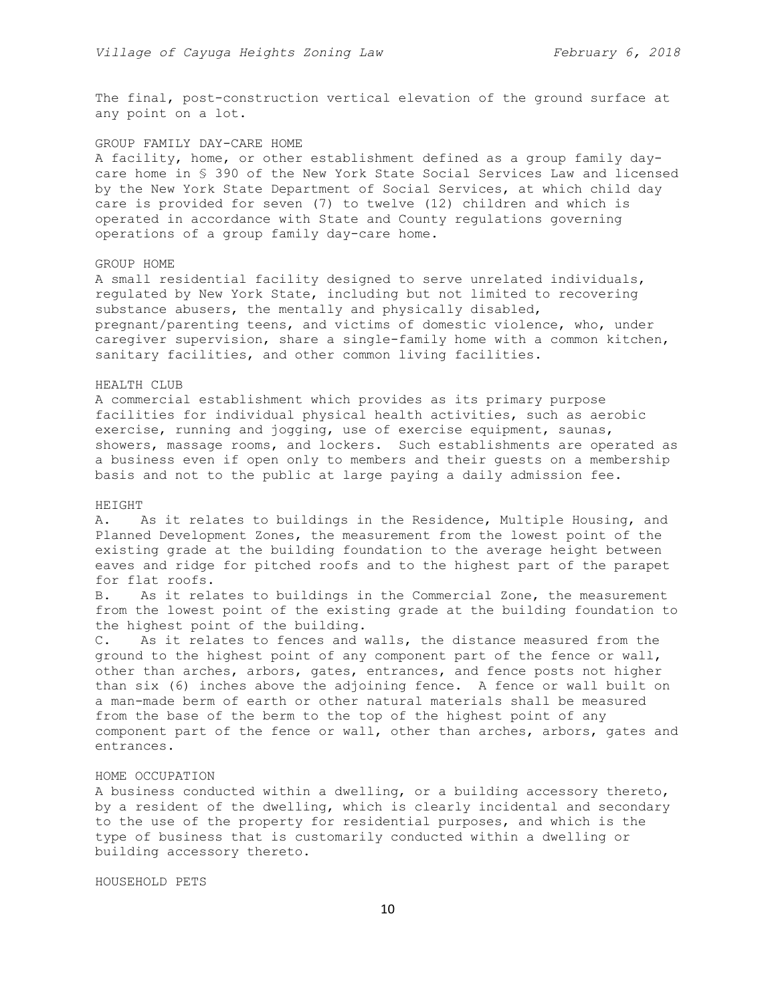The final, post-construction vertical elevation of the ground surface at any point on a lot.

## GROUP FAMILY DAY-CARE HOME

A facility, home, or other establishment defined as a group family daycare home in § 390 of the New York State Social Services Law and licensed by the New York State Department of Social Services, at which child day care is provided for seven (7) to twelve (12) children and which is operated in accordance with State and County regulations governing operations of a group family day-care home.

#### GROUP HOME

A small residential facility designed to serve unrelated individuals, regulated by New York State, including but not limited to recovering substance abusers, the mentally and physically disabled, pregnant/parenting teens, and victims of domestic violence, who, under caregiver supervision, share a single-family home with a common kitchen, sanitary facilities, and other common living facilities.

## HEALTH CLUB

A commercial establishment which provides as its primary purpose facilities for individual physical health activities, such as aerobic exercise, running and jogging, use of exercise equipment, saunas, showers, massage rooms, and lockers. Such establishments are operated as a business even if open only to members and their guests on a membership basis and not to the public at large paying a daily admission fee.

#### HEIGHT

A. As it relates to buildings in the Residence, Multiple Housing, and Planned Development Zones, the measurement from the lowest point of the existing grade at the building foundation to the average height between eaves and ridge for pitched roofs and to the highest part of the parapet for flat roofs.

B. As it relates to buildings in the Commercial Zone, the measurement from the lowest point of the existing grade at the building foundation to the highest point of the building.

C. As it relates to fences and walls, the distance measured from the ground to the highest point of any component part of the fence or wall, other than arches, arbors, gates, entrances, and fence posts not higher than six (6) inches above the adjoining fence. A fence or wall built on a man-made berm of earth or other natural materials shall be measured from the base of the berm to the top of the highest point of any component part of the fence or wall, other than arches, arbors, gates and entrances.

#### HOME OCCUPATION

A business conducted within a dwelling, or a building accessory thereto, by a resident of the dwelling, which is clearly incidental and secondary to the use of the property for residential purposes, and which is the type of business that is customarily conducted within a dwelling or building accessory thereto.

HOUSEHOLD PETS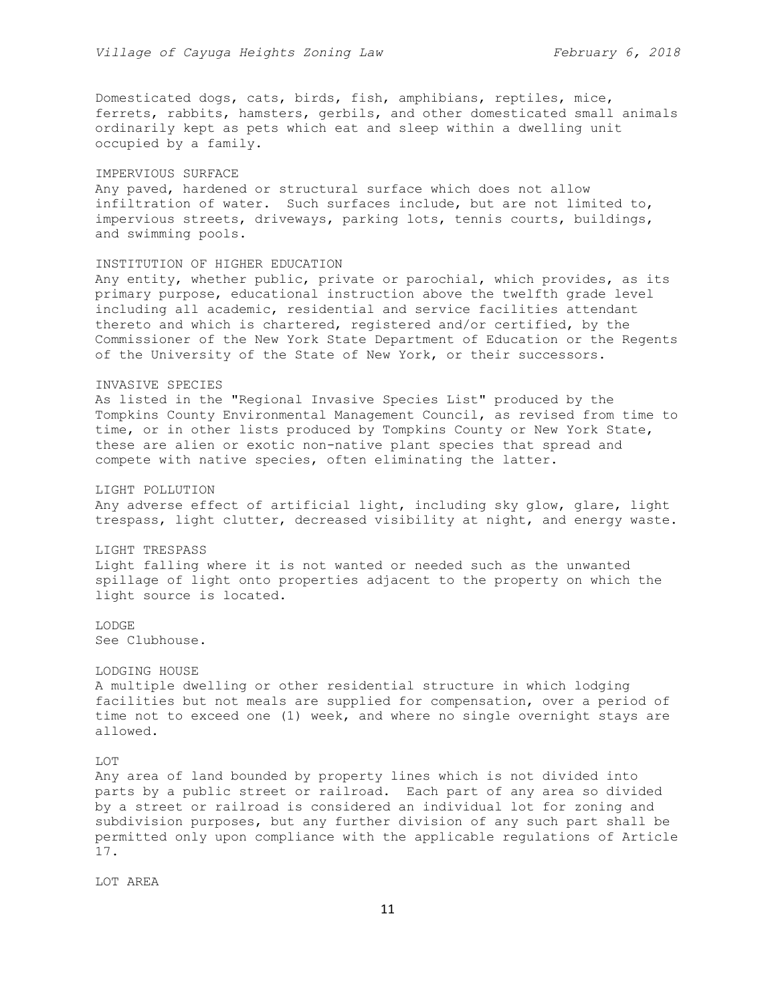Domesticated dogs, cats, birds, fish, amphibians, reptiles, mice, ferrets, rabbits, hamsters, gerbils, and other domesticated small animals ordinarily kept as pets which eat and sleep within a dwelling unit occupied by a family.

#### IMPERVIOUS SURFACE

Any paved, hardened or structural surface which does not allow infiltration of water. Such surfaces include, but are not limited to, impervious streets, driveways, parking lots, tennis courts, buildings, and swimming pools.

## INSTITUTION OF HIGHER EDUCATION

Any entity, whether public, private or parochial, which provides, as its primary purpose, educational instruction above the twelfth grade level including all academic, residential and service facilities attendant thereto and which is chartered, registered and/or certified, by the Commissioner of the New York State Department of Education or the Regents of the University of the State of New York, or their successors.

#### INVASIVE SPECIES

As listed in the "Regional Invasive Species List" produced by the Tompkins County Environmental Management Council, as revised from time to time, or in other lists produced by Tompkins County or New York State, these are alien or exotic non-native plant species that spread and compete with native species, often eliminating the latter.

## LIGHT POLLUTION

Any adverse effect of artificial light, including sky glow, glare, light trespass, light clutter, decreased visibility at night, and energy waste.

### LIGHT TRESPASS

Light falling where it is not wanted or needed such as the unwanted spillage of light onto properties adjacent to the property on which the light source is located.

## LODGE See Clubhouse.

#### LODGING HOUSE

A multiple dwelling or other residential structure in which lodging facilities but not meals are supplied for compensation, over a period of time not to exceed one (1) week, and where no single overnight stays are allowed.

#### LOT

Any area of land bounded by property lines which is not divided into parts by a public street or railroad. Each part of any area so divided by a street or railroad is considered an individual lot for zoning and subdivision purposes, but any further division of any such part shall be permitted only upon compliance with the applicable regulations of Article 17.

LOT AREA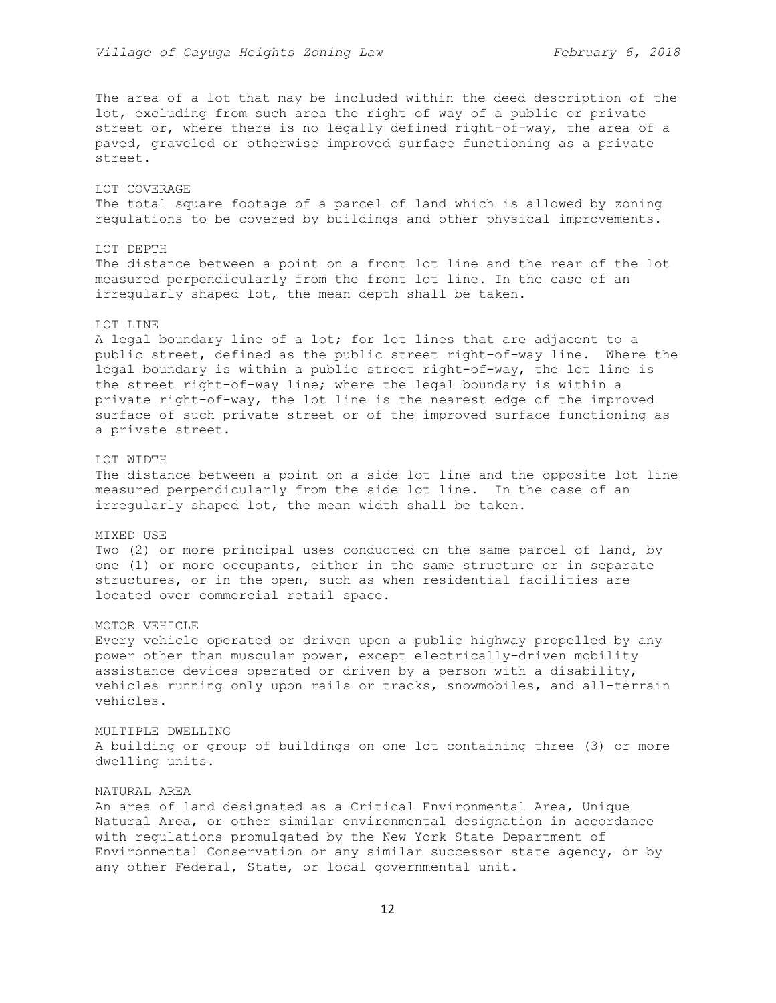The area of a lot that may be included within the deed description of the lot, excluding from such area the right of way of a public or private street or, where there is no legally defined right-of-way, the area of a paved, graveled or otherwise improved surface functioning as a private street.

# LOT COVERAGE The total square footage of a parcel of land which is allowed by zoning regulations to be covered by buildings and other physical improvements.

## LOT DEPTH

The distance between a point on a front lot line and the rear of the lot measured perpendicularly from the front lot line. In the case of an irregularly shaped lot, the mean depth shall be taken.

## LOT LINE

A legal boundary line of a lot; for lot lines that are adjacent to a public street, defined as the public street right-of-way line. Where the legal boundary is within a public street right-of-way, the lot line is the street right-of-way line; where the legal boundary is within a private right-of-way, the lot line is the nearest edge of the improved surface of such private street or of the improved surface functioning as a private street.

## LOT WIDTH

The distance between a point on a side lot line and the opposite lot line measured perpendicularly from the side lot line. In the case of an irregularly shaped lot, the mean width shall be taken.

## MIXED USE

Two (2) or more principal uses conducted on the same parcel of land, by one (1) or more occupants, either in the same structure or in separate structures, or in the open, such as when residential facilities are located over commercial retail space.

## MOTOR VEHICLE

Every vehicle operated or driven upon a public highway propelled by any power other than muscular power, except electrically-driven mobility assistance devices operated or driven by a person with a disability, vehicles running only upon rails or tracks, snowmobiles, and all-terrain vehicles.

# MULTIPLE DWELLING A building or group of buildings on one lot containing three (3) or more dwelling units.

#### NATURAL AREA

An area of land designated as a Critical Environmental Area, Unique Natural Area, or other similar environmental designation in accordance with regulations promulgated by the New York State Department of Environmental Conservation or any similar successor state agency, or by any other Federal, State, or local governmental unit.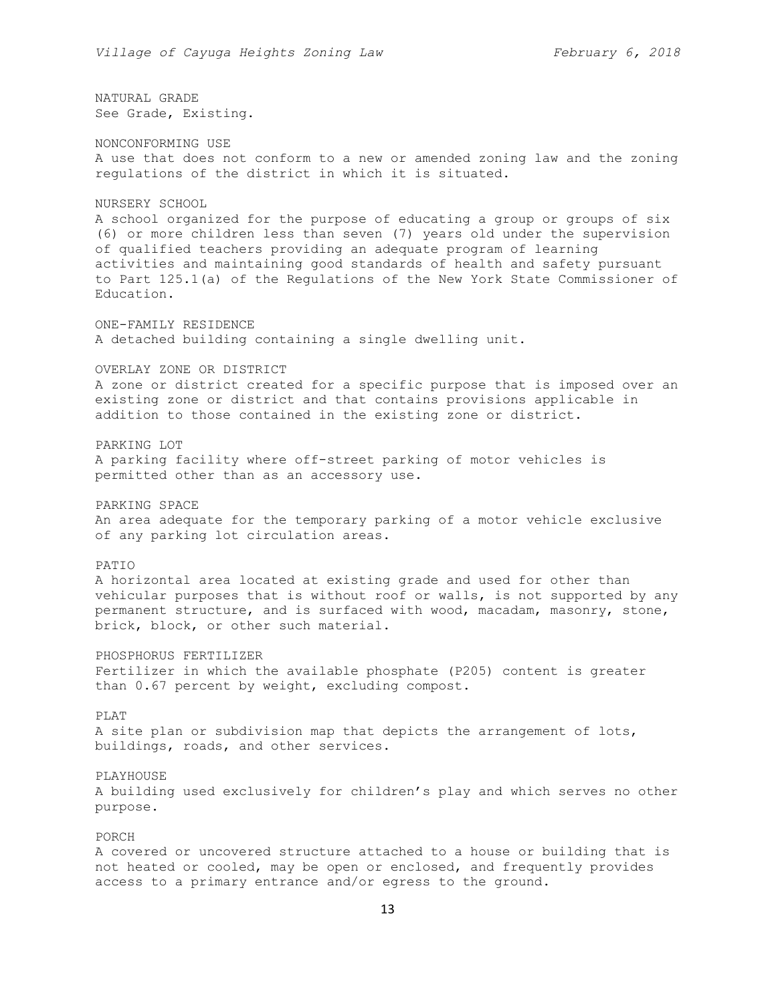NATURAL GRADE See Grade, Existing.

NONCONFORMING USE A use that does not conform to a new or amended zoning law and the zoning regulations of the district in which it is situated.

#### NURSERY SCHOOL

A school organized for the purpose of educating a group or groups of six (6) or more children less than seven (7) years old under the supervision of qualified teachers providing an adequate program of learning activities and maintaining good standards of health and safety pursuant to Part 125.1(a) of the Regulations of the New York State Commissioner of Education.

ONE-FAMILY RESIDENCE A detached building containing a single dwelling unit.

# OVERLAY ZONE OR DISTRICT

A zone or district created for a specific purpose that is imposed over an existing zone or district and that contains provisions applicable in addition to those contained in the existing zone or district.

#### PARKING LOT

A parking facility where off-street parking of motor vehicles is permitted other than as an accessory use.

#### PARKING SPACE

An area adequate for the temporary parking of a motor vehicle exclusive of any parking lot circulation areas.

## PATIO

A horizontal area located at existing grade and used for other than vehicular purposes that is without roof or walls, is not supported by any permanent structure, and is surfaced with wood, macadam, masonry, stone, brick, block, or other such material.

## PHOSPHORUS FERTILIZER

Fertilizer in which the available phosphate (P205) content is greater than 0.67 percent by weight, excluding compost.

#### PLAT

A site plan or subdivision map that depicts the arrangement of lots, buildings, roads, and other services.

#### PLAYHOUSE

A building used exclusively for children's play and which serves no other purpose.

## PORCH

A covered or uncovered structure attached to a house or building that is not heated or cooled, may be open or enclosed, and frequently provides access to a primary entrance and/or egress to the ground.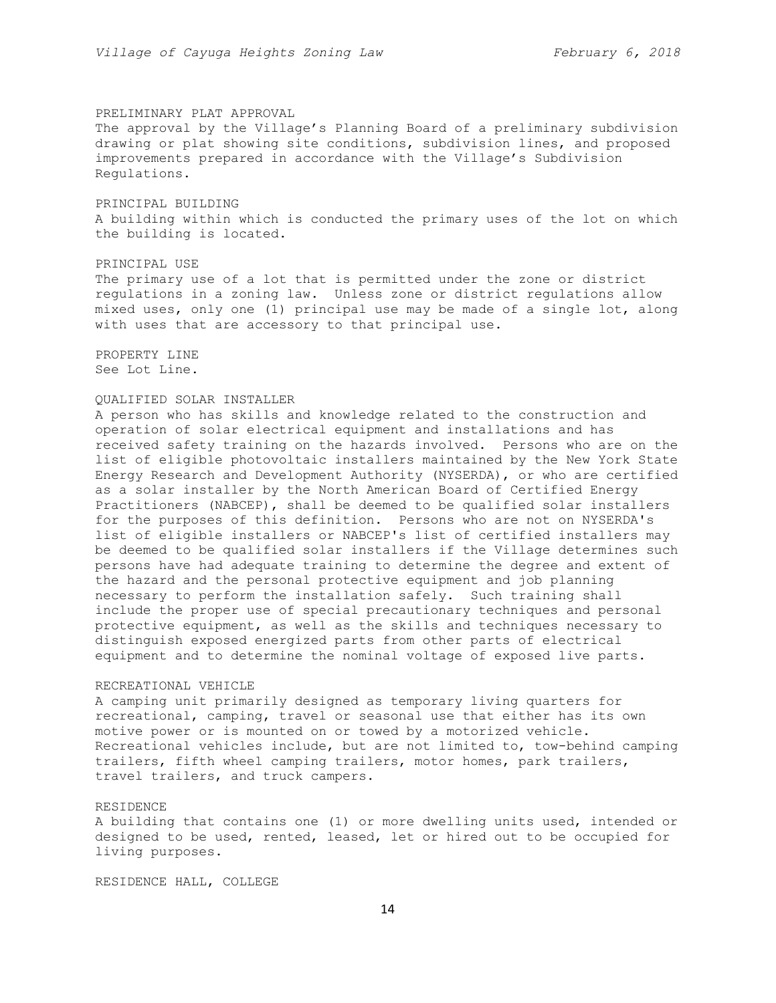#### PRELIMINARY PLAT APPROVAL

The approval by the Village's Planning Board of a preliminary subdivision drawing or plat showing site conditions, subdivision lines, and proposed improvements prepared in accordance with the Village's Subdivision Regulations.

## PRINCIPAL BUILDING

A building within which is conducted the primary uses of the lot on which the building is located.

## PRINCIPAL USE

The primary use of a lot that is permitted under the zone or district regulations in a zoning law. Unless zone or district regulations allow mixed uses, only one (1) principal use may be made of a single lot, along with uses that are accessory to that principal use.

PROPERTY LINE See Lot Line.

## QUALIFIED SOLAR INSTALLER

A person who has skills and knowledge related to the construction and operation of solar electrical equipment and installations and has received safety training on the hazards involved. Persons who are on the list of eligible photovoltaic installers maintained by the New York State Energy Research and Development Authority (NYSERDA), or who are certified as a solar installer by the North American Board of Certified Energy Practitioners (NABCEP), shall be deemed to be qualified solar installers for the purposes of this definition. Persons who are not on NYSERDA's list of eligible installers or NABCEP's list of certified installers may be deemed to be qualified solar installers if the Village determines such persons have had adequate training to determine the degree and extent of the hazard and the personal protective equipment and job planning necessary to perform the installation safely. Such training shall include the proper use of special precautionary techniques and personal protective equipment, as well as the skills and techniques necessary to distinguish exposed energized parts from other parts of electrical equipment and to determine the nominal voltage of exposed live parts.

#### RECREATIONAL VEHICLE

A camping unit primarily designed as temporary living quarters for recreational, camping, travel or seasonal use that either has its own motive power or is mounted on or towed by a motorized vehicle. Recreational vehicles include, but are not limited to, tow-behind camping trailers, fifth wheel camping trailers, motor homes, park trailers, travel trailers, and truck campers.

## RESIDENCE

A building that contains one (1) or more dwelling units used, intended or designed to be used, rented, leased, let or hired out to be occupied for living purposes.

RESIDENCE HALL, COLLEGE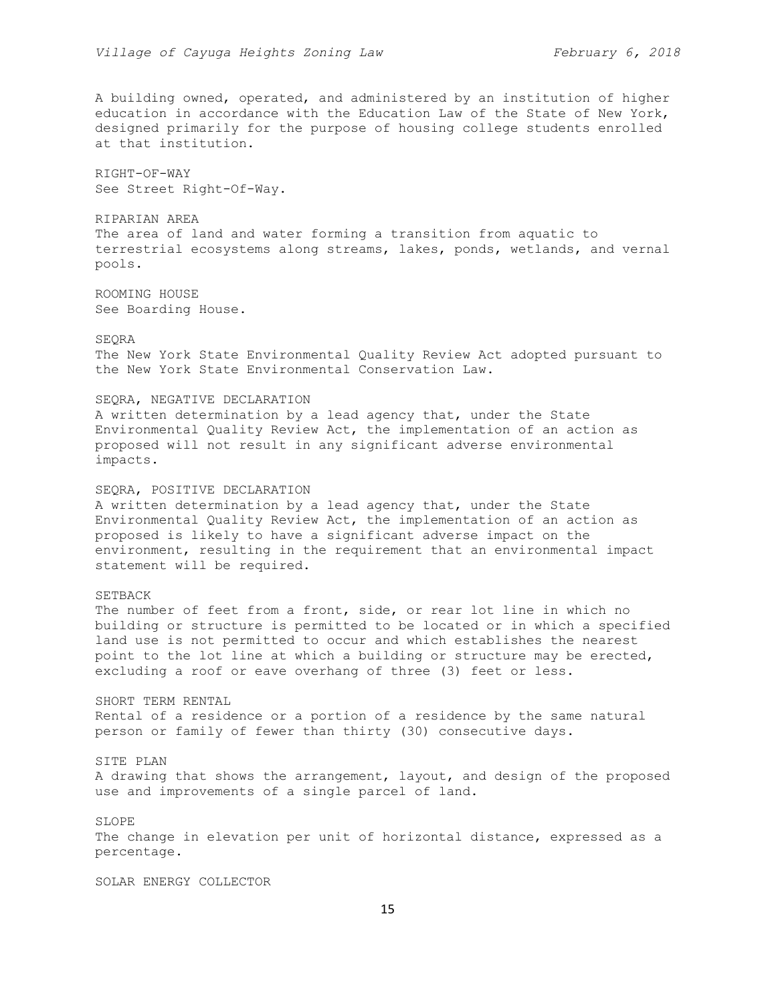A building owned, operated, and administered by an institution of higher education in accordance with the Education Law of the State of New York, designed primarily for the purpose of housing college students enrolled at that institution.

RIGHT-OF-WAY See Street Right-Of-Way.

RIPARIAN AREA The area of land and water forming a transition from aquatic to terrestrial ecosystems along streams, lakes, ponds, wetlands, and vernal pools.

ROOMING HOUSE See Boarding House.

#### SEQRA

The New York State Environmental Quality Review Act adopted pursuant to the New York State Environmental Conservation Law.

## SEQRA, NEGATIVE DECLARATION

A written determination by a lead agency that, under the State Environmental Quality Review Act, the implementation of an action as proposed will not result in any significant adverse environmental impacts.

#### SEQRA, POSITIVE DECLARATION

A written determination by a lead agency that, under the State Environmental Quality Review Act, the implementation of an action as proposed is likely to have a significant adverse impact on the environment, resulting in the requirement that an environmental impact statement will be required.

## SETBACK

The number of feet from a front, side, or rear lot line in which no building or structure is permitted to be located or in which a specified land use is not permitted to occur and which establishes the nearest point to the lot line at which a building or structure may be erected, excluding a roof or eave overhang of three (3) feet or less.

SHORT TERM RENTAL Rental of a residence or a portion of a residence by the same natural person or family of fewer than thirty (30) consecutive days.

# SITE PLAN

A drawing that shows the arrangement, layout, and design of the proposed use and improvements of a single parcel of land.

## SLOPE

The change in elevation per unit of horizontal distance, expressed as a percentage.

SOLAR ENERGY COLLECTOR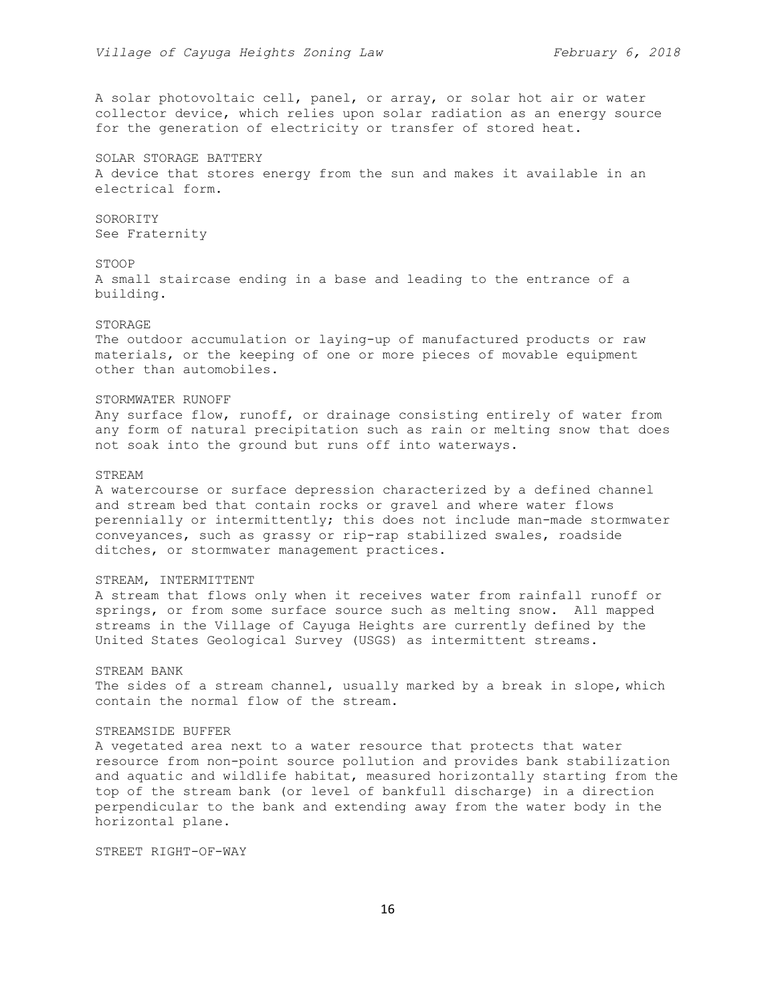A solar photovoltaic cell, panel, or array, or solar hot air or water collector device, which relies upon solar radiation as an energy source for the generation of electricity or transfer of stored heat.

SOLAR STORAGE BATTERY A device that stores energy from the sun and makes it available in an electrical form.

# SORORITY See Fraternity

## STOOP

A small staircase ending in a base and leading to the entrance of a building.

#### STORAGE

The outdoor accumulation or laying-up of manufactured products or raw materials, or the keeping of one or more pieces of movable equipment other than automobiles.

#### STORMWATER RUNOFF

Any surface flow, runoff, or drainage consisting entirely of water from any form of natural precipitation such as rain or melting snow that does not soak into the ground but runs off into waterways.

## STREAM

A watercourse or surface depression characterized by a defined channel and stream bed that contain rocks or gravel and where water flows perennially or intermittently; this does not include man-made stormwater conveyances, such as grassy or rip-rap stabilized swales, roadside ditches, or stormwater management practices.

## STREAM, INTERMITTENT

A stream that flows only when it receives water from rainfall runoff or springs, or from some surface source such as melting snow. All mapped streams in the Village of Cayuga Heights are currently defined by the United States Geological Survey (USGS) as intermittent streams.

#### STREAM BANK

The sides of a stream channel, usually marked by a break in slope, which contain the normal flow of the stream.

## STREAMSIDE BUFFER

A vegetated area next to a water resource that protects that water resource from non-point source pollution and provides bank stabilization and aquatic and wildlife habitat, measured horizontally starting from the top of the stream bank (or level of bankfull discharge) in a direction perpendicular to the bank and extending away from the water body in the horizontal plane.

STREET RIGHT-OF-WAY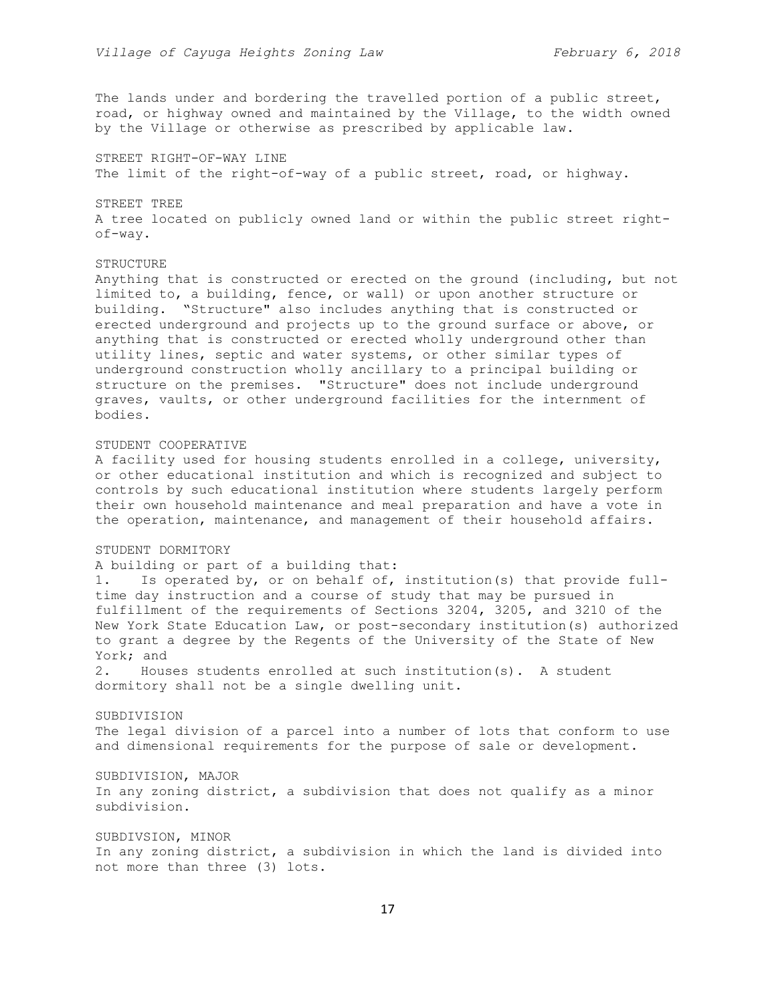The lands under and bordering the travelled portion of a public street, road, or highway owned and maintained by the Village, to the width owned by the Village or otherwise as prescribed by applicable law.

STREET RIGHT-OF-WAY LINE The limit of the right-of-way of a public street, road, or highway.

STREET TREE A tree located on publicly owned land or within the public street rightof-way.

# **STRUCTURE**

Anything that is constructed or erected on the ground (including, but not limited to, a building, fence, or wall) or upon another structure or building. "Structure" also includes anything that is constructed or erected underground and projects up to the ground surface or above, or anything that is constructed or erected wholly underground other than utility lines, septic and water systems, or other similar types of underground construction wholly ancillary to a principal building or structure on the premises. "Structure" does not include underground graves, vaults, or other underground facilities for the internment of bodies.

## STUDENT COOPERATIVE

A facility used for housing students enrolled in a college, university, or other educational institution and which is recognized and subject to controls by such educational institution where students largely perform their own household maintenance and meal preparation and have a vote in the operation, maintenance, and management of their household affairs.

# STUDENT DORMITORY

A building or part of a building that:

1. Is operated by, or on behalf of, institution(s) that provide fulltime day instruction and a course of study that may be pursued in fulfillment of the requirements of Sections 3204, 3205, and 3210 of the New York State Education Law, or post-secondary institution(s) authorized to grant a degree by the Regents of the University of the State of New York; and

2. Houses students enrolled at such institution(s). A student dormitory shall not be a single dwelling unit.

# SUBDIVISION

The legal division of a parcel into a number of lots that conform to use and dimensional requirements for the purpose of sale or development.

## SUBDIVISION, MAJOR

In any zoning district, a subdivision that does not qualify as a minor subdivision.

SUBDIVSION, MINOR In any zoning district, a subdivision in which the land is divided into not more than three (3) lots.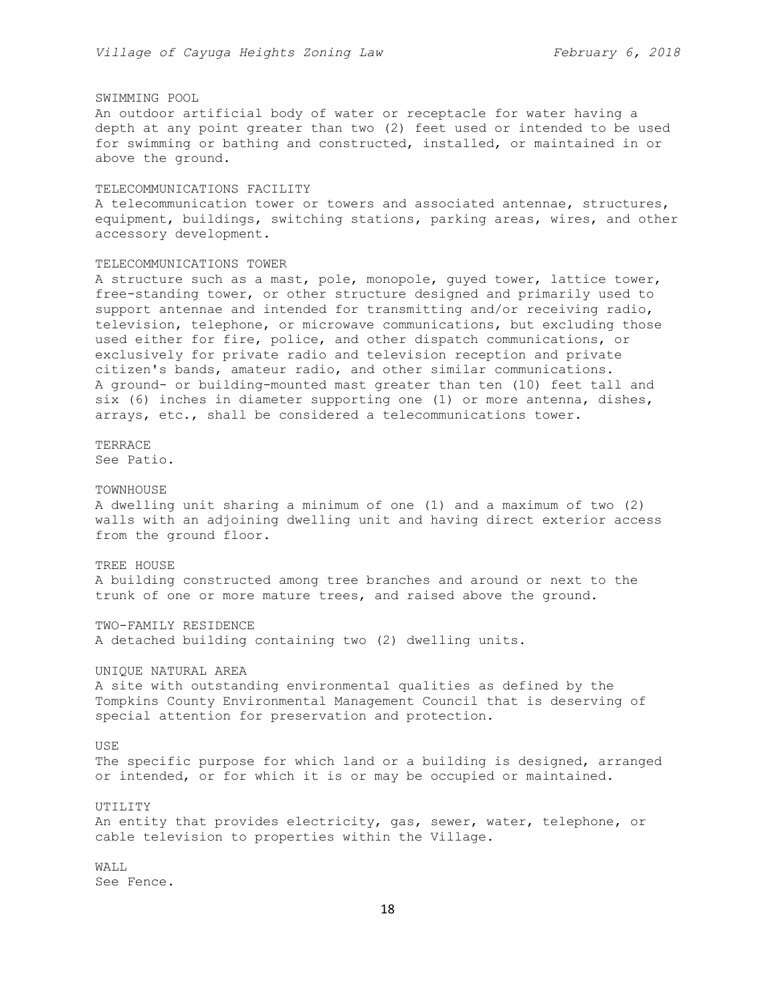# SWIMMING POOL

An outdoor artificial body of water or receptacle for water having a depth at any point greater than two (2) feet used or intended to be used for swimming or bathing and constructed, installed, or maintained in or above the ground.

#### TELECOMMUNICATIONS FACILITY

A telecommunication tower or towers and associated antennae, structures, equipment, buildings, switching stations, parking areas, wires, and other accessory development.

#### TELECOMMUNICATIONS TOWER

A structure such as a mast, pole, monopole, guyed tower, lattice tower, free-standing tower, or other structure designed and primarily used to support antennae and intended for transmitting and/or receiving radio, television, telephone, or microwave communications, but excluding those used either for fire, police, and other dispatch communications, or exclusively for private radio and television reception and private citizen's bands, amateur radio, and other similar communications. A ground- or building-mounted mast greater than ten (10) feet tall and six (6) inches in diameter supporting one (1) or more antenna, dishes, arrays, etc., shall be considered a telecommunications tower.

TERRACE See Patio.

## TOWNHOUSE

A dwelling unit sharing a minimum of one (1) and a maximum of two (2) walls with an adjoining dwelling unit and having direct exterior access from the ground floor.

#### TREE HOUSE

A building constructed among tree branches and around or next to the trunk of one or more mature trees, and raised above the ground.

TWO-FAMILY RESIDENCE A detached building containing two (2) dwelling units.

UNIQUE NATURAL AREA

A site with outstanding environmental qualities as defined by the Tompkins County Environmental Management Council that is deserving of special attention for preservation and protection.

#### USE

The specific purpose for which land or a building is designed, arranged or intended, or for which it is or may be occupied or maintained.

#### UTILITY

An entity that provides electricity, gas, sewer, water, telephone, or cable television to properties within the Village.

WALL See Fence.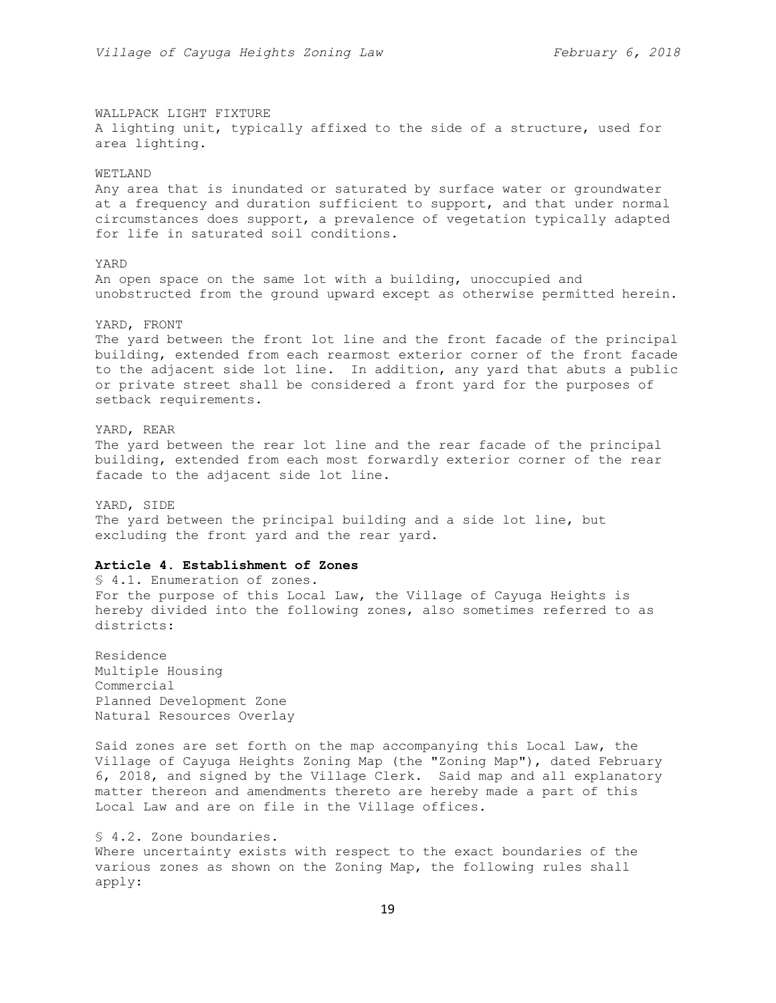WALLPACK LIGHT FIXTURE A lighting unit, typically affixed to the side of a structure, used for area lighting.

## WETLAND

Any area that is inundated or saturated by surface water or groundwater at a frequency and duration sufficient to support, and that under normal circumstances does support, a prevalence of vegetation typically adapted for life in saturated soil conditions.

## YARD

An open space on the same lot with a building, unoccupied and unobstructed from the ground upward except as otherwise permitted herein.

#### YARD, FRONT

The yard between the front lot line and the front facade of the principal building, extended from each rearmost exterior corner of the front facade to the adjacent side lot line. In addition, any yard that abuts a public or private street shall be considered a front yard for the purposes of setback requirements.

## YARD, REAR

The yard between the rear lot line and the rear facade of the principal building, extended from each most forwardly exterior corner of the rear facade to the adjacent side lot line.

YARD, SIDE The yard between the principal building and a side lot line, but excluding the front yard and the rear yard.

## **Article 4. Establishment of Zones**

§ 4.1. Enumeration of zones. For the purpose of this Local Law, the Village of Cayuga Heights is hereby divided into the following zones, also sometimes referred to as districts:

Residence Multiple Housing Commercial Planned Development Zone Natural Resources Overlay

Said zones are set forth on the map accompanying this Local Law, the Village of Cayuga Heights Zoning Map (the "Zoning Map"), dated February 6, 2018, and signed by the Village Clerk. Said map and all explanatory matter thereon and amendments thereto are hereby made a part of this Local Law and are on file in the Village offices.

§ 4.2. Zone boundaries. Where uncertainty exists with respect to the exact boundaries of the various zones as shown on the Zoning Map, the following rules shall apply: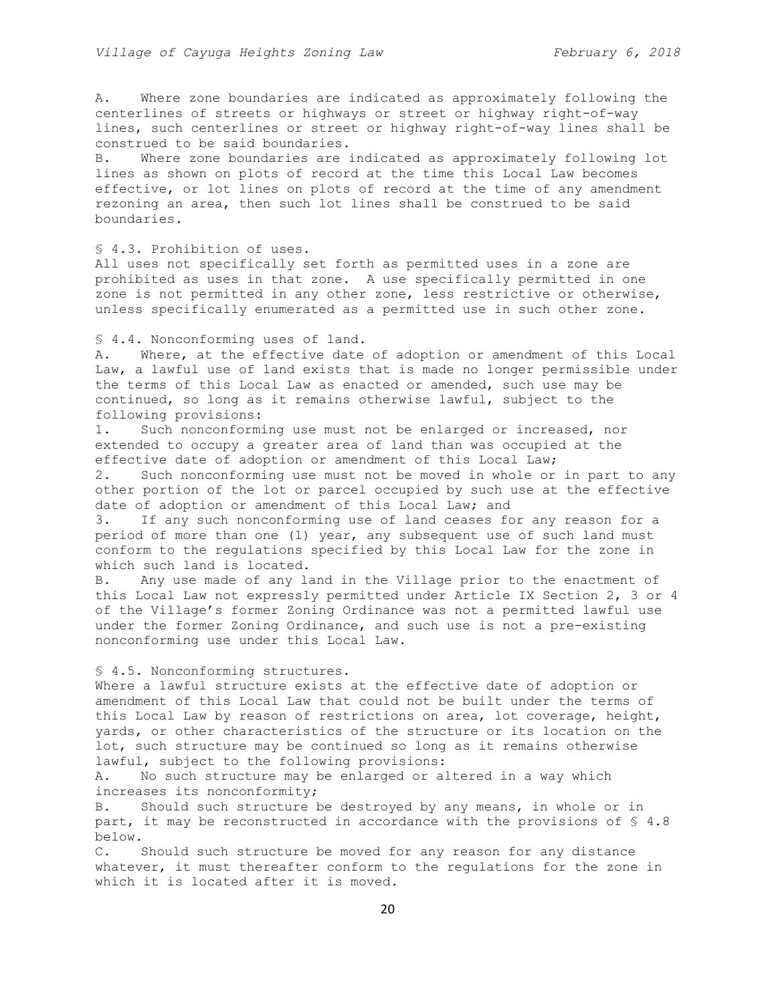A. Where zone boundaries are indicated as approximately following the centerlines of streets or highways or street or highway right-of-way lines, such centerlines or street or highway right-of-way lines shall be construed to be said boundaries.

B. Where zone boundaries are indicated as approximately following lot lines as shown on plots of record at the time this Local Law becomes effective, or lot lines on plots of record at the time of any amendment rezoning an area, then such lot lines shall be construed to be said boundaries.

# § 4.3. Prohibition of uses.

All uses not specifically set forth as permitted uses in a zone are prohibited as uses in that zone. A use specifically permitted in one zone is not permitted in any other zone, less restrictive or otherwise, unless specifically enumerated as a permitted use in such other zone.

§ 4.4. Nonconforming uses of land.

A. Where, at the effective date of adoption or amendment of this Local Law, a lawful use of land exists that is made no longer permissible under the terms of this Local Law as enacted or amended, such use may be continued, so long as it remains otherwise lawful, subject to the following provisions:

1. Such nonconforming use must not be enlarged or increased, nor extended to occupy a greater area of land than was occupied at the effective date of adoption or amendment of this Local Law;

2. Such nonconforming use must not be moved in whole or in part to any other portion of the lot or parcel occupied by such use at the effective date of adoption or amendment of this Local Law; and

3. If any such nonconforming use of land ceases for any reason for a period of more than one (1) year, any subsequent use of such land must conform to the regulations specified by this Local Law for the zone in which such land is located.

B. Any use made of any land in the Village prior to the enactment of this Local Law not expressly permitted under Article IX Section 2, 3 or 4 of the Village's former Zoning Ordinance was not a permitted lawful use under the former Zoning Ordinance, and such use is not a pre-existing nonconforming use under this Local Law.

§ 4.5. Nonconforming structures.

Where a lawful structure exists at the effective date of adoption or amendment of this Local Law that could not be built under the terms of this Local Law by reason of restrictions on area, lot coverage, height, yards, or other characteristics of the structure or its location on the lot, such structure may be continued so long as it remains otherwise lawful, subject to the following provisions:

A. No such structure may be enlarged or altered in a way which increases its nonconformity;

B. Should such structure be destroyed by any means, in whole or in part, it may be reconstructed in accordance with the provisions of § 4.8 below.

C. Should such structure be moved for any reason for any distance whatever, it must thereafter conform to the regulations for the zone in which it is located after it is moved.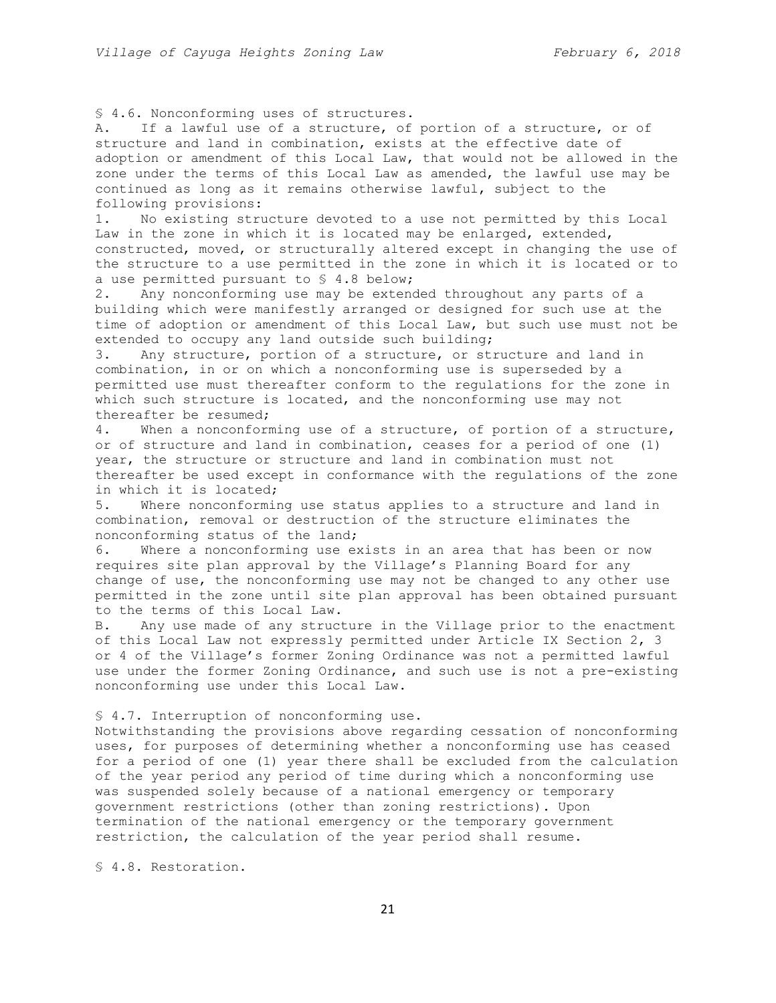§ 4.6. Nonconforming uses of structures.

A. If a lawful use of a structure, of portion of a structure, or of structure and land in combination, exists at the effective date of adoption or amendment of this Local Law, that would not be allowed in the zone under the terms of this Local Law as amended, the lawful use may be continued as long as it remains otherwise lawful, subject to the following provisions:

1. No existing structure devoted to a use not permitted by this Local Law in the zone in which it is located may be enlarged, extended, constructed, moved, or structurally altered except in changing the use of the structure to a use permitted in the zone in which it is located or to a use permitted pursuant to § 4.8 below;

2. Any nonconforming use may be extended throughout any parts of a building which were manifestly arranged or designed for such use at the time of adoption or amendment of this Local Law, but such use must not be extended to occupy any land outside such building;

3. Any structure, portion of a structure, or structure and land in combination, in or on which a nonconforming use is superseded by a permitted use must thereafter conform to the regulations for the zone in which such structure is located, and the nonconforming use may not thereafter be resumed;

4. When a nonconforming use of a structure, of portion of a structure, or of structure and land in combination, ceases for a period of one (1) year, the structure or structure and land in combination must not thereafter be used except in conformance with the regulations of the zone in which it is located;

5. Where nonconforming use status applies to a structure and land in combination, removal or destruction of the structure eliminates the nonconforming status of the land;

6. Where a nonconforming use exists in an area that has been or now requires site plan approval by the Village's Planning Board for any change of use, the nonconforming use may not be changed to any other use permitted in the zone until site plan approval has been obtained pursuant to the terms of this Local Law.

B. Any use made of any structure in the Village prior to the enactment of this Local Law not expressly permitted under Article IX Section 2, 3 or 4 of the Village's former Zoning Ordinance was not a permitted lawful use under the former Zoning Ordinance, and such use is not a pre-existing nonconforming use under this Local Law.

## § 4.7. Interruption of nonconforming use.

Notwithstanding the provisions above regarding cessation of nonconforming uses, for purposes of determining whether a nonconforming use has ceased for a period of one (1) year there shall be excluded from the calculation of the year period any period of time during which a nonconforming use was suspended solely because of a national emergency or temporary government restrictions (other than zoning restrictions). Upon termination of the national emergency or the temporary government restriction, the calculation of the year period shall resume.

§ 4.8. Restoration.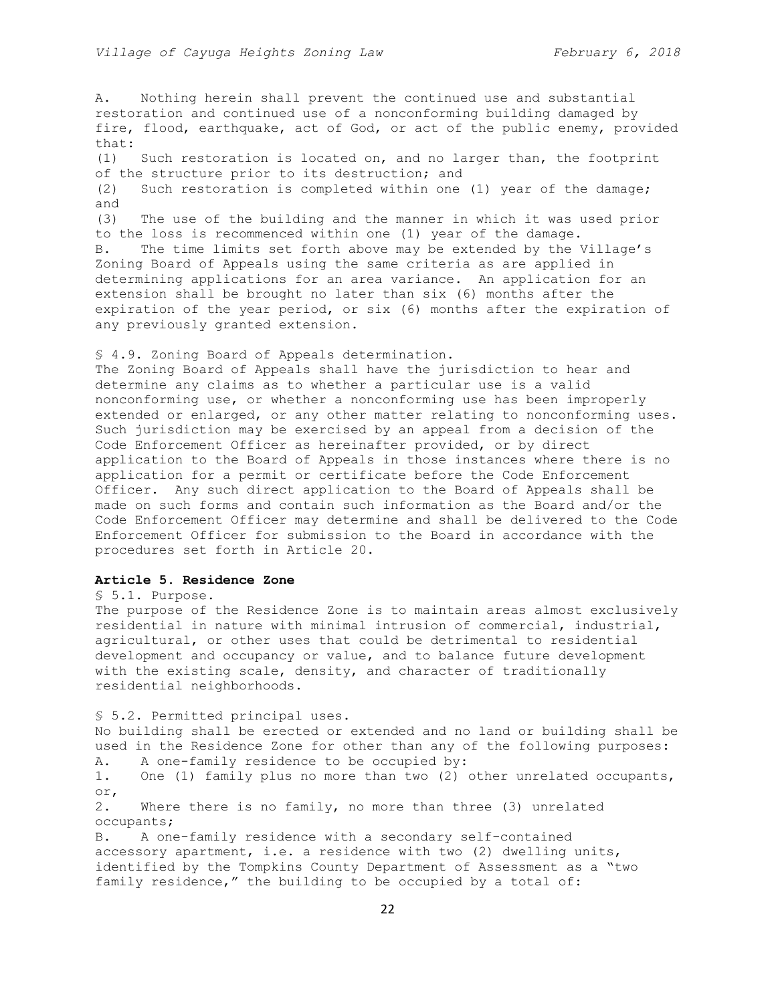A. Nothing herein shall prevent the continued use and substantial restoration and continued use of a nonconforming building damaged by fire, flood, earthquake, act of God, or act of the public enemy, provided that: (1) Such restoration is located on, and no larger than, the footprint of the structure prior to its destruction; and (2) Such restoration is completed within one (1) year of the damage; and (3) The use of the building and the manner in which it was used prior to the loss is recommenced within one (1) year of the damage. B. The time limits set forth above may be extended by the Village's Zoning Board of Appeals using the same criteria as are applied in determining applications for an area variance. An application for an extension shall be brought no later than six (6) months after the expiration of the year period, or six (6) months after the expiration of any previously granted extension. § 4.9. Zoning Board of Appeals determination.

The Zoning Board of Appeals shall have the jurisdiction to hear and determine any claims as to whether a particular use is a valid nonconforming use, or whether a nonconforming use has been improperly extended or enlarged, or any other matter relating to nonconforming uses. Such jurisdiction may be exercised by an appeal from a decision of the Code Enforcement Officer as hereinafter provided, or by direct application to the Board of Appeals in those instances where there is no application for a permit or certificate before the Code Enforcement Officer. Any such direct application to the Board of Appeals shall be made on such forms and contain such information as the Board and/or the Code Enforcement Officer may determine and shall be delivered to the Code Enforcement Officer for submission to the Board in accordance with the procedures set forth in Article 20.

# **Article 5. Residence Zone**

§ 5.1. Purpose.

The purpose of the Residence Zone is to maintain areas almost exclusively residential in nature with minimal intrusion of commercial, industrial, agricultural, or other uses that could be detrimental to residential development and occupancy or value, and to balance future development with the existing scale, density, and character of traditionally residential neighborhoods.

§ 5.2. Permitted principal uses. No building shall be erected or extended and no land or building shall be used in the Residence Zone for other than any of the following purposes: A. A one-family residence to be occupied by: 1. One (1) family plus no more than two (2) other unrelated occupants, or, 2. Where there is no family, no more than three (3) unrelated occupants; B. A one-family residence with a secondary self-contained accessory apartment, i.e. a residence with two (2) dwelling units, identified by the Tompkins County Department of Assessment as a "two family residence," the building to be occupied by a total of: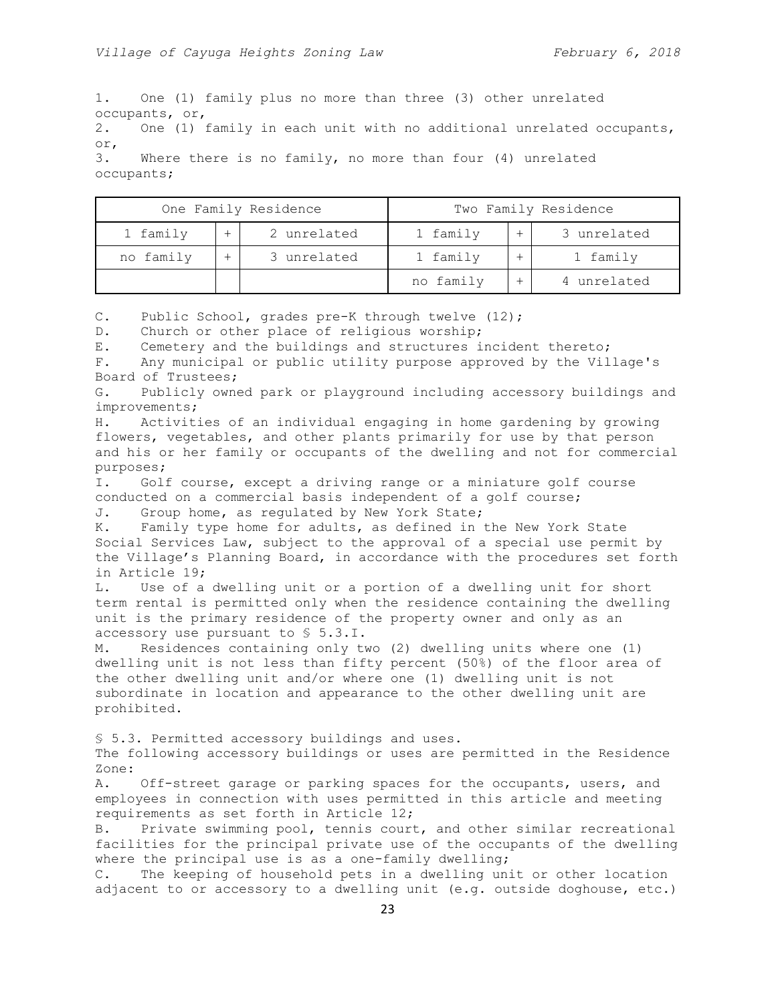1. One (1) family plus no more than three (3) other unrelated occupants, or, 2. One (1) family in each unit with no additional unrelated occupants, or, 3. Where there is no family, no more than four (4) unrelated occupants;

| One Family Residence |  |             | Two Family Residence |  |             |
|----------------------|--|-------------|----------------------|--|-------------|
| 1 family             |  | 2 unrelated | 1 family             |  | 3 unrelated |
| no family            |  | 3 unrelated | 1 family             |  | 1 family    |
|                      |  |             | no family            |  | 4 unrelated |

C. Public School, grades pre-K through twelve (12);

D. Church or other place of religious worship;

E. Cemetery and the buildings and structures incident thereto;

F. Any municipal or public utility purpose approved by the Village's Board of Trustees;

G. Publicly owned park or playground including accessory buildings and improvements;

H. Activities of an individual engaging in home gardening by growing flowers, vegetables, and other plants primarily for use by that person and his or her family or occupants of the dwelling and not for commercial purposes;

I. Golf course, except a driving range or a miniature golf course conducted on a commercial basis independent of a golf course;

J. Group home, as regulated by New York State;

K. Family type home for adults, as defined in the New York State Social Services Law, subject to the approval of a special use permit by the Village's Planning Board, in accordance with the procedures set forth in Article 19;

L. Use of a dwelling unit or a portion of a dwelling unit for short term rental is permitted only when the residence containing the dwelling unit is the primary residence of the property owner and only as an accessory use pursuant to § 5.3.I.

M. Residences containing only two (2) dwelling units where one (1) dwelling unit is not less than fifty percent (50%) of the floor area of the other dwelling unit and/or where one (1) dwelling unit is not subordinate in location and appearance to the other dwelling unit are prohibited.

§ 5.3. Permitted accessory buildings and uses.

The following accessory buildings or uses are permitted in the Residence Zone:

A. Off-street garage or parking spaces for the occupants, users, and employees in connection with uses permitted in this article and meeting requirements as set forth in Article 12;

B. Private swimming pool, tennis court, and other similar recreational facilities for the principal private use of the occupants of the dwelling where the principal use is as a one-family dwelling;

C. The keeping of household pets in a dwelling unit or other location adjacent to or accessory to a dwelling unit (e.g. outside doghouse, etc.)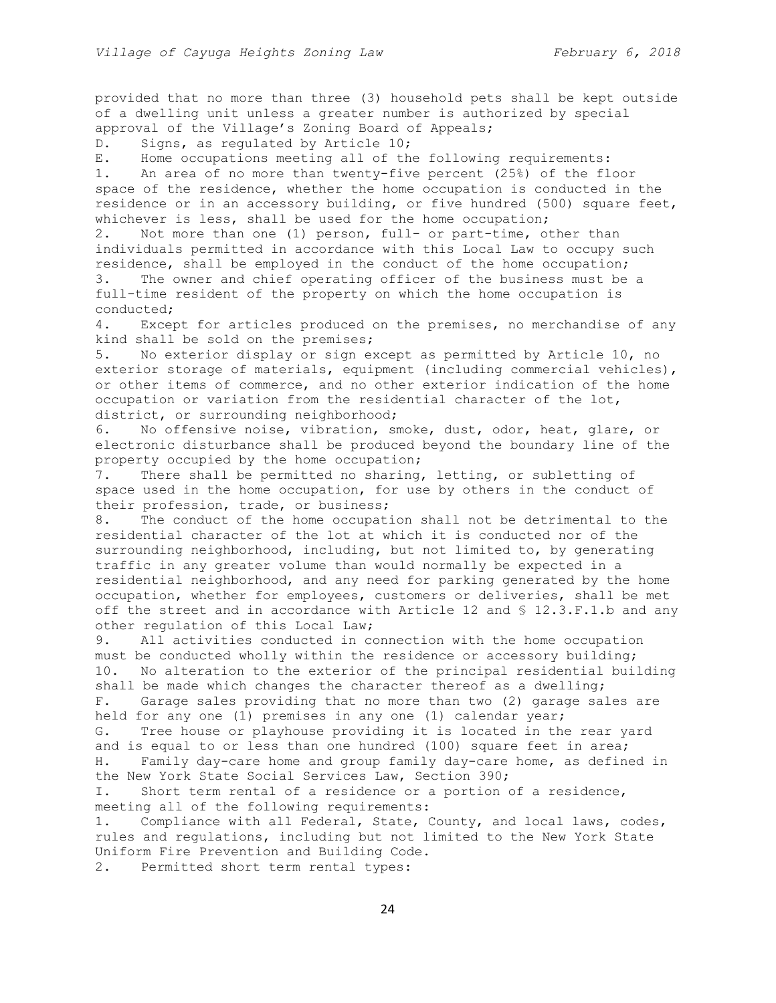provided that no more than three (3) household pets shall be kept outside of a dwelling unit unless a greater number is authorized by special approval of the Village's Zoning Board of Appeals;

D. Signs, as regulated by Article 10;

E. Home occupations meeting all of the following requirements:

1. An area of no more than twenty-five percent (25%) of the floor space of the residence, whether the home occupation is conducted in the residence or in an accessory building, or five hundred (500) square feet, whichever is less, shall be used for the home occupation;

2. Not more than one (1) person, full- or part-time, other than individuals permitted in accordance with this Local Law to occupy such residence, shall be employed in the conduct of the home occupation; 3. The owner and chief operating officer of the business must be a

full-time resident of the property on which the home occupation is conducted;

4. Except for articles produced on the premises, no merchandise of any kind shall be sold on the premises;

5. No exterior display or sign except as permitted by Article 10, no exterior storage of materials, equipment (including commercial vehicles), or other items of commerce, and no other exterior indication of the home occupation or variation from the residential character of the lot, district, or surrounding neighborhood;

6. No offensive noise, vibration, smoke, dust, odor, heat, glare, or electronic disturbance shall be produced beyond the boundary line of the property occupied by the home occupation;

7**.** There shall be permitted no sharing, letting, or subletting of space used in the home occupation, for use by others in the conduct of their profession, trade, or business;

8. The conduct of the home occupation shall not be detrimental to the residential character of the lot at which it is conducted nor of the surrounding neighborhood, including, but not limited to, by generating traffic in any greater volume than would normally be expected in a residential neighborhood, and any need for parking generated by the home occupation, whether for employees, customers or deliveries, shall be met off the street and in accordance with Article 12 and § 12.3.F.1.b and any other regulation of this Local Law;

9. All activities conducted in connection with the home occupation must be conducted wholly within the residence or accessory building; 10**.** No alteration to the exterior of the principal residential building shall be made which changes the character thereof as a dwelling;

F. Garage sales providing that no more than two (2) garage sales are held for any one (1) premises in any one (1) calendar year;

G. Tree house or playhouse providing it is located in the rear yard and is equal to or less than one hundred (100) square feet in area; H. Family day-care home and group family day-care home, as defined in the New York State Social Services Law, Section 390;

I. Short term rental of a residence or a portion of a residence, meeting all of the following requirements:

1. Compliance with all Federal, State, County, and local laws, codes, rules and regulations, including but not limited to the New York State Uniform Fire Prevention and Building Code.

2. Permitted short term rental types: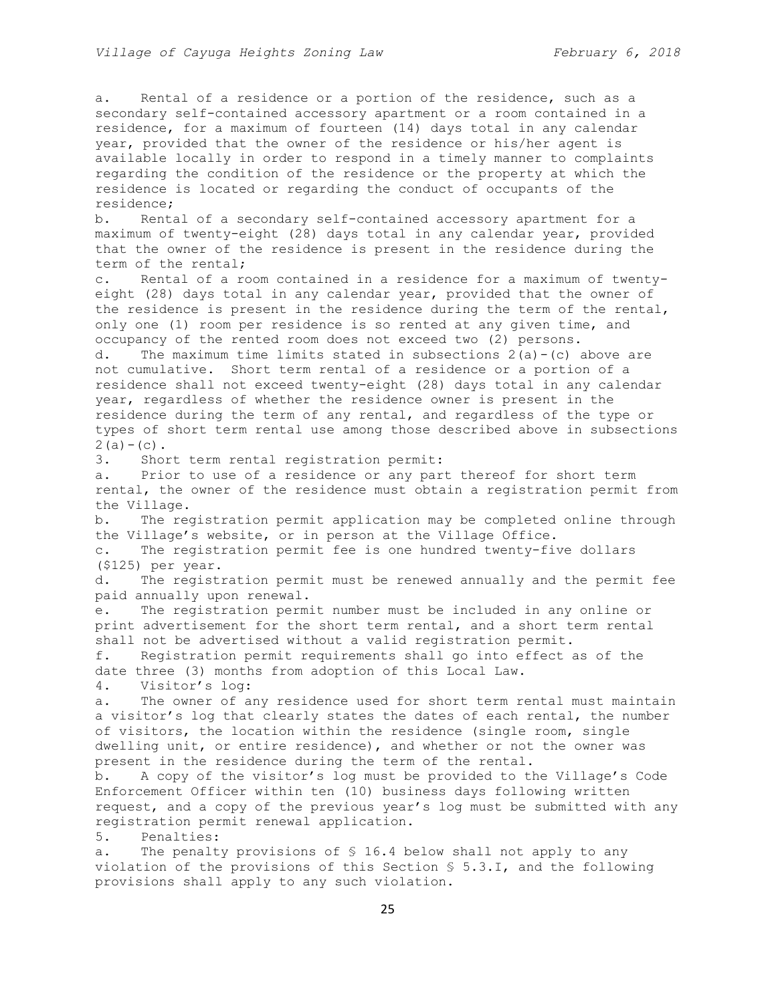a. Rental of a residence or a portion of the residence, such as a secondary self-contained accessory apartment or a room contained in a residence, for a maximum of fourteen (14) days total in any calendar year, provided that the owner of the residence or his/her agent is available locally in order to respond in a timely manner to complaints regarding the condition of the residence or the property at which the residence is located or regarding the conduct of occupants of the residence; b. Rental of a secondary self-contained accessory apartment for a maximum of twenty-eight (28) days total in any calendar year, provided that the owner of the residence is present in the residence during the term of the rental; c. Rental of a room contained in a residence for a maximum of twentyeight (28) days total in any calendar year, provided that the owner of the residence is present in the residence during the term of the rental, only one (1) room per residence is so rented at any given time, and occupancy of the rented room does not exceed two (2) persons. d. The maximum time limits stated in subsections  $2(a)-(c)$  above are not cumulative. Short term rental of a residence or a portion of a residence shall not exceed twenty-eight (28) days total in any calendar year, regardless of whether the residence owner is present in the residence during the term of any rental, and regardless of the type or types of short term rental use among those described above in subsections  $2(a) - (c)$ . 3. Short term rental registration permit: a. Prior to use of a residence or any part thereof for short term rental, the owner of the residence must obtain a registration permit from the Village. b. The registration permit application may be completed online through the Village's website, or in person at the Village Office. c. The registration permit fee is one hundred twenty-five dollars (\$125) per year. d. The registration permit must be renewed annually and the permit fee paid annually upon renewal. e. The registration permit number must be included in any online or print advertisement for the short term rental, and a short term rental shall not be advertised without a valid registration permit. f. Registration permit requirements shall go into effect as of the date three (3) months from adoption of this Local Law. 4. Visitor's log: a. The owner of any residence used for short term rental must maintain a visitor's log that clearly states the dates of each rental, the number of visitors, the location within the residence (single room, single dwelling unit, or entire residence), and whether or not the owner was present in the residence during the term of the rental. b. A copy of the visitor's log must be provided to the Village's Code Enforcement Officer within ten (10) business days following written request, and a copy of the previous year's log must be submitted with any registration permit renewal application. 5. Penalties: a. The penalty provisions of § 16.4 below shall not apply to any violation of the provisions of this Section § 5.3.I, and the following provisions shall apply to any such violation.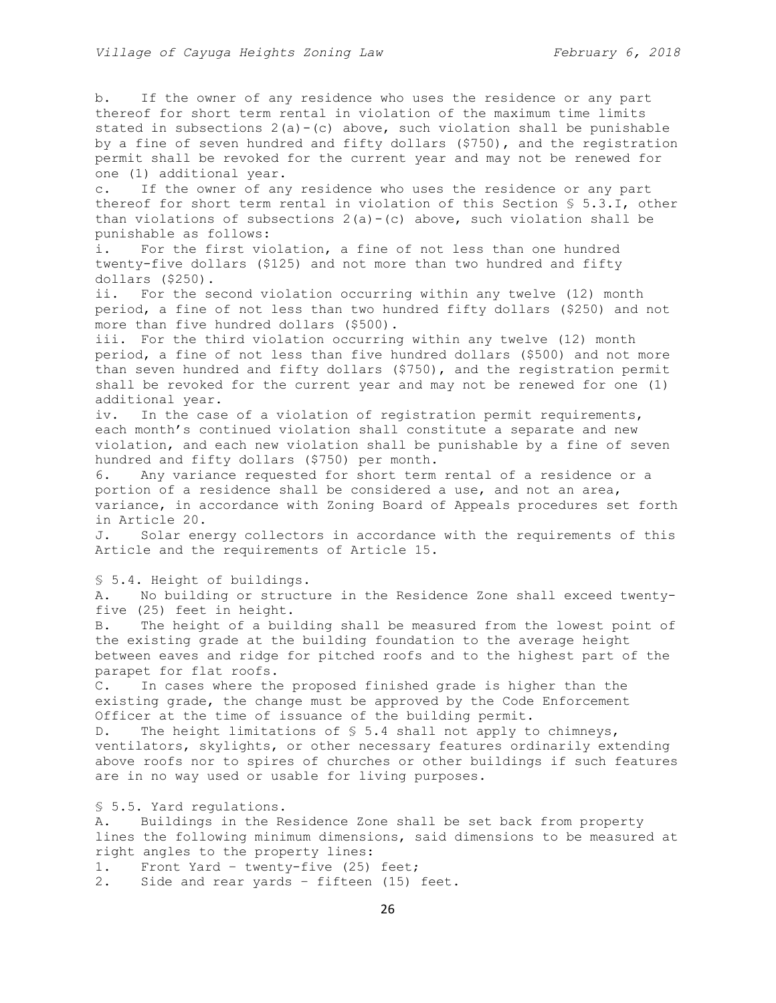b. If the owner of any residence who uses the residence or any part thereof for short term rental in violation of the maximum time limits stated in subsections  $2(a)-(c)$  above, such violation shall be punishable by a fine of seven hundred and fifty dollars (\$750), and the registration permit shall be revoked for the current year and may not be renewed for one (1) additional year.

c. If the owner of any residence who uses the residence or any part thereof for short term rental in violation of this Section § 5.3.I, other than violations of subsections  $2(a) - (c)$  above, such violation shall be punishable as follows:

i. For the first violation, a fine of not less than one hundred twenty-five dollars (\$125) and not more than two hundred and fifty dollars (\$250).

ii. For the second violation occurring within any twelve (12) month period, a fine of not less than two hundred fifty dollars (\$250) and not more than five hundred dollars (\$500).

iii. For the third violation occurring within any twelve (12) month period, a fine of not less than five hundred dollars (\$500) and not more than seven hundred and fifty dollars (\$750), and the registration permit shall be revoked for the current year and may not be renewed for one (1) additional year.

iv. In the case of a violation of registration permit requirements, each month's continued violation shall constitute a separate and new violation, and each new violation shall be punishable by a fine of seven hundred and fifty dollars (\$750) per month.

6. Any variance requested for short term rental of a residence or a portion of a residence shall be considered a use, and not an area, variance, in accordance with Zoning Board of Appeals procedures set forth in Article 20.

J. Solar energy collectors in accordance with the requirements of this Article and the requirements of Article 15.

§ 5.4. Height of buildings.

A. No building or structure in the Residence Zone shall exceed twentyfive (25) feet in height.

B. The height of a building shall be measured from the lowest point of the existing grade at the building foundation to the average height between eaves and ridge for pitched roofs and to the highest part of the parapet for flat roofs.

C. In cases where the proposed finished grade is higher than the existing grade, the change must be approved by the Code Enforcement Officer at the time of issuance of the building permit.

D. The height limitations of § 5.4 shall not apply to chimneys, ventilators, skylights, or other necessary features ordinarily extending above roofs nor to spires of churches or other buildings if such features are in no way used or usable for living purposes.

§ 5.5. Yard regulations.

A. Buildings in the Residence Zone shall be set back from property lines the following minimum dimensions, said dimensions to be measured at right angles to the property lines:

1. Front Yard – twenty-five (25) feet;

2. Side and rear yards – fifteen (15) feet.

26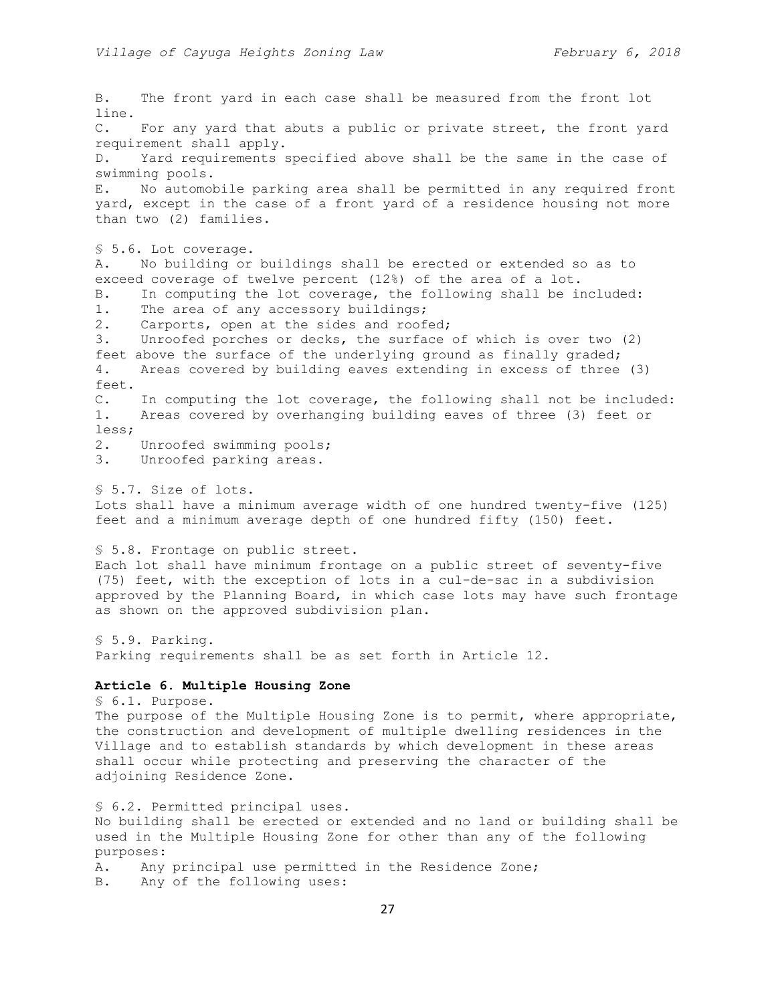B. The front yard in each case shall be measured from the front lot line. C. For any yard that abuts a public or private street, the front yard requirement shall apply. D. Yard requirements specified above shall be the same in the case of swimming pools. E. No automobile parking area shall be permitted in any required front yard, except in the case of a front yard of a residence housing not more than two (2) families. § 5.6. Lot coverage. A. No building or buildings shall be erected or extended so as to exceed coverage of twelve percent (12%) of the area of a lot. B. In computing the lot coverage, the following shall be included: 1. The area of any accessory buildings; 2. Carports, open at the sides and roofed; 3. Unroofed porches or decks, the surface of which is over two (2) feet above the surface of the underlying ground as finally graded; 4. Areas covered by building eaves extending in excess of three (3) feet. C. In computing the lot coverage, the following shall not be included: 1. Areas covered by overhanging building eaves of three (3) feet or less; 2. Unroofed swimming pools; 3. Unroofed parking areas. § 5.7. Size of lots. Lots shall have a minimum average width of one hundred twenty-five (125) feet and a minimum average depth of one hundred fifty (150) feet. § 5.8. Frontage on public street. Each lot shall have minimum frontage on a public street of seventy-five (75) feet, with the exception of lots in a cul-de-sac in a subdivision approved by the Planning Board, in which case lots may have such frontage as shown on the approved subdivision plan. § 5.9. Parking. Parking requirements shall be as set forth in Article 12. **Article 6. Multiple Housing Zone** § 6.1. Purpose. The purpose of the Multiple Housing Zone is to permit, where appropriate, the construction and development of multiple dwelling residences in the Village and to establish standards by which development in these areas shall occur while protecting and preserving the character of the adjoining Residence Zone. § 6.2. Permitted principal uses. No building shall be erected or extended and no land or building shall be used in the Multiple Housing Zone for other than any of the following purposes: A. Any principal use permitted in the Residence Zone; B. Any of the following uses: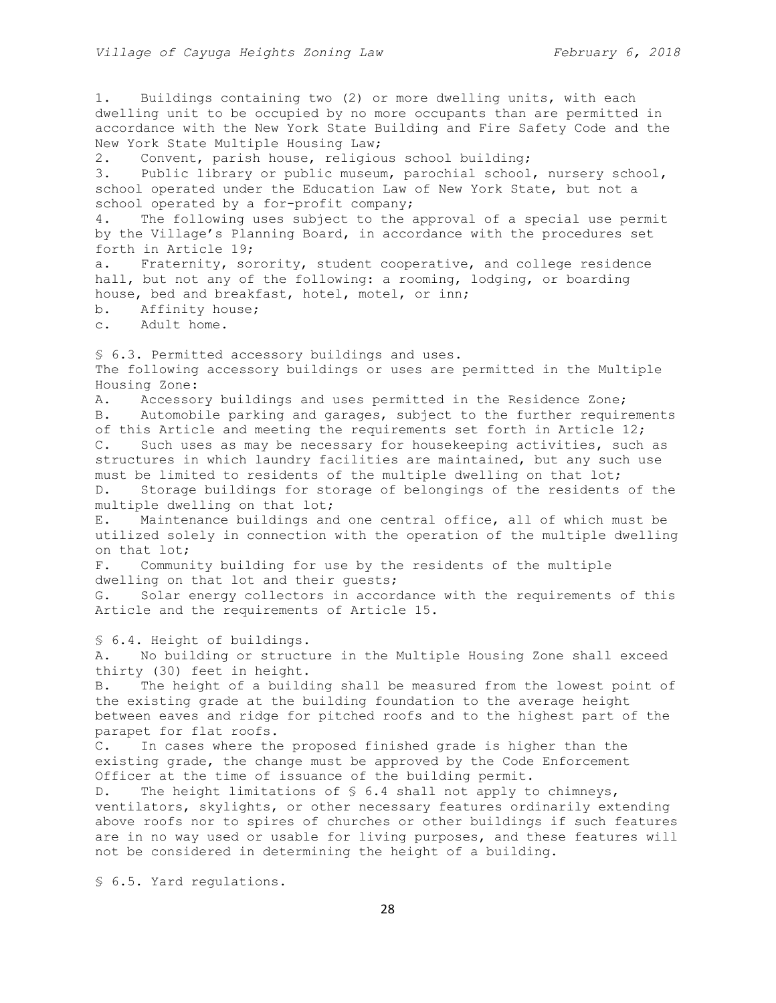1. Buildings containing two (2) or more dwelling units, with each dwelling unit to be occupied by no more occupants than are permitted in accordance with the New York State Building and Fire Safety Code and the New York State Multiple Housing Law; 2. Convent, parish house, religious school building; 3. Public library or public museum, parochial school, nursery school, school operated under the Education Law of New York State, but not a school operated by a for-profit company; 4. The following uses subject to the approval of a special use permit by the Village's Planning Board, in accordance with the procedures set forth in Article 19; a. Fraternity, sorority, student cooperative, and college residence hall, but not any of the following: a rooming, lodging, or boarding house, bed and breakfast, hotel, motel, or inn; b. Affinity house; c. Adult home. § 6.3. Permitted accessory buildings and uses. The following accessory buildings or uses are permitted in the Multiple Housing Zone: A. Accessory buildings and uses permitted in the Residence Zone; B. Automobile parking and garages, subject to the further requirements of this Article and meeting the requirements set forth in Article 12; C. Such uses as may be necessary for housekeeping activities, such as structures in which laundry facilities are maintained, but any such use must be limited to residents of the multiple dwelling on that lot; D. Storage buildings for storage of belongings of the residents of the multiple dwelling on that lot; E. Maintenance buildings and one central office, all of which must be utilized solely in connection with the operation of the multiple dwelling on that lot; F. Community building for use by the residents of the multiple dwelling on that lot and their guests; G. Solar energy collectors in accordance with the requirements of this Article and the requirements of Article 15. § 6.4. Height of buildings. A. No building or structure in the Multiple Housing Zone shall exceed thirty (30) feet in height. B. The height of a building shall be measured from the lowest point of the existing grade at the building foundation to the average height between eaves and ridge for pitched roofs and to the highest part of the parapet for flat roofs. C. In cases where the proposed finished grade is higher than the existing grade, the change must be approved by the Code Enforcement Officer at the time of issuance of the building permit. D. The height limitations of § 6.4 shall not apply to chimneys, ventilators, skylights, or other necessary features ordinarily extending above roofs nor to spires of churches or other buildings if such features are in no way used or usable for living purposes, and these features will not be considered in determining the height of a building. § 6.5. Yard regulations.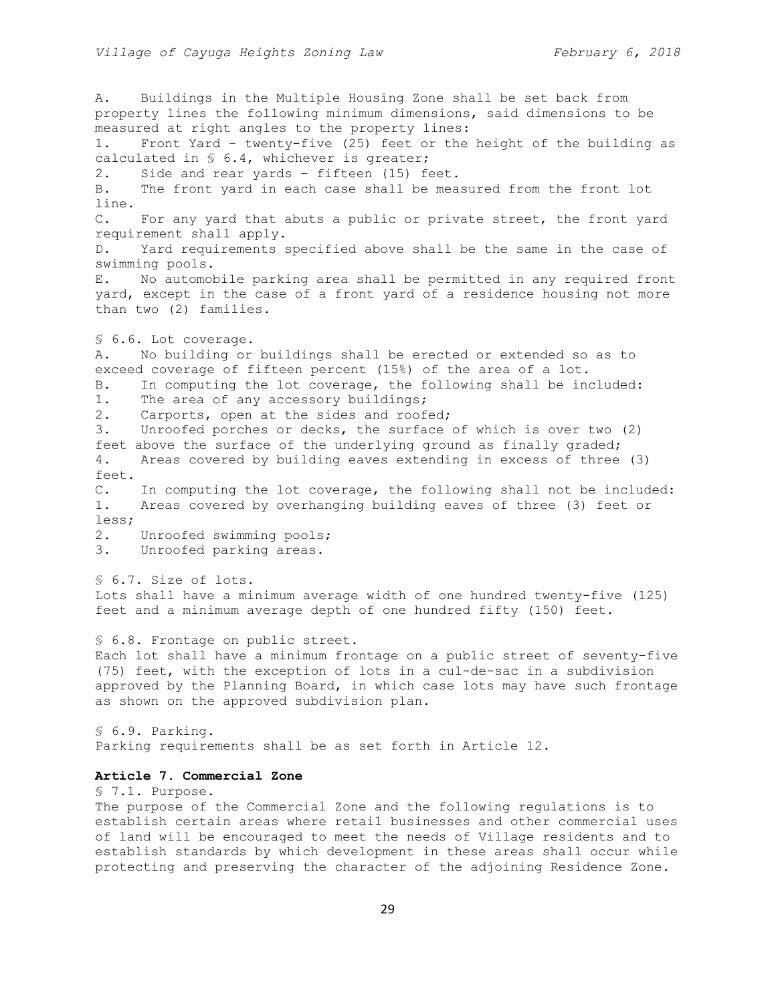A. Buildings in the Multiple Housing Zone shall be set back from property lines the following minimum dimensions, said dimensions to be measured at right angles to the property lines: 1. Front Yard – twenty-five (25) feet or the height of the building as calculated in § 6.4, whichever is greater; 2. Side and rear yards – fifteen (15) feet. B. The front yard in each case shall be measured from the front lot line. C. For any yard that abuts a public or private street, the front yard requirement shall apply. D. Yard requirements specified above shall be the same in the case of swimming pools. E. No automobile parking area shall be permitted in any required front yard, except in the case of a front yard of a residence housing not more than two (2) families. § 6.6. Lot coverage. A. No building or buildings shall be erected or extended so as to exceed coverage of fifteen percent (15%) of the area of a lot. B. In computing the lot coverage, the following shall be included: 1. The area of any accessory buildings; 2. Carports, open at the sides and roofed; 3. Unroofed porches or decks, the surface of which is over two (2) feet above the surface of the underlying ground as finally graded; 4. Areas covered by building eaves extending in excess of three (3) feet. C. In computing the lot coverage, the following shall not be included: 1. Areas covered by overhanging building eaves of three (3) feet or less; 2. Unroofed swimming pools; 3. Unroofed parking areas. § 6.7. Size of lots. Lots shall have a minimum average width of one hundred twenty-five (125) feet and a minimum average depth of one hundred fifty (150) feet. § 6.8. Frontage on public street. Each lot shall have a minimum frontage on a public street of seventy-five (75) feet, with the exception of lots in a cul-de-sac in a subdivision approved by the Planning Board, in which case lots may have such frontage as shown on the approved subdivision plan. § 6.9. Parking. Parking requirements shall be as set forth in Article 12.

# **Article 7. Commercial Zone**

§ 7.1. Purpose. The purpose of the Commercial Zone and the following regulations is to establish certain areas where retail businesses and other commercial uses of land will be encouraged to meet the needs of Village residents and to establish standards by which development in these areas shall occur while protecting and preserving the character of the adjoining Residence Zone.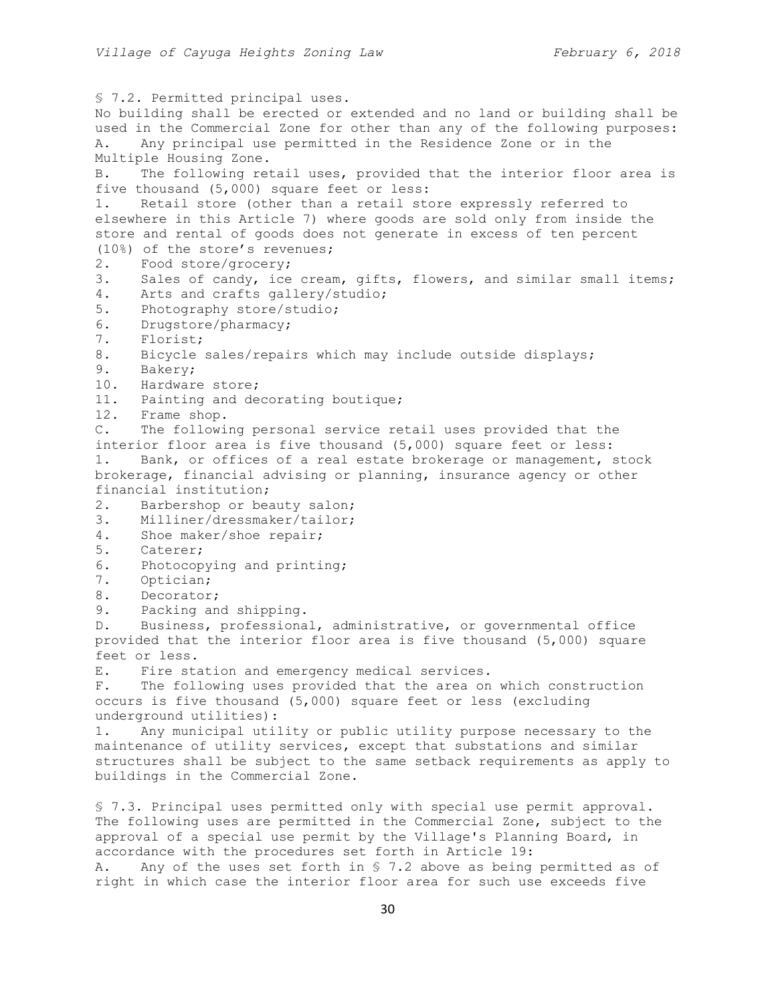§ 7.2. Permitted principal uses. No building shall be erected or extended and no land or building shall be used in the Commercial Zone for other than any of the following purposes: A. Any principal use permitted in the Residence Zone or in the Multiple Housing Zone. B. The following retail uses, provided that the interior floor area is five thousand (5,000) square feet or less: 1. Retail store (other than a retail store expressly referred to elsewhere in this Article 7) where goods are sold only from inside the store and rental of goods does not generate in excess of ten percent (10%) of the store's revenues; 2. Food store/grocery; 3. Sales of candy, ice cream, gifts, flowers, and similar small items; 4. Arts and crafts gallery/studio; 5. Photography store/studio; 6. Drugstore/pharmacy; 7. Florist; 8. Bicycle sales/repairs which may include outside displays; 9. Bakery; 10. Hardware store; 11. Painting and decorating boutique; 12. Frame shop. C. The following personal service retail uses provided that the interior floor area is five thousand (5,000) square feet or less: 1. Bank, or offices of a real estate brokerage or management, stock brokerage, financial advising or planning, insurance agency or other financial institution; 2. Barbershop or beauty salon; 3. Milliner/dressmaker/tailor; 4. Shoe maker/shoe repair; 5. Caterer; 6. Photocopying and printing; 7. Optician; 8. Decorator; 9. Packing and shipping. D. Business, professional, administrative, or governmental office provided that the interior floor area is five thousand (5,000) square feet or less. E. Fire station and emergency medical services. F. The following uses provided that the area on which construction occurs is five thousand (5,000) square feet or less (excluding underground utilities): 1. Any municipal utility or public utility purpose necessary to the maintenance of utility services, except that substations and similar structures shall be subject to the same setback requirements as apply to buildings in the Commercial Zone. § 7.3. Principal uses permitted only with special use permit approval. The following uses are permitted in the Commercial Zone, subject to the approval of a special use permit by the Village's Planning Board, in accordance with the procedures set forth in Article 19:

A. Any of the uses set forth in § 7.2 above as being permitted as of right in which case the interior floor area for such use exceeds five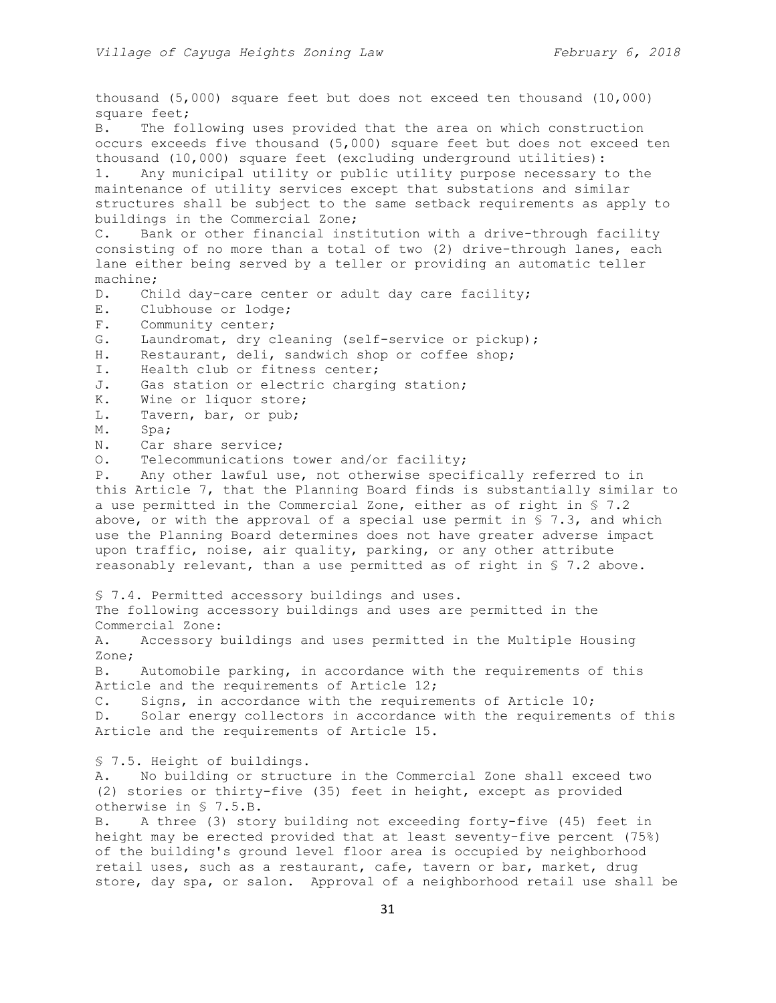thousand (5,000) square feet but does not exceed ten thousand (10,000) square feet; B. The following uses provided that the area on which construction occurs exceeds five thousand (5,000) square feet but does not exceed ten thousand (10,000) square feet (excluding underground utilities): 1. Any municipal utility or public utility purpose necessary to the maintenance of utility services except that substations and similar structures shall be subject to the same setback requirements as apply to buildings in the Commercial Zone; C. Bank or other financial institution with a drive-through facility consisting of no more than a total of two (2) drive-through lanes, each lane either being served by a teller or providing an automatic teller machine; D. Child day-care center or adult day care facility; E. Clubhouse or lodge; F. Community center; G. Laundromat, dry cleaning (self-service or pickup); H. Restaurant, deli, sandwich shop or coffee shop; I. Health club or fitness center; J. Gas station or electric charging station; K. Wine or liquor store; L. Tavern, bar, or pub; M. Spa; N. Car share service; O. Telecommunications tower and/or facility; P. Any other lawful use, not otherwise specifically referred to in this Article 7, that the Planning Board finds is substantially similar to a use permitted in the Commercial Zone, either as of right in § 7.2 above, or with the approval of a special use permit in § 7.3, and which use the Planning Board determines does not have greater adverse impact upon traffic, noise, air quality, parking, or any other attribute reasonably relevant, than a use permitted as of right in § 7.2 above. § 7.4. Permitted accessory buildings and uses. The following accessory buildings and uses are permitted in the Commercial Zone: A. Accessory buildings and uses permitted in the Multiple Housing Zone; B. Automobile parking, in accordance with the requirements of this Article and the requirements of Article 12; C. Signs, in accordance with the requirements of Article 10; D. Solar energy collectors in accordance with the requirements of this Article and the requirements of Article 15. § 7.5. Height of buildings. A. No building or structure in the Commercial Zone shall exceed two (2) stories or thirty-five (35) feet in height, except as provided otherwise in § 7.5.B. B. A three (3) story building not exceeding forty-five (45) feet in height may be erected provided that at least seventy-five percent (75%) of the building's ground level floor area is occupied by neighborhood retail uses, such as a restaurant, cafe, tavern or bar, market, drug store, day spa, or salon. Approval of a neighborhood retail use shall be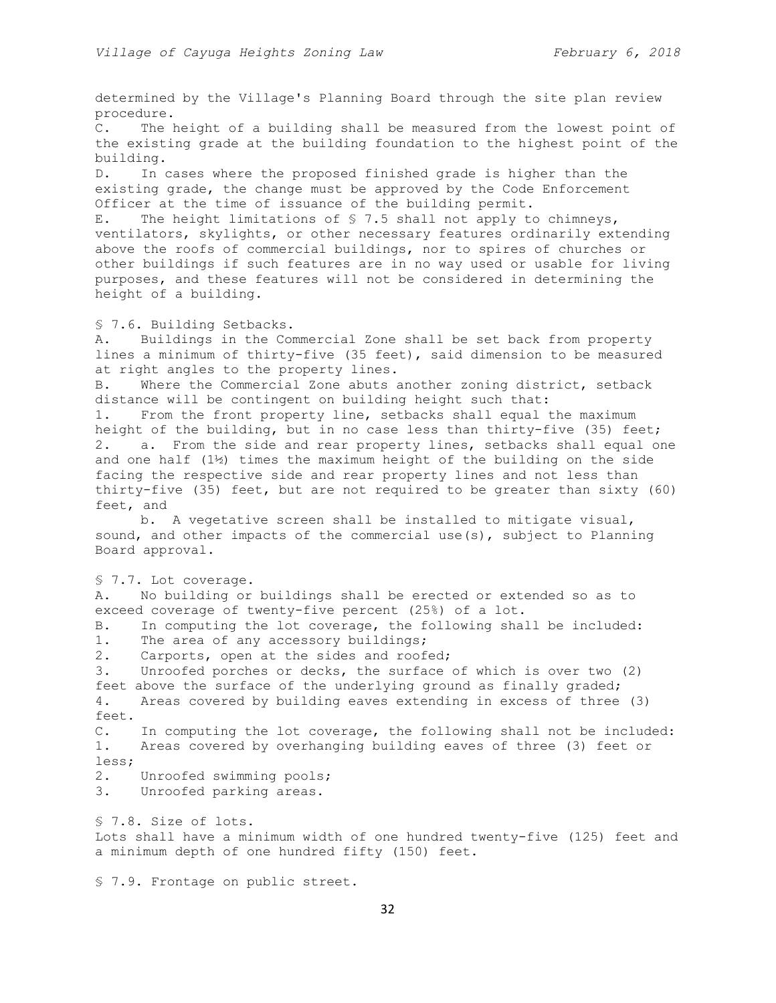determined by the Village's Planning Board through the site plan review procedure.

C. The height of a building shall be measured from the lowest point of the existing grade at the building foundation to the highest point of the building.

D. In cases where the proposed finished grade is higher than the existing grade, the change must be approved by the Code Enforcement Officer at the time of issuance of the building permit.

E. The height limitations of § 7.5 shall not apply to chimneys, ventilators, skylights, or other necessary features ordinarily extending above the roofs of commercial buildings, nor to spires of churches or other buildings if such features are in no way used or usable for living purposes, and these features will not be considered in determining the height of a building.

§ 7.6. Building Setbacks.

A. Buildings in the Commercial Zone shall be set back from property lines a minimum of thirty-five (35 feet), said dimension to be measured at right angles to the property lines.

B. Where the Commercial Zone abuts another zoning district, setback distance will be contingent on building height such that:

1. From the front property line, setbacks shall equal the maximum height of the building, but in no case less than thirty-five (35) feet; 2. a. From the side and rear property lines, setbacks shall equal one and one half  $(1)$  times the maximum height of the building on the side facing the respective side and rear property lines and not less than thirty-five (35) feet, but are not required to be greater than sixty (60) feet, and

b. A vegetative screen shall be installed to mitigate visual, sound, and other impacts of the commercial use(s), subject to Planning Board approval.

§ 7.7. Lot coverage.

A. No building or buildings shall be erected or extended so as to exceed coverage of twenty-five percent (25%) of a lot.

B. In computing the lot coverage, the following shall be included:

1. The area of any accessory buildings;

2. Carports, open at the sides and roofed; 3. Unroofed porches or decks, the surface of which is over two (2) feet above the surface of the underlying ground as finally graded; 4. Areas covered by building eaves extending in excess of three (3)

feet. C. In computing the lot coverage, the following shall not be included:

1. Areas covered by overhanging building eaves of three (3) feet or less;

2. Unroofed swimming pools;

3. Unroofed parking areas.

§ 7.8. Size of lots.

Lots shall have a minimum width of one hundred twenty-five (125) feet and a minimum depth of one hundred fifty (150) feet.

§ 7.9. Frontage on public street.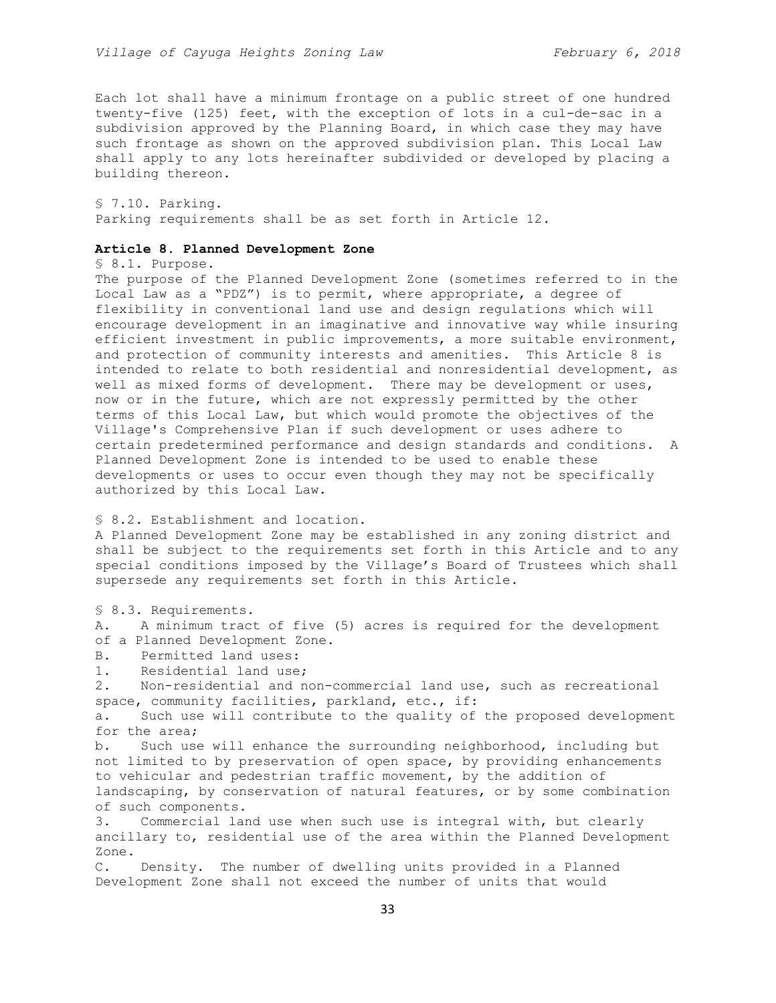Each lot shall have a minimum frontage on a public street of one hundred twenty-five (125) feet, with the exception of lots in a cul-de-sac in a subdivision approved by the Planning Board, in which case they may have such frontage as shown on the approved subdivision plan. This Local Law shall apply to any lots hereinafter subdivided or developed by placing a building thereon.

§ 7.10. Parking. Parking requirements shall be as set forth in Article 12.

## **Article 8. Planned Development Zone**

§ 8.1. Purpose.

The purpose of the Planned Development Zone (sometimes referred to in the Local Law as a "PDZ") is to permit, where appropriate, a degree of flexibility in conventional land use and design regulations which will encourage development in an imaginative and innovative way while insuring efficient investment in public improvements, a more suitable environment, and protection of community interests and amenities. This Article 8 is intended to relate to both residential and nonresidential development, as well as mixed forms of development. There may be development or uses, now or in the future, which are not expressly permitted by the other terms of this Local Law, but which would promote the objectives of the Village's Comprehensive Plan if such development or uses adhere to certain predetermined performance and design standards and conditions. A Planned Development Zone is intended to be used to enable these developments or uses to occur even though they may not be specifically authorized by this Local Law.

# § 8.2. Establishment and location.

A Planned Development Zone may be established in any zoning district and shall be subject to the requirements set forth in this Article and to any special conditions imposed by the Village's Board of Trustees which shall supersede any requirements set forth in this Article.

§ 8.3. Requirements.

A. A minimum tract of five (5) acres is required for the development of a Planned Development Zone.

- B. Permitted land uses:
- 1. Residential land use;

2. Non-residential and non-commercial land use, such as recreational space, community facilities, parkland, etc., if:

a. Such use will contribute to the quality of the proposed development for the area;

b. Such use will enhance the surrounding neighborhood, including but not limited to by preservation of open space, by providing enhancements to vehicular and pedestrian traffic movement, by the addition of landscaping, by conservation of natural features, or by some combination of such components.

3. Commercial land use when such use is integral with, but clearly ancillary to, residential use of the area within the Planned Development Zone.

C. Density. The number of dwelling units provided in a Planned Development Zone shall not exceed the number of units that would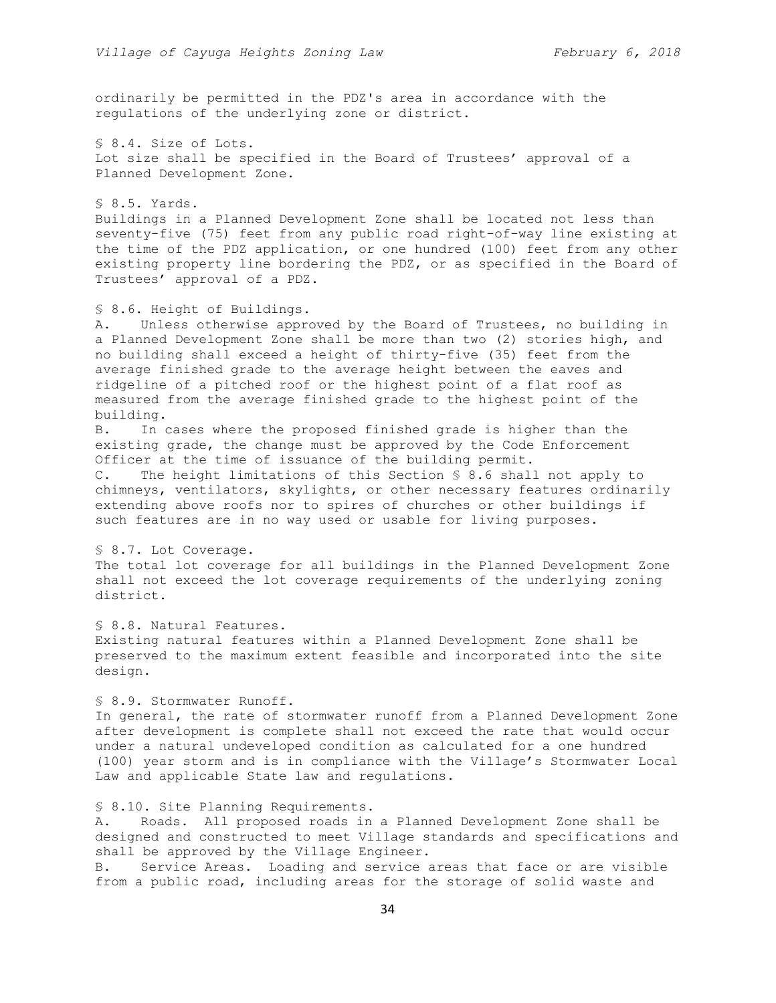ordinarily be permitted in the PDZ's area in accordance with the regulations of the underlying zone or district.

§ 8.4. Size of Lots. Lot size shall be specified in the Board of Trustees' approval of a Planned Development Zone.

§ 8.5. Yards. Buildings in a Planned Development Zone shall be located not less than seventy-five (75) feet from any public road right-of-way line existing at the time of the PDZ application, or one hundred (100) feet from any other existing property line bordering the PDZ, or as specified in the Board of Trustees' approval of a PDZ.

# § 8.6. Height of Buildings.

A. Unless otherwise approved by the Board of Trustees, no building in a Planned Development Zone shall be more than two (2) stories high, and no building shall exceed a height of thirty-five (35) feet from the average finished grade to the average height between the eaves and ridgeline of a pitched roof or the highest point of a flat roof as measured from the average finished grade to the highest point of the building.

B. In cases where the proposed finished grade is higher than the existing grade, the change must be approved by the Code Enforcement Officer at the time of issuance of the building permit.

C. The height limitations of this Section § 8.6 shall not apply to chimneys, ventilators, skylights, or other necessary features ordinarily extending above roofs nor to spires of churches or other buildings if such features are in no way used or usable for living purposes.

# § 8.7. Lot Coverage.

The total lot coverage for all buildings in the Planned Development Zone shall not exceed the lot coverage requirements of the underlying zoning district.

# § 8.8. Natural Features.

Existing natural features within a Planned Development Zone shall be preserved to the maximum extent feasible and incorporated into the site design.

# § 8.9. Stormwater Runoff.

In general, the rate of stormwater runoff from a Planned Development Zone after development is complete shall not exceed the rate that would occur under a natural undeveloped condition as calculated for a one hundred (100) year storm and is in compliance with the Village's Stormwater Local Law and applicable State law and regulations.

## § 8.10. Site Planning Requirements.

A. Roads. All proposed roads in a Planned Development Zone shall be designed and constructed to meet Village standards and specifications and shall be approved by the Village Engineer.

B. Service Areas. Loading and service areas that face or are visible from a public road, including areas for the storage of solid waste and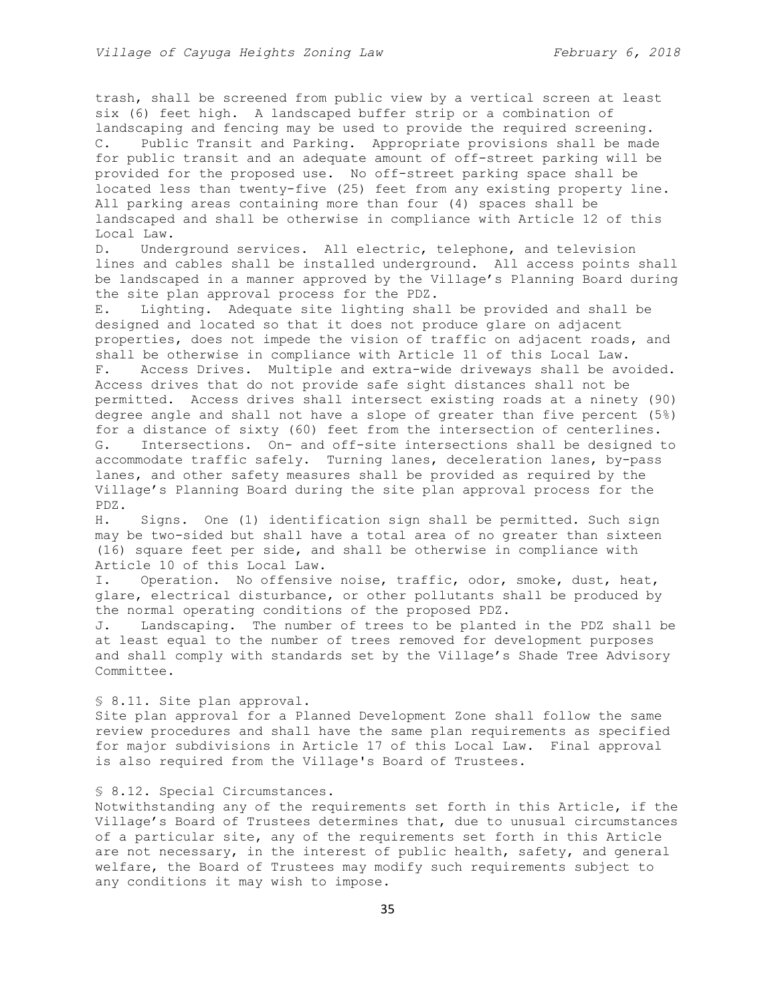trash, shall be screened from public view by a vertical screen at least six (6) feet high. A landscaped buffer strip or a combination of landscaping and fencing may be used to provide the required screening. C. Public Transit and Parking. Appropriate provisions shall be made for public transit and an adequate amount of off-street parking will be provided for the proposed use. No off-street parking space shall be located less than twenty-five (25) feet from any existing property line. All parking areas containing more than four (4) spaces shall be landscaped and shall be otherwise in compliance with Article 12 of this Local Law.

D. Underground services. All electric, telephone, and television lines and cables shall be installed underground. All access points shall be landscaped in a manner approved by the Village's Planning Board during the site plan approval process for the PDZ.

E. Lighting. Adequate site lighting shall be provided and shall be designed and located so that it does not produce glare on adjacent properties, does not impede the vision of traffic on adjacent roads, and shall be otherwise in compliance with Article 11 of this Local Law. F. Access Drives. Multiple and extra-wide driveways shall be avoided. Access drives that do not provide safe sight distances shall not be permitted. Access drives shall intersect existing roads at a ninety (90) degree angle and shall not have a slope of greater than five percent (5%) for a distance of sixty (60) feet from the intersection of centerlines. G. Intersections. On- and off-site intersections shall be designed to accommodate traffic safely. Turning lanes, deceleration lanes, by-pass lanes, and other safety measures shall be provided as required by the Village's Planning Board during the site plan approval process for the PDZ.

H. Signs. One (1) identification sign shall be permitted. Such sign may be two-sided but shall have a total area of no greater than sixteen (16) square feet per side, and shall be otherwise in compliance with Article 10 of this Local Law.

I. Operation. No offensive noise, traffic, odor, smoke, dust, heat, glare, electrical disturbance, or other pollutants shall be produced by the normal operating conditions of the proposed PDZ.

J. Landscaping. The number of trees to be planted in the PDZ shall be at least equal to the number of trees removed for development purposes and shall comply with standards set by the Village's Shade Tree Advisory Committee.

#### § 8.11. Site plan approval.

Site plan approval for a Planned Development Zone shall follow the same review procedures and shall have the same plan requirements as specified for major subdivisions in Article 17 of this Local Law. Final approval is also required from the Village's Board of Trustees.

## § 8.12. Special Circumstances.

Notwithstanding any of the requirements set forth in this Article, if the Village's Board of Trustees determines that, due to unusual circumstances of a particular site, any of the requirements set forth in this Article are not necessary, in the interest of public health, safety, and general welfare, the Board of Trustees may modify such requirements subject to any conditions it may wish to impose.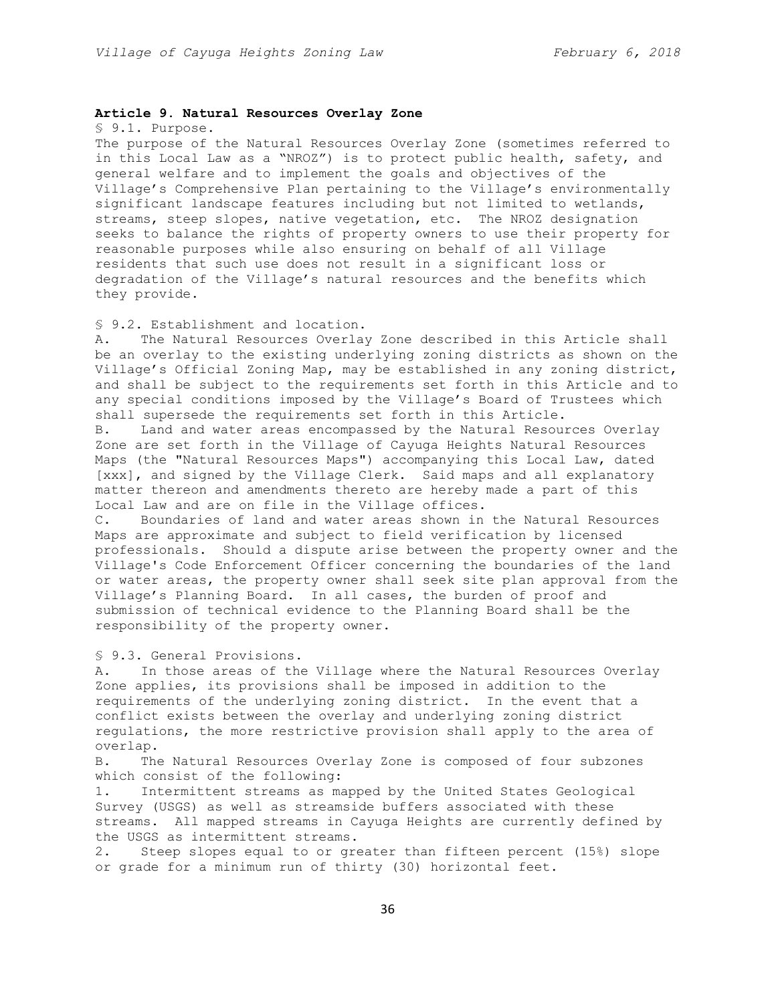## **Article 9. Natural Resources Overlay Zone**

§ 9.1. Purpose.

The purpose of the Natural Resources Overlay Zone (sometimes referred to in this Local Law as a "NROZ") is to protect public health, safety, and general welfare and to implement the goals and objectives of the Village's Comprehensive Plan pertaining to the Village's environmentally significant landscape features including but not limited to wetlands, streams, steep slopes, native vegetation, etc. The NROZ designation seeks to balance the rights of property owners to use their property for reasonable purposes while also ensuring on behalf of all Village residents that such use does not result in a significant loss or degradation of the Village's natural resources and the benefits which they provide.

## § 9.2. Establishment and location.

A. The Natural Resources Overlay Zone described in this Article shall be an overlay to the existing underlying zoning districts as shown on the Village's Official Zoning Map, may be established in any zoning district, and shall be subject to the requirements set forth in this Article and to any special conditions imposed by the Village's Board of Trustees which shall supersede the requirements set forth in this Article.

B. Land and water areas encompassed by the Natural Resources Overlay Zone are set forth in the Village of Cayuga Heights Natural Resources Maps (the "Natural Resources Maps") accompanying this Local Law, dated [xxx], and signed by the Village Clerk. Said maps and all explanatory matter thereon and amendments thereto are hereby made a part of this Local Law and are on file in the Village offices.

C. Boundaries of land and water areas shown in the Natural Resources Maps are approximate and subject to field verification by licensed professionals. Should a dispute arise between the property owner and the Village's Code Enforcement Officer concerning the boundaries of the land or water areas, the property owner shall seek site plan approval from the Village's Planning Board. In all cases, the burden of proof and submission of technical evidence to the Planning Board shall be the responsibility of the property owner.

§ 9.3. General Provisions.

A. In those areas of the Village where the Natural Resources Overlay Zone applies, its provisions shall be imposed in addition to the requirements of the underlying zoning district. In the event that a conflict exists between the overlay and underlying zoning district regulations, the more restrictive provision shall apply to the area of overlap.

B. The Natural Resources Overlay Zone is composed of four subzones which consist of the following:

1. Intermittent streams as mapped by the United States Geological Survey (USGS) as well as streamside buffers associated with these streams. All mapped streams in Cayuga Heights are currently defined by the USGS as intermittent streams.

2. Steep slopes equal to or greater than fifteen percent (15%) slope or grade for a minimum run of thirty (30) horizontal feet.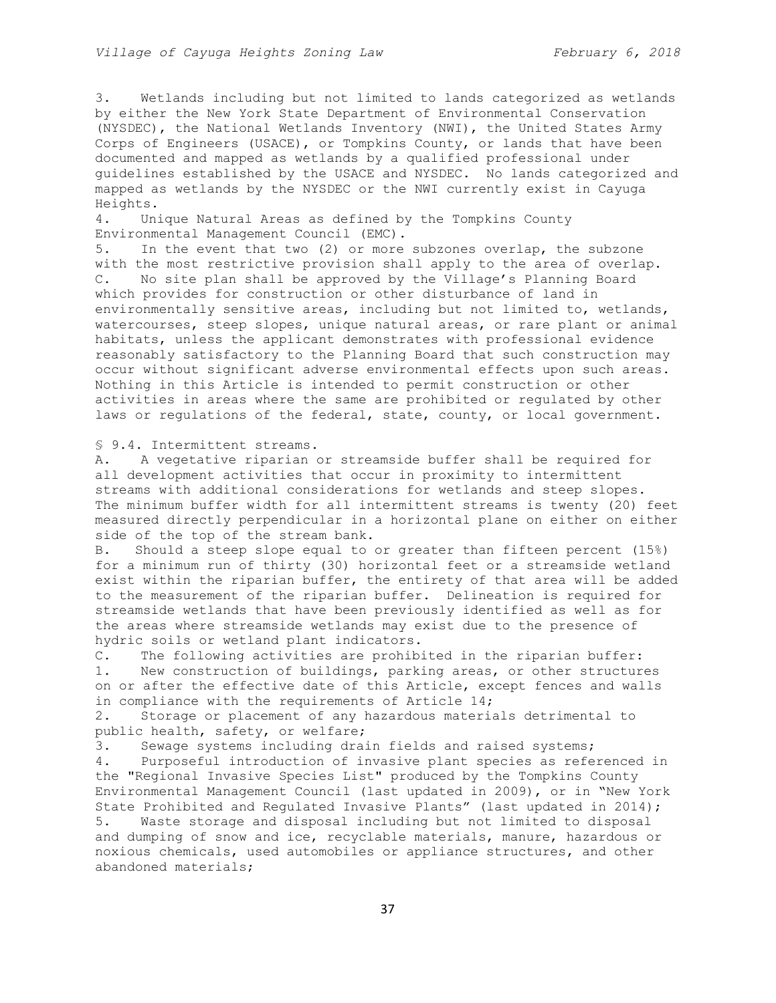3. Wetlands including but not limited to lands categorized as wetlands by either the New York State Department of Environmental Conservation (NYSDEC), the National Wetlands Inventory (NWI), the United States Army Corps of Engineers (USACE), or Tompkins County, or lands that have been documented and mapped as wetlands by a qualified professional under guidelines established by the USACE and NYSDEC. No lands categorized and mapped as wetlands by the NYSDEC or the NWI currently exist in Cayuga Heights.

4. Unique Natural Areas as defined by the Tompkins County Environmental Management Council (EMC).

5. In the event that two (2) or more subzones overlap, the subzone with the most restrictive provision shall apply to the area of overlap. C. No site plan shall be approved by the Village's Planning Board which provides for construction or other disturbance of land in environmentally sensitive areas, including but not limited to, wetlands, watercourses, steep slopes, unique natural areas, or rare plant or animal habitats, unless the applicant demonstrates with professional evidence reasonably satisfactory to the Planning Board that such construction may occur without significant adverse environmental effects upon such areas. Nothing in this Article is intended to permit construction or other activities in areas where the same are prohibited or regulated by other laws or regulations of the federal, state, county, or local government.

§ 9.4. Intermittent streams.

A. A vegetative riparian or streamside buffer shall be required for all development activities that occur in proximity to intermittent streams with additional considerations for wetlands and steep slopes. The minimum buffer width for all intermittent streams is twenty (20) feet measured directly perpendicular in a horizontal plane on either on either side of the top of the stream bank.

B. Should a steep slope equal to or greater than fifteen percent (15%) for a minimum run of thirty (30) horizontal feet or a streamside wetland exist within the riparian buffer, the entirety of that area will be added to the measurement of the riparian buffer. Delineation is required for streamside wetlands that have been previously identified as well as for the areas where streamside wetlands may exist due to the presence of hydric soils or wetland plant indicators.

C. The following activities are prohibited in the riparian buffer: 1. New construction of buildings, parking areas, or other structures on or after the effective date of this Article, except fences and walls in compliance with the requirements of Article 14;

2. Storage or placement of any hazardous materials detrimental to public health, safety, or welfare;

3. Sewage systems including drain fields and raised systems; 4. Purposeful introduction of invasive plant species as referenced in the "Regional Invasive Species List" produced by the Tompkins County Environmental Management Council (last updated in 2009), or in "New York State Prohibited and Regulated Invasive Plants" (last updated in 2014); 5. Waste storage and disposal including but not limited to disposal and dumping of snow and ice, recyclable materials, manure, hazardous or noxious chemicals, used automobiles or appliance structures, and other abandoned materials;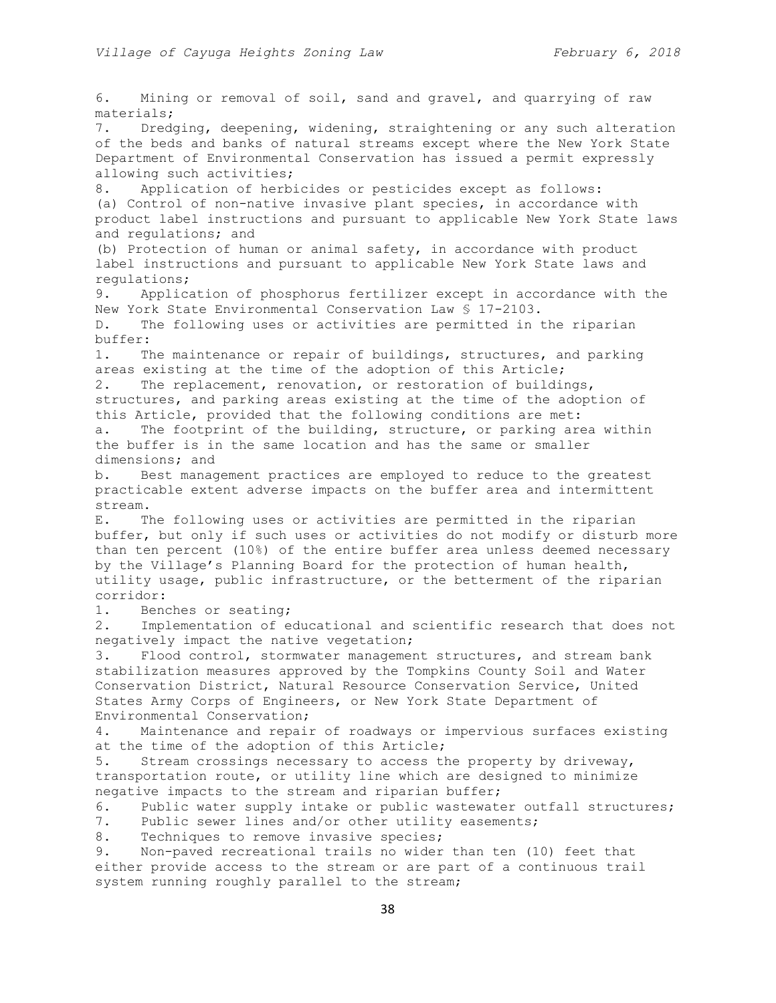6. Mining or removal of soil, sand and gravel, and quarrying of raw materials; 7. Dredging, deepening, widening, straightening or any such alteration of the beds and banks of natural streams except where the New York State Department of Environmental Conservation has issued a permit expressly allowing such activities; 8. Application of herbicides or pesticides except as follows: (a) Control of non-native invasive plant species, in accordance with product label instructions and pursuant to applicable New York State laws and regulations; and (b) Protection of human or animal safety, in accordance with product label instructions and pursuant to applicable New York State laws and regulations; 9. Application of phosphorus fertilizer except in accordance with the New York State Environmental Conservation Law § 17-2103. D. The following uses or activities are permitted in the riparian buffer: 1. The maintenance or repair of buildings, structures, and parking areas existing at the time of the adoption of this Article; 2. The replacement, renovation, or restoration of buildings, structures, and parking areas existing at the time of the adoption of this Article, provided that the following conditions are met: a. The footprint of the building, structure, or parking area within the buffer is in the same location and has the same or smaller dimensions; and b. Best management practices are employed to reduce to the greatest practicable extent adverse impacts on the buffer area and intermittent stream. E. The following uses or activities are permitted in the riparian buffer, but only if such uses or activities do not modify or disturb more than ten percent (10%) of the entire buffer area unless deemed necessary by the Village's Planning Board for the protection of human health, utility usage, public infrastructure, or the betterment of the riparian corridor: 1. Benches or seating; 2. Implementation of educational and scientific research that does not negatively impact the native vegetation; 3. Flood control, stormwater management structures, and stream bank stabilization measures approved by the Tompkins County Soil and Water Conservation District, Natural Resource Conservation Service, United States Army Corps of Engineers, or New York State Department of Environmental Conservation; 4. Maintenance and repair of roadways or impervious surfaces existing at the time of the adoption of this Article; 5. Stream crossings necessary to access the property by driveway, transportation route, or utility line which are designed to minimize negative impacts to the stream and riparian buffer; 6. Public water supply intake or public wastewater outfall structures; 7. Public sewer lines and/or other utility easements; 8. Techniques to remove invasive species; 9. Non-paved recreational trails no wider than ten (10) feet that either provide access to the stream or are part of a continuous trail system running roughly parallel to the stream;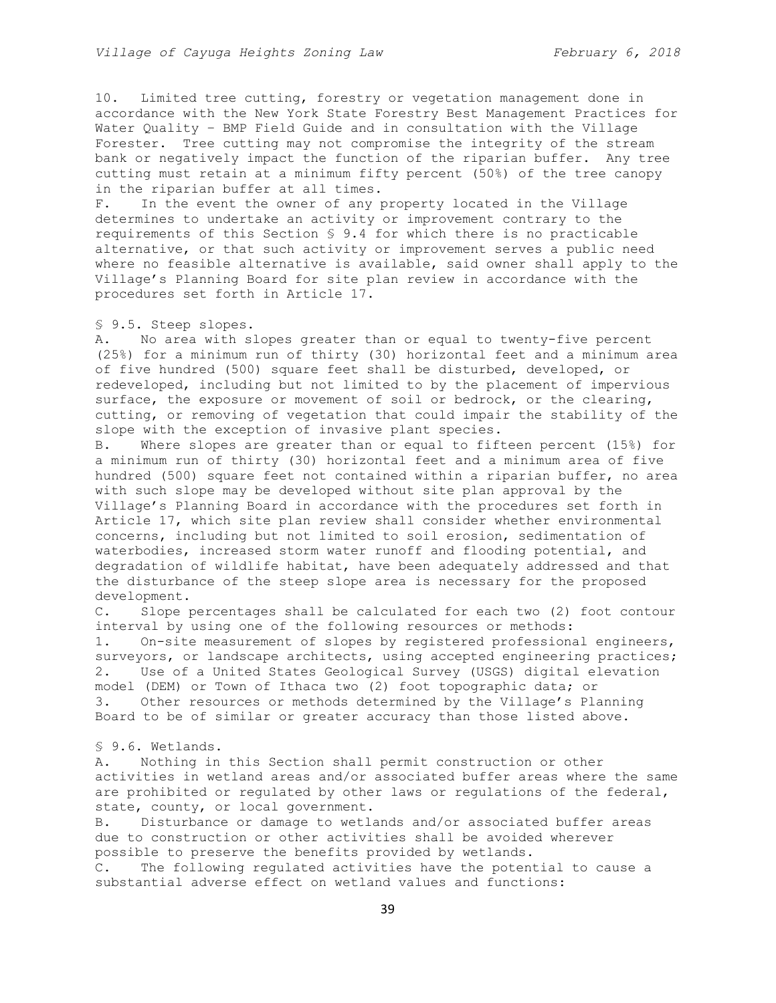10. Limited tree cutting, forestry or vegetation management done in accordance with the New York State Forestry Best Management Practices for Water Quality – BMP Field Guide and in consultation with the Village Forester. Tree cutting may not compromise the integrity of the stream bank or negatively impact the function of the riparian buffer. Any tree cutting must retain at a minimum fifty percent (50%) of the tree canopy in the riparian buffer at all times.

F. In the event the owner of any property located in the Village determines to undertake an activity or improvement contrary to the requirements of this Section § 9.4 for which there is no practicable alternative, or that such activity or improvement serves a public need where no feasible alternative is available, said owner shall apply to the Village's Planning Board for site plan review in accordance with the procedures set forth in Article 17.

## § 9.5. Steep slopes.

A. No area with slopes greater than or equal to twenty-five percent (25%) for a minimum run of thirty (30) horizontal feet and a minimum area of five hundred (500) square feet shall be disturbed, developed, or redeveloped, including but not limited to by the placement of impervious surface, the exposure or movement of soil or bedrock, or the clearing, cutting, or removing of vegetation that could impair the stability of the slope with the exception of invasive plant species.

B. Where slopes are greater than or equal to fifteen percent (15%) for a minimum run of thirty (30) horizontal feet and a minimum area of five hundred (500) square feet not contained within a riparian buffer, no area with such slope may be developed without site plan approval by the Village's Planning Board in accordance with the procedures set forth in Article 17, which site plan review shall consider whether environmental concerns, including but not limited to soil erosion, sedimentation of waterbodies, increased storm water runoff and flooding potential, and degradation of wildlife habitat, have been adequately addressed and that the disturbance of the steep slope area is necessary for the proposed development.

C. Slope percentages shall be calculated for each two (2) foot contour interval by using one of the following resources or methods: 1. On-site measurement of slopes by registered professional engineers, surveyors, or landscape architects, using accepted engineering practices; 2. Use of a United States Geological Survey (USGS) digital elevation model (DEM) or Town of Ithaca two (2) foot topographic data; or 3. Other resources or methods determined by the Village's Planning Board to be of similar or greater accuracy than those listed above.

#### § 9.6. Wetlands.

A. Nothing in this Section shall permit construction or other activities in wetland areas and/or associated buffer areas where the same are prohibited or regulated by other laws or regulations of the federal, state, county, or local government.

B. Disturbance or damage to wetlands and/or associated buffer areas due to construction or other activities shall be avoided wherever possible to preserve the benefits provided by wetlands.

C. The following regulated activities have the potential to cause a substantial adverse effect on wetland values and functions: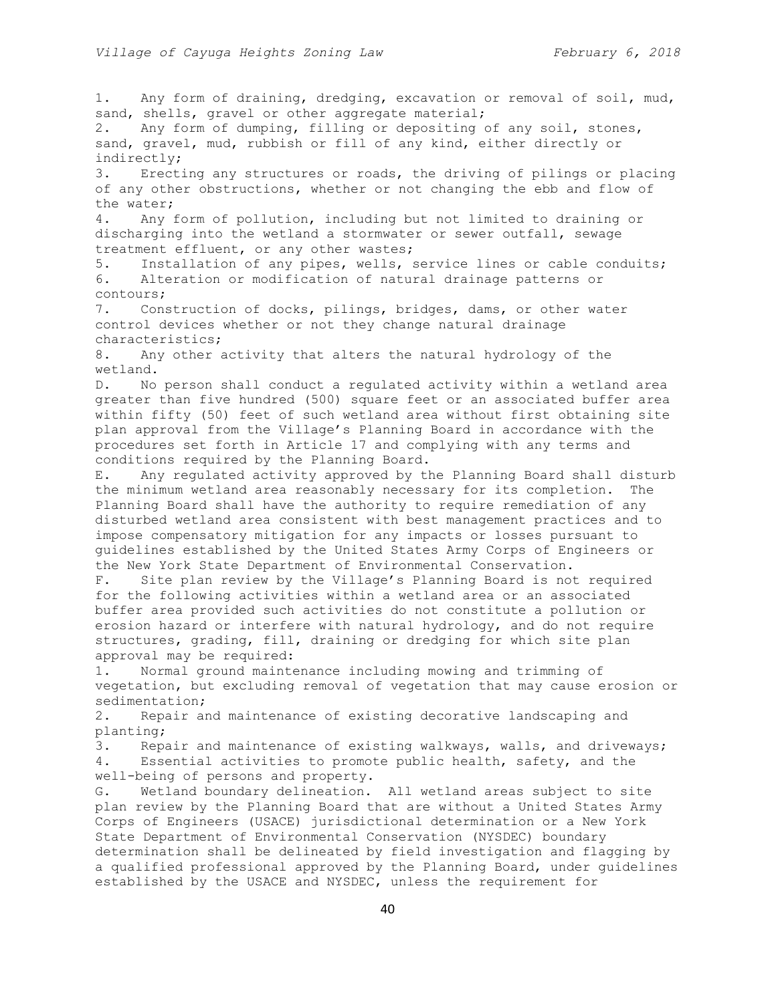sand, shells, gravel or other aggregate material; 2. Any form of dumping, filling or depositing of any soil, stones, sand, gravel, mud, rubbish or fill of any kind, either directly or indirectly; 3. Erecting any structures or roads, the driving of pilings or placing of any other obstructions, whether or not changing the ebb and flow of the water; 4. Any form of pollution, including but not limited to draining or discharging into the wetland a stormwater or sewer outfall, sewage treatment effluent, or any other wastes; 5. Installation of any pipes, wells, service lines or cable conduits; 6. Alteration or modification of natural drainage patterns or contours; 7. Construction of docks, pilings, bridges, dams, or other water control devices whether or not they change natural drainage characteristics; 8. Any other activity that alters the natural hydrology of the wetland. D. No person shall conduct a regulated activity within a wetland area greater than five hundred (500) square feet or an associated buffer area within fifty (50) feet of such wetland area without first obtaining site plan approval from the Village's Planning Board in accordance with the procedures set forth in Article 17 and complying with any terms and conditions required by the Planning Board. E. Any regulated activity approved by the Planning Board shall disturb the minimum wetland area reasonably necessary for its completion. The Planning Board shall have the authority to require remediation of any disturbed wetland area consistent with best management practices and to impose compensatory mitigation for any impacts or losses pursuant to guidelines established by the United States Army Corps of Engineers or the New York State Department of Environmental Conservation. F. Site plan review by the Village's Planning Board is not required for the following activities within a wetland area or an associated buffer area provided such activities do not constitute a pollution or erosion hazard or interfere with natural hydrology, and do not require structures, grading, fill, draining or dredging for which site plan approval may be required: 1. Normal ground maintenance including mowing and trimming of vegetation, but excluding removal of vegetation that may cause erosion or sedimentation; 2. Repair and maintenance of existing decorative landscaping and planting; 3. Repair and maintenance of existing walkways, walls, and driveways; 4. Essential activities to promote public health, safety, and the well-being of persons and property. G. Wetland boundary delineation. All wetland areas subject to site plan review by the Planning Board that are without a United States Army Corps of Engineers (USACE) jurisdictional determination or a New York State Department of Environmental Conservation (NYSDEC) boundary determination shall be delineated by field investigation and flagging by a qualified professional approved by the Planning Board, under guidelines established by the USACE and NYSDEC, unless the requirement for

1. Any form of draining, dredging, excavation or removal of soil, mud,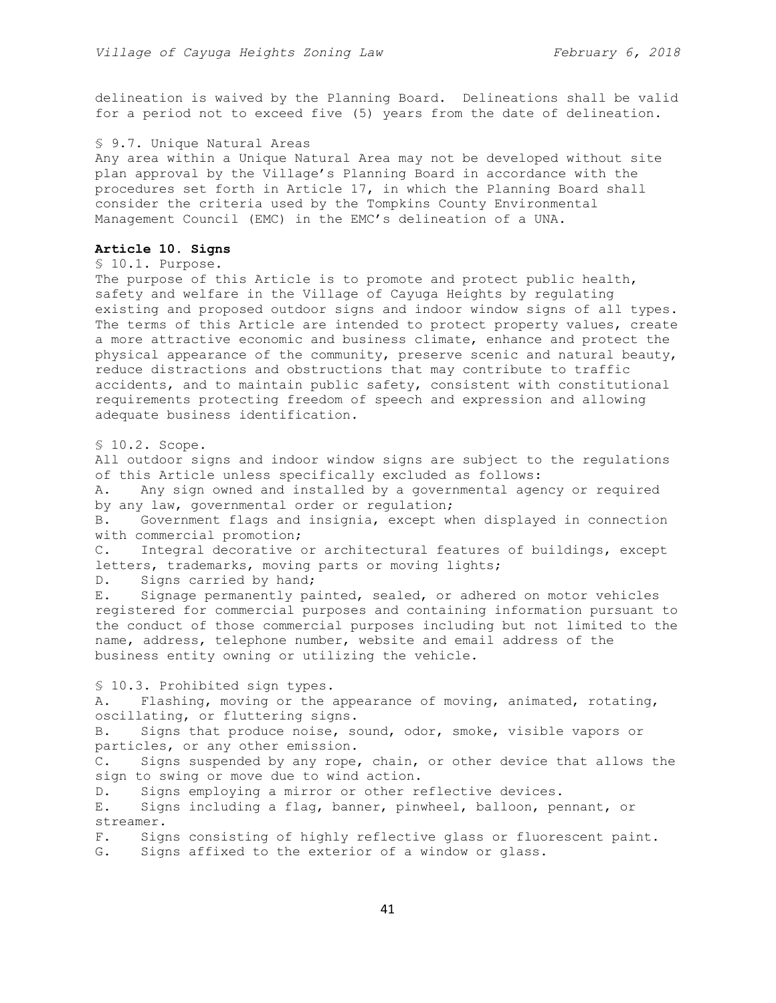delineation is waived by the Planning Board. Delineations shall be valid for a period not to exceed five (5) years from the date of delineation.

### § 9.7. Unique Natural Areas

Any area within a Unique Natural Area may not be developed without site plan approval by the Village's Planning Board in accordance with the procedures set forth in Article 17, in which the Planning Board shall consider the criteria used by the Tompkins County Environmental Management Council (EMC) in the EMC's delineation of a UNA.

#### **Article 10. Signs**

```
§ 10.1. Purpose.
```
The purpose of this Article is to promote and protect public health, safety and welfare in the Village of Cayuga Heights by regulating existing and proposed outdoor signs and indoor window signs of all types. The terms of this Article are intended to protect property values, create a more attractive economic and business climate, enhance and protect the physical appearance of the community, preserve scenic and natural beauty, reduce distractions and obstructions that may contribute to traffic accidents, and to maintain public safety, consistent with constitutional requirements protecting freedom of speech and expression and allowing adequate business identification.

§ 10.2. Scope.

All outdoor signs and indoor window signs are subject to the regulations of this Article unless specifically excluded as follows:

A. Any sign owned and installed by a governmental agency or required by any law, governmental order or regulation;

B. Government flags and insignia, except when displayed in connection with commercial promotion;

C. Integral decorative or architectural features of buildings, except letters, trademarks, moving parts or moving lights;

D. Signs carried by hand;

E. Signage permanently painted, sealed, or adhered on motor vehicles registered for commercial purposes and containing information pursuant to the conduct of those commercial purposes including but not limited to the name, address, telephone number, website and email address of the business entity owning or utilizing the vehicle.

§ 10.3. Prohibited sign types.

A. Flashing, moving or the appearance of moving, animated, rotating, oscillating, or fluttering signs.

B. Signs that produce noise, sound, odor, smoke, visible vapors or particles, or any other emission.

C. Signs suspended by any rope, chain, or other device that allows the sign to swing or move due to wind action.

D. Signs employing a mirror or other reflective devices.

E. Signs including a flag, banner, pinwheel, balloon, pennant, or streamer.

F. Signs consisting of highly reflective glass or fluorescent paint.

G. Signs affixed to the exterior of a window or glass.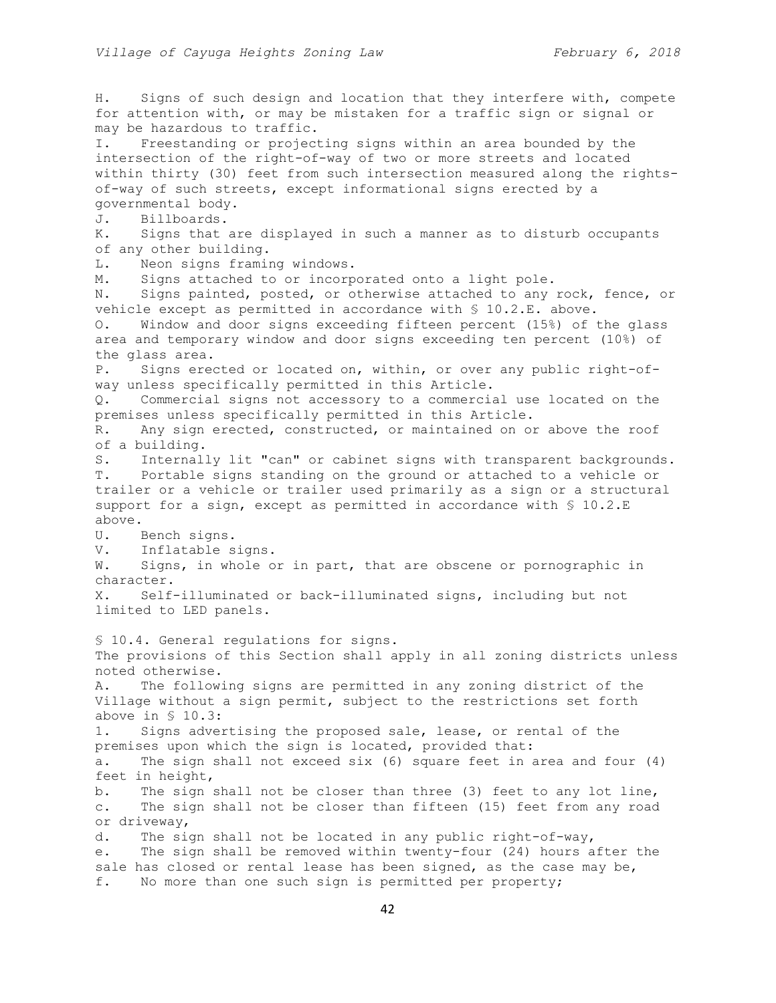H. Signs of such design and location that they interfere with, compete for attention with, or may be mistaken for a traffic sign or signal or may be hazardous to traffic. I. Freestanding or projecting signs within an area bounded by the intersection of the right-of-way of two or more streets and located within thirty (30) feet from such intersection measured along the rightsof-way of such streets, except informational signs erected by a governmental body. J. Billboards. K. Signs that are displayed in such a manner as to disturb occupants of any other building. L. Neon signs framing windows. M. Signs attached to or incorporated onto a light pole. N. Signs painted, posted, or otherwise attached to any rock, fence, or vehicle except as permitted in accordance with § 10.2.E. above. O. Window and door signs exceeding fifteen percent (15%) of the glass area and temporary window and door signs exceeding ten percent (10%) of the glass area. P. Signs erected or located on, within, or over any public right-ofway unless specifically permitted in this Article. Q. Commercial signs not accessory to a commercial use located on the premises unless specifically permitted in this Article. R. Any sign erected, constructed, or maintained on or above the roof of a building. S. Internally lit "can" or cabinet signs with transparent backgrounds. T. Portable signs standing on the ground or attached to a vehicle or trailer or a vehicle or trailer used primarily as a sign or a structural support for a sign, except as permitted in accordance with § 10.2.E above. U. Bench signs. V. Inflatable signs. W. Signs, in whole or in part, that are obscene or pornographic in character. X. Self-illuminated or back-illuminated signs, including but not limited to LED panels. § 10.4. General regulations for signs. The provisions of this Section shall apply in all zoning districts unless noted otherwise. A. The following signs are permitted in any zoning district of the Village without a sign permit, subject to the restrictions set forth above in § 10.3: 1. Signs advertising the proposed sale, lease, or rental of the premises upon which the sign is located, provided that: a. The sign shall not exceed six (6) square feet in area and four (4) feet in height, b. The sign shall not be closer than three (3) feet to any lot line, c. The sign shall not be closer than fifteen (15) feet from any road or driveway, d. The sign shall not be located in any public right-of-way, e. The sign shall be removed within twenty-four (24) hours after the sale has closed or rental lease has been signed, as the case may be, f. No more than one such sign is permitted per property;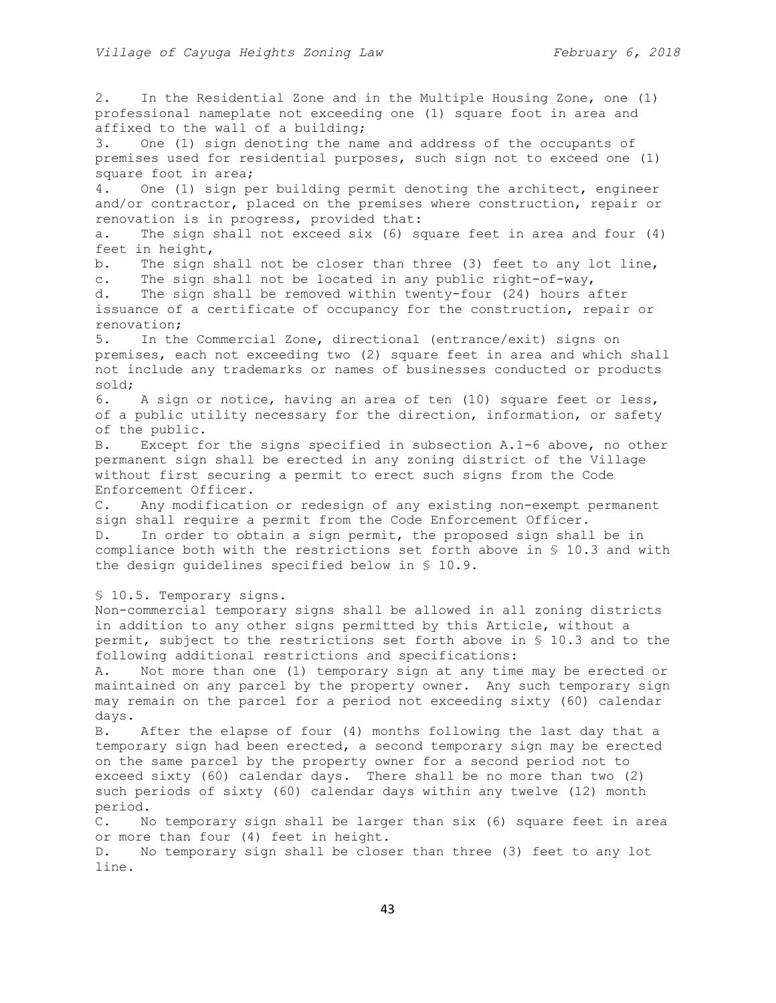2. In the Residential Zone and in the Multiple Housing Zone, one (1) professional nameplate not exceeding one (1) square foot in area and affixed to the wall of a building; 3. One (1) sign denoting the name and address of the occupants of premises used for residential purposes, such sign not to exceed one (1) square foot in area; 4. One (1) sign per building permit denoting the architect, engineer and/or contractor, placed on the premises where construction, repair or renovation is in progress, provided that: a. The sign shall not exceed six (6) square feet in area and four (4) feet in height, b. The sign shall not be closer than three (3) feet to any lot line, c. The sign shall not be located in any public right-of-way, d. The sign shall be removed within twenty-four (24) hours after issuance of a certificate of occupancy for the construction, repair or renovation; 5. In the Commercial Zone, directional (entrance/exit) signs on premises, each not exceeding two (2) square feet in area and which shall not include any trademarks or names of businesses conducted or products sold; 6. A sign or notice, having an area of ten (10) square feet or less, of a public utility necessary for the direction, information, or safety of the public. B. Except for the signs specified in subsection A.1-6 above, no other permanent sign shall be erected in any zoning district of the Village without first securing a permit to erect such signs from the Code Enforcement Officer. C. Any modification or redesign of any existing non-exempt permanent sign shall require a permit from the Code Enforcement Officer. D. In order to obtain a sign permit, the proposed sign shall be in compliance both with the restrictions set forth above in § 10.3 and with the design guidelines specified below in § 10.9. § 10.5. Temporary signs. Non-commercial temporary signs shall be allowed in all zoning districts in addition to any other signs permitted by this Article, without a permit, subject to the restrictions set forth above in § 10.3 and to the following additional restrictions and specifications: A. Not more than one (1) temporary sign at any time may be erected or maintained on any parcel by the property owner. Any such temporary sign may remain on the parcel for a period not exceeding sixty (60) calendar days. B. After the elapse of four (4) months following the last day that a temporary sign had been erected, a second temporary sign may be erected on the same parcel by the property owner for a second period not to exceed sixty (60) calendar days. There shall be no more than two (2) such periods of sixty (60) calendar days within any twelve (12) month period. C. No temporary sign shall be larger than six (6) square feet in area or more than four (4) feet in height. D. No temporary sign shall be closer than three (3) feet to any lot line.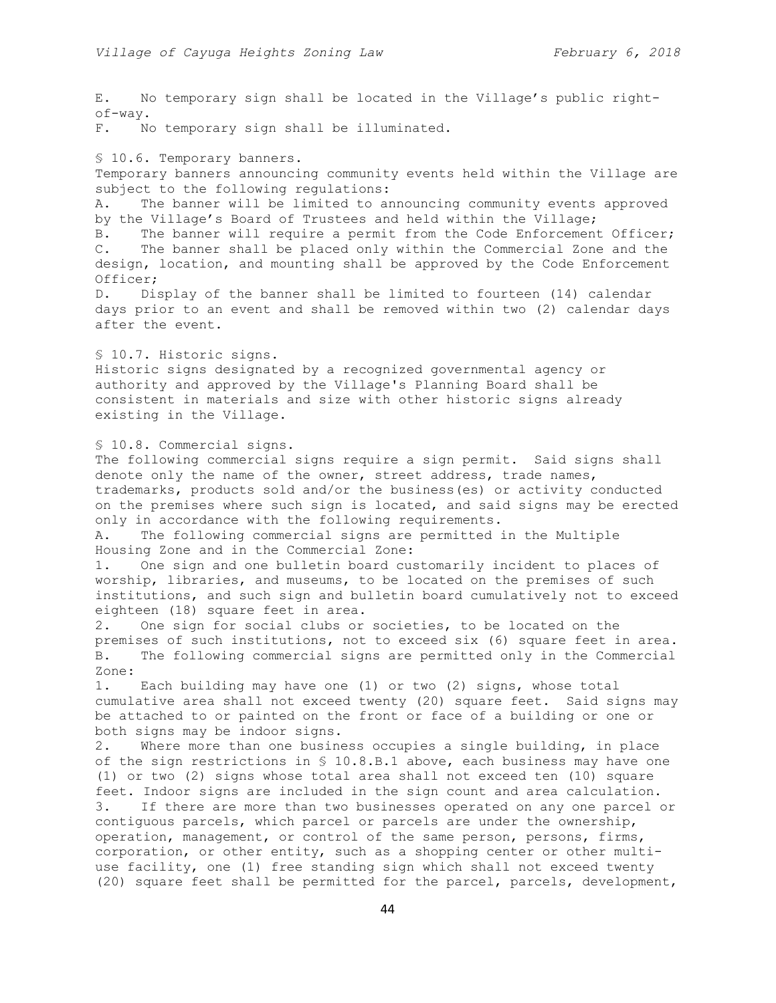E. No temporary sign shall be located in the Village's public rightof-way. F. No temporary sign shall be illuminated. § 10.6. Temporary banners. Temporary banners announcing community events held within the Village are subject to the following regulations: A. The banner will be limited to announcing community events approved by the Village's Board of Trustees and held within the Village; B. The banner will require a permit from the Code Enforcement Officer; C. The banner shall be placed only within the Commercial Zone and the design, location, and mounting shall be approved by the Code Enforcement Officer; D. Display of the banner shall be limited to fourteen (14) calendar days prior to an event and shall be removed within two (2) calendar days after the event. § 10.7. Historic signs. Historic signs designated by a recognized governmental agency or authority and approved by the Village's Planning Board shall be consistent in materials and size with other historic signs already existing in the Village. § 10.8. Commercial signs. The following commercial signs require a sign permit. Said signs shall denote only the name of the owner, street address, trade names, trademarks, products sold and/or the business(es) or activity conducted on the premises where such sign is located, and said signs may be erected only in accordance with the following requirements. A. The following commercial signs are permitted in the Multiple Housing Zone and in the Commercial Zone: 1. One sign and one bulletin board customarily incident to places of worship, libraries, and museums, to be located on the premises of such institutions, and such sign and bulletin board cumulatively not to exceed eighteen (18) square feet in area. 2. One sign for social clubs or societies, to be located on the premises of such institutions, not to exceed six (6) square feet in area. B. The following commercial signs are permitted only in the Commercial Zone: 1. Each building may have one (1) or two (2) signs, whose total cumulative area shall not exceed twenty (20) square feet. Said signs may be attached to or painted on the front or face of a building or one or both signs may be indoor signs. 2. Where more than one business occupies a single building, in place of the sign restrictions in § 10.8.B.1 above, each business may have one (1) or two (2) signs whose total area shall not exceed ten (10) square feet. Indoor signs are included in the sign count and area calculation. 3. If there are more than two businesses operated on any one parcel or contiguous parcels, which parcel or parcels are under the ownership, operation, management, or control of the same person, persons, firms, corporation, or other entity, such as a shopping center or other multiuse facility, one (1) free standing sign which shall not exceed twenty (20) square feet shall be permitted for the parcel, parcels, development,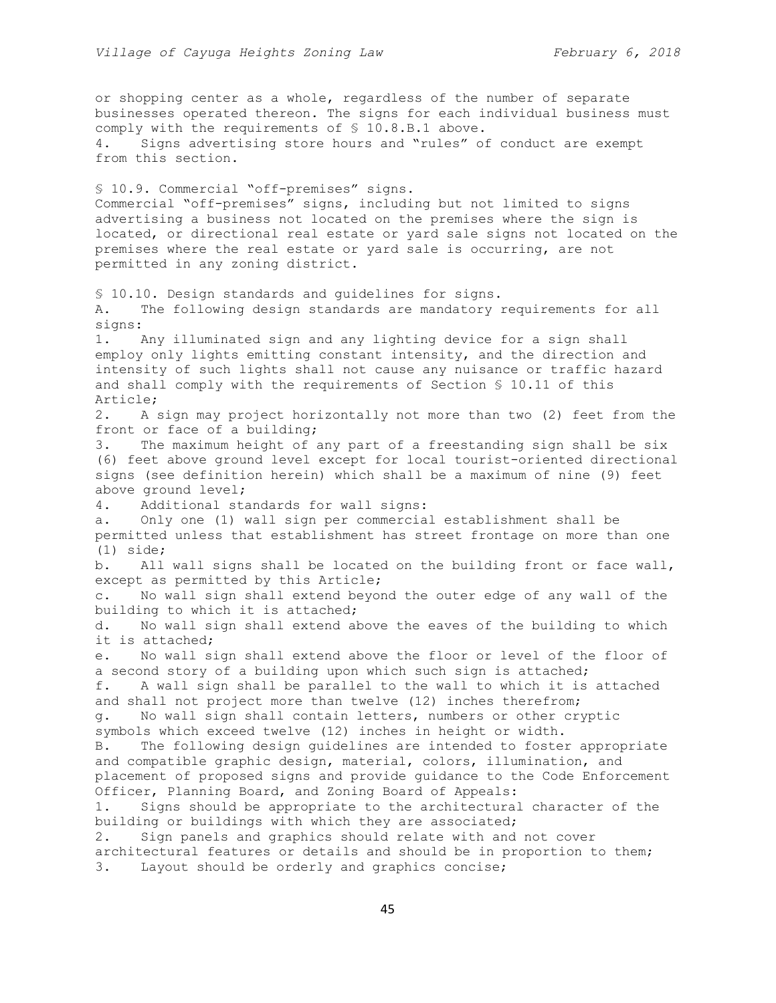or shopping center as a whole, regardless of the number of separate businesses operated thereon. The signs for each individual business must comply with the requirements of § 10.8.B.1 above. 4. Signs advertising store hours and "rules" of conduct are exempt from this section. § 10.9. Commercial "off-premises" signs. Commercial "off-premises" signs, including but not limited to signs advertising a business not located on the premises where the sign is located, or directional real estate or yard sale signs not located on the premises where the real estate or yard sale is occurring, are not permitted in any zoning district. § 10.10. Design standards and guidelines for signs. A. The following design standards are mandatory requirements for all signs: 1. Any illuminated sign and any lighting device for a sign shall employ only lights emitting constant intensity, and the direction and intensity of such lights shall not cause any nuisance or traffic hazard and shall comply with the requirements of Section § 10.11 of this Article; 2. A sign may project horizontally not more than two (2) feet from the front or face of a building; 3. The maximum height of any part of a freestanding sign shall be six (6) feet above ground level except for local tourist-oriented directional signs (see definition herein) which shall be a maximum of nine (9) feet above ground level; 4. Additional standards for wall signs: a. Only one (1) wall sign per commercial establishment shall be permitted unless that establishment has street frontage on more than one (1) side; b. All wall signs shall be located on the building front or face wall, except as permitted by this Article; c. No wall sign shall extend beyond the outer edge of any wall of the building to which it is attached; d. No wall sign shall extend above the eaves of the building to which it is attached; e. No wall sign shall extend above the floor or level of the floor of a second story of a building upon which such sign is attached; f. A wall sign shall be parallel to the wall to which it is attached and shall not project more than twelve (12) inches therefrom; g. No wall sign shall contain letters, numbers or other cryptic symbols which exceed twelve (12) inches in height or width. B. The following design guidelines are intended to foster appropriate and compatible graphic design, material, colors, illumination, and placement of proposed signs and provide guidance to the Code Enforcement Officer, Planning Board, and Zoning Board of Appeals: 1. Signs should be appropriate to the architectural character of the building or buildings with which they are associated; 2. Sign panels and graphics should relate with and not cover architectural features or details and should be in proportion to them; 3. Layout should be orderly and graphics concise;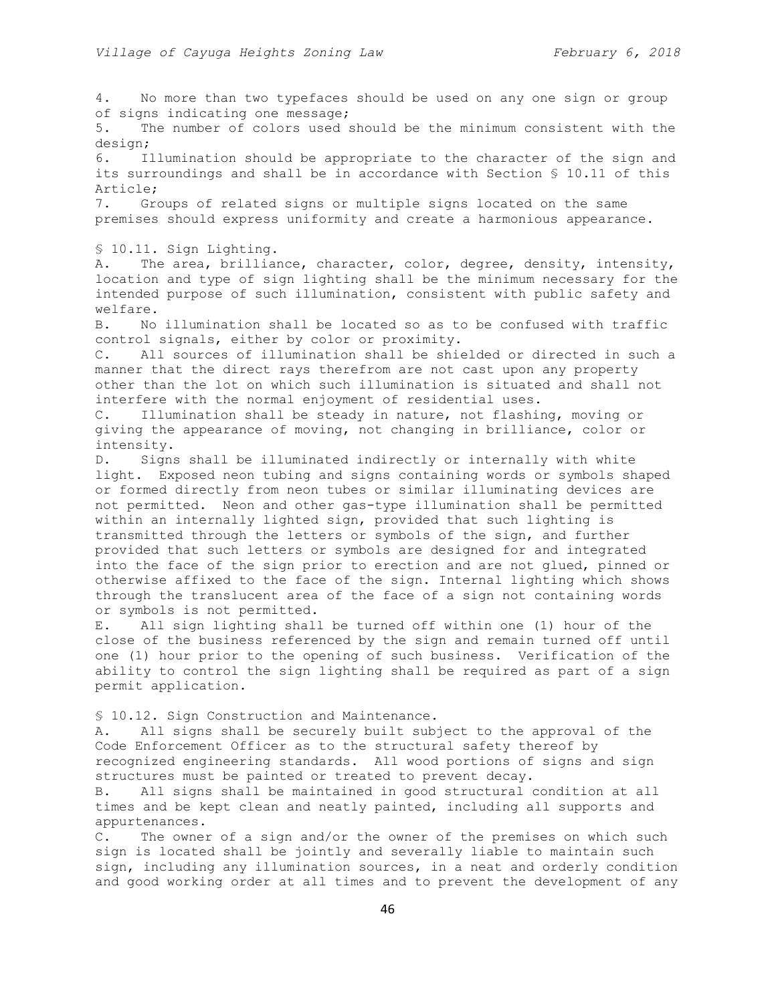4. No more than two typefaces should be used on any one sign or group of signs indicating one message; 5. The number of colors used should be the minimum consistent with the design; 6. Illumination should be appropriate to the character of the sign and its surroundings and shall be in accordance with Section § 10.11 of this Article; 7. Groups of related signs or multiple signs located on the same premises should express uniformity and create a harmonious appearance. § 10.11. Sign Lighting. A. The area, brilliance, character, color, degree, density, intensity, location and type of sign lighting shall be the minimum necessary for the intended purpose of such illumination, consistent with public safety and welfare. B. No illumination shall be located so as to be confused with traffic control signals, either by color or proximity. C. All sources of illumination shall be shielded or directed in such a manner that the direct rays therefrom are not cast upon any property other than the lot on which such illumination is situated and shall not interfere with the normal enjoyment of residential uses. C. Illumination shall be steady in nature, not flashing, moving or giving the appearance of moving, not changing in brilliance, color or intensity. D. Signs shall be illuminated indirectly or internally with white light. Exposed neon tubing and signs containing words or symbols shaped or formed directly from neon tubes or similar illuminating devices are not permitted. Neon and other gas-type illumination shall be permitted within an internally lighted sign, provided that such lighting is transmitted through the letters or symbols of the sign, and further provided that such letters or symbols are designed for and integrated into the face of the sign prior to erection and are not glued, pinned or otherwise affixed to the face of the sign. Internal lighting which shows through the translucent area of the face of a sign not containing words or symbols is not permitted. E. All sign lighting shall be turned off within one (1) hour of the close of the business referenced by the sign and remain turned off until one (1) hour prior to the opening of such business. Verification of the ability to control the sign lighting shall be required as part of a sign permit application. § 10.12. Sign Construction and Maintenance. A. All signs shall be securely built subject to the approval of the Code Enforcement Officer as to the structural safety thereof by recognized engineering standards. All wood portions of signs and sign structures must be painted or treated to prevent decay. B. All signs shall be maintained in good structural condition at all times and be kept clean and neatly painted, including all supports and appurtenances.

C. The owner of a sign and/or the owner of the premises on which such sign is located shall be jointly and severally liable to maintain such sign, including any illumination sources, in a neat and orderly condition and good working order at all times and to prevent the development of any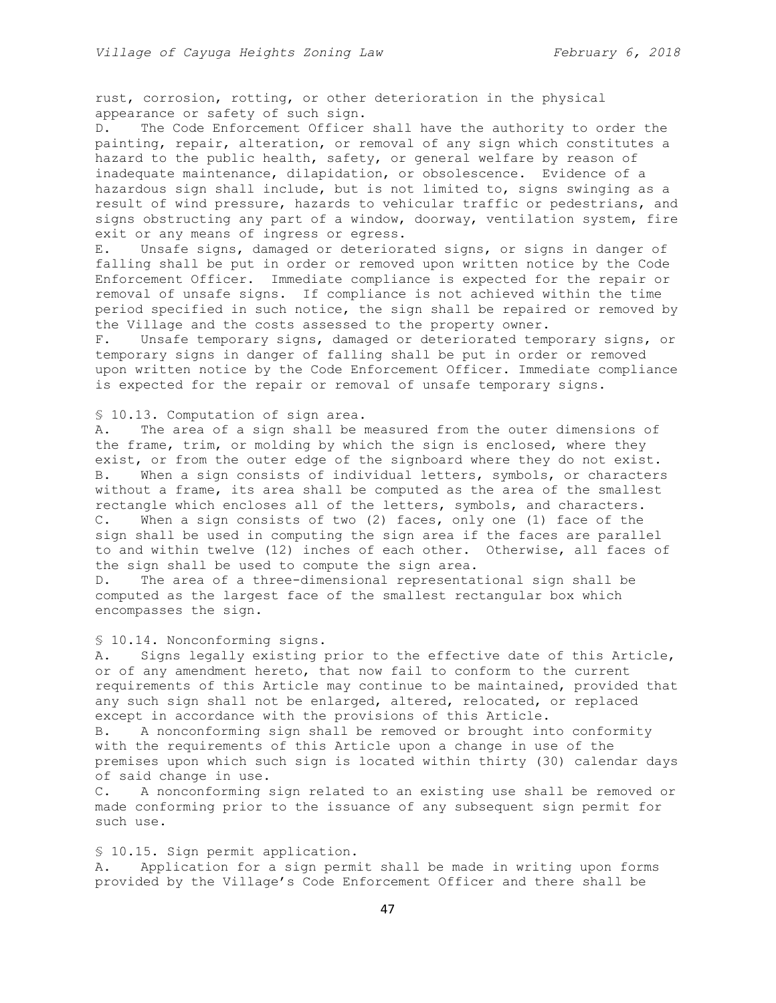rust, corrosion, rotting, or other deterioration in the physical appearance or safety of such sign.

D. The Code Enforcement Officer shall have the authority to order the painting, repair, alteration, or removal of any sign which constitutes a hazard to the public health, safety, or general welfare by reason of inadequate maintenance, dilapidation, or obsolescence. Evidence of a hazardous sign shall include, but is not limited to, signs swinging as a result of wind pressure, hazards to vehicular traffic or pedestrians, and signs obstructing any part of a window, doorway, ventilation system, fire exit or any means of ingress or egress.

E. Unsafe signs, damaged or deteriorated signs, or signs in danger of falling shall be put in order or removed upon written notice by the Code Enforcement Officer. Immediate compliance is expected for the repair or removal of unsafe signs. If compliance is not achieved within the time period specified in such notice, the sign shall be repaired or removed by the Village and the costs assessed to the property owner.

F. Unsafe temporary signs, damaged or deteriorated temporary signs, or temporary signs in danger of falling shall be put in order or removed upon written notice by the Code Enforcement Officer. Immediate compliance is expected for the repair or removal of unsafe temporary signs.

## § 10.13. Computation of sign area.

A. The area of a sign shall be measured from the outer dimensions of the frame, trim, or molding by which the sign is enclosed, where they exist, or from the outer edge of the signboard where they do not exist. B. When a sign consists of individual letters, symbols, or characters without a frame, its area shall be computed as the area of the smallest rectangle which encloses all of the letters, symbols, and characters. C. When a sign consists of two (2) faces, only one (1) face of the sign shall be used in computing the sign area if the faces are parallel to and within twelve (12) inches of each other. Otherwise, all faces of the sign shall be used to compute the sign area.

D. The area of a three-dimensional representational sign shall be computed as the largest face of the smallest rectangular box which encompasses the sign.

§ 10.14. Nonconforming signs.

A. Signs legally existing prior to the effective date of this Article, or of any amendment hereto, that now fail to conform to the current requirements of this Article may continue to be maintained, provided that any such sign shall not be enlarged, altered, relocated, or replaced except in accordance with the provisions of this Article. B. A nonconforming sign shall be removed or brought into conformity with the requirements of this Article upon a change in use of the premises upon which such sign is located within thirty (30) calendar days of said change in use.

C. A nonconforming sign related to an existing use shall be removed or made conforming prior to the issuance of any subsequent sign permit for such use.

#### § 10.15. Sign permit application.

A. Application for a sign permit shall be made in writing upon forms provided by the Village's Code Enforcement Officer and there shall be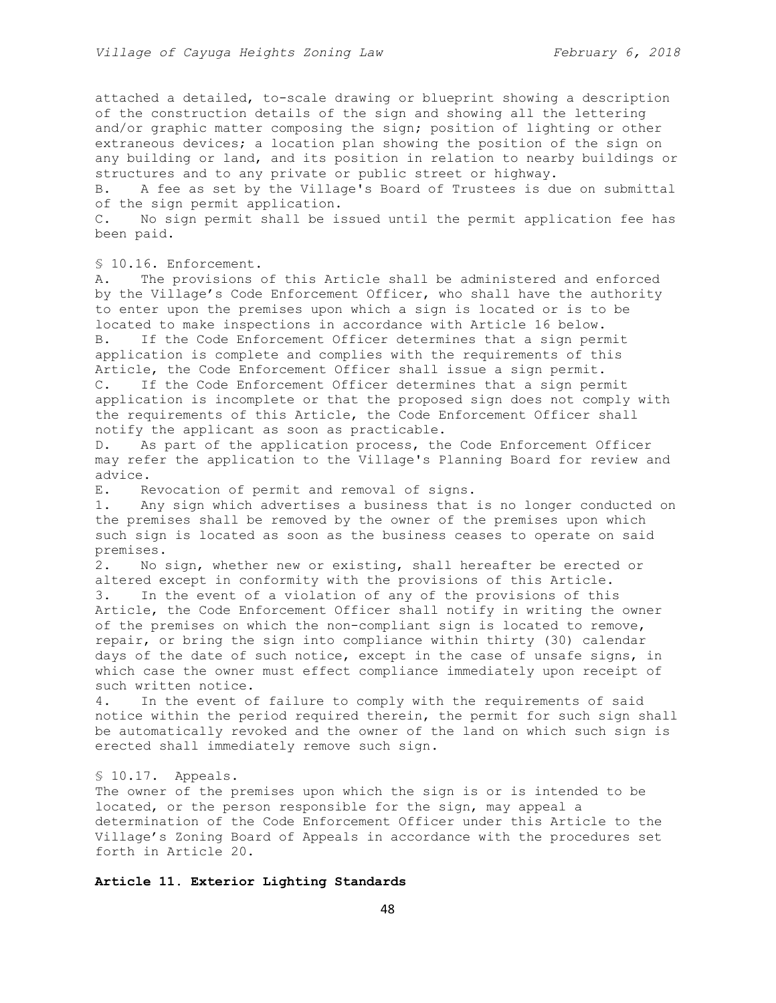attached a detailed, to-scale drawing or blueprint showing a description of the construction details of the sign and showing all the lettering and/or graphic matter composing the sign; position of lighting or other extraneous devices; a location plan showing the position of the sign on any building or land, and its position in relation to nearby buildings or structures and to any private or public street or highway.

B. A fee as set by the Village's Board of Trustees is due on submittal of the sign permit application.

C. No sign permit shall be issued until the permit application fee has been paid.

§ 10.16. Enforcement.

A. The provisions of this Article shall be administered and enforced by the Village's Code Enforcement Officer, who shall have the authority to enter upon the premises upon which a sign is located or is to be located to make inspections in accordance with Article 16 below. B. If the Code Enforcement Officer determines that a sign permit application is complete and complies with the requirements of this Article, the Code Enforcement Officer shall issue a sign permit. C. If the Code Enforcement Officer determines that a sign permit application is incomplete or that the proposed sign does not comply with the requirements of this Article, the Code Enforcement Officer shall notify the applicant as soon as practicable.

D. As part of the application process, the Code Enforcement Officer may refer the application to the Village's Planning Board for review and advice.

E. Revocation of permit and removal of signs.

1. Any sign which advertises a business that is no longer conducted on the premises shall be removed by the owner of the premises upon which such sign is located as soon as the business ceases to operate on said premises.

2. No sign, whether new or existing, shall hereafter be erected or altered except in conformity with the provisions of this Article. 3. In the event of a violation of any of the provisions of this Article, the Code Enforcement Officer shall notify in writing the owner of the premises on which the non-compliant sign is located to remove, repair, or bring the sign into compliance within thirty (30) calendar days of the date of such notice, except in the case of unsafe signs, in which case the owner must effect compliance immediately upon receipt of such written notice.

4. In the event of failure to comply with the requirements of said notice within the period required therein, the permit for such sign shall be automatically revoked and the owner of the land on which such sign is erected shall immediately remove such sign.

§ 10.17. Appeals.

The owner of the premises upon which the sign is or is intended to be located, or the person responsible for the sign, may appeal a determination of the Code Enforcement Officer under this Article to the Village's Zoning Board of Appeals in accordance with the procedures set forth in Article 20.

## **Article 11. Exterior Lighting Standards**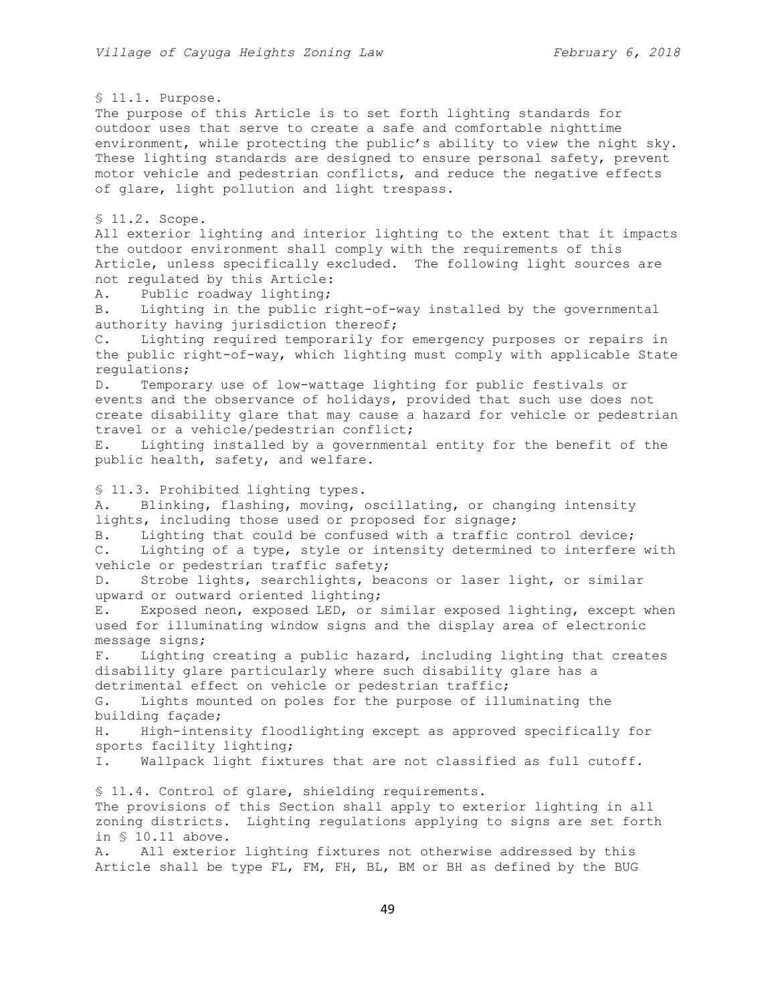§ 11.1. Purpose. The purpose of this Article is to set forth lighting standards for outdoor uses that serve to create a safe and comfortable nighttime environment, while protecting the public's ability to view the night sky. These lighting standards are designed to ensure personal safety, prevent motor vehicle and pedestrian conflicts, and reduce the negative effects of glare, light pollution and light trespass. § 11.2. Scope. All exterior lighting and interior lighting to the extent that it impacts the outdoor environment shall comply with the requirements of this Article, unless specifically excluded. The following light sources are not regulated by this Article: A. Public roadway lighting; B. Lighting in the public right-of-way installed by the governmental authority having jurisdiction thereof; C. Lighting required temporarily for emergency purposes or repairs in the public right-of-way, which lighting must comply with applicable State regulations; D. Temporary use of low-wattage lighting for public festivals or events and the observance of holidays, provided that such use does not create disability glare that may cause a hazard for vehicle or pedestrian travel or a vehicle/pedestrian conflict; E. Lighting installed by a governmental entity for the benefit of the public health, safety, and welfare. § 11.3. Prohibited lighting types. A. Blinking, flashing, moving, oscillating, or changing intensity lights, including those used or proposed for signage; B. Lighting that could be confused with a traffic control device; C. Lighting of a type, style or intensity determined to interfere with vehicle or pedestrian traffic safety; D. Strobe lights, searchlights, beacons or laser light, or similar upward or outward oriented lighting; E. Exposed neon, exposed LED, or similar exposed lighting, except when used for illuminating window signs and the display area of electronic message signs; F. Lighting creating a public hazard, including lighting that creates disability glare particularly where such disability glare has a detrimental effect on vehicle or pedestrian traffic; G. Lights mounted on poles for the purpose of illuminating the building façade; H. High-intensity floodlighting except as approved specifically for sports facility lighting; I. Wallpack light fixtures that are not classified as full cutoff. § 11.4. Control of glare, shielding requirements. The provisions of this Section shall apply to exterior lighting in all zoning districts. Lighting regulations applying to signs are set forth in § 10.11 above. A. All exterior lighting fixtures not otherwise addressed by this Article shall be type FL, FM, FH, BL, BM or BH as defined by the BUG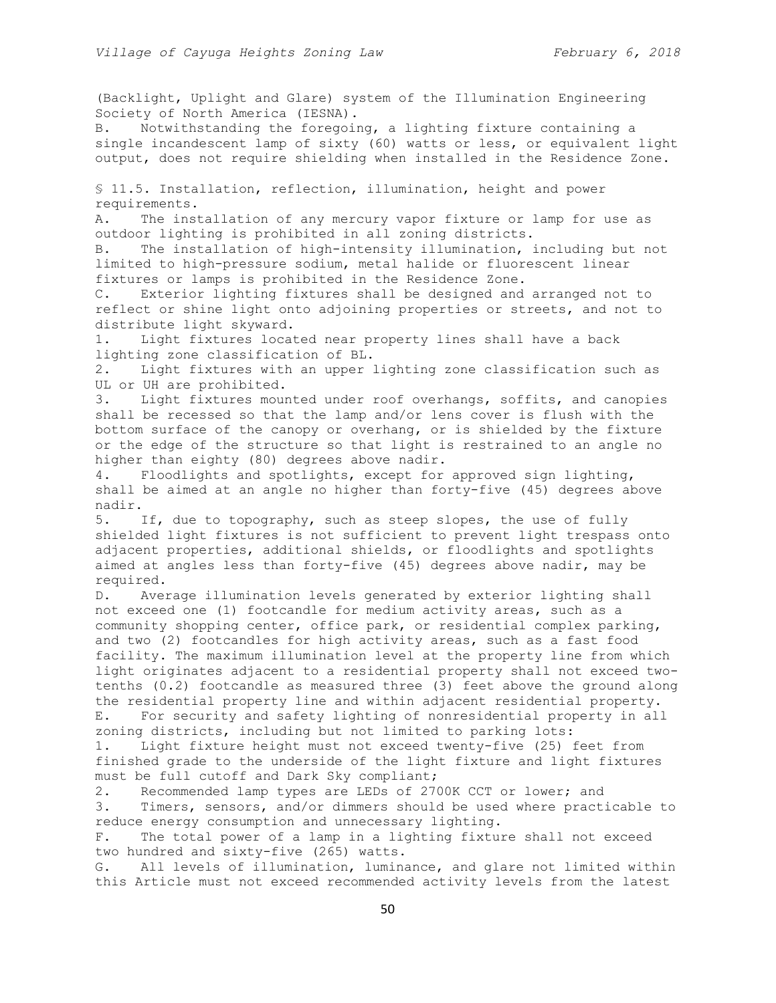(Backlight, Uplight and Glare) system of the Illumination Engineering Society of North America (IESNA).

B. Notwithstanding the foregoing, a lighting fixture containing a single incandescent lamp of sixty (60) watts or less, or equivalent light output, does not require shielding when installed in the Residence Zone.

§ 11.5. Installation, reflection, illumination, height and power requirements.

A. The installation of any mercury vapor fixture or lamp for use as outdoor lighting is prohibited in all zoning districts.

B. The installation of high-intensity illumination, including but not limited to high-pressure sodium, metal halide or fluorescent linear fixtures or lamps is prohibited in the Residence Zone.

C. Exterior lighting fixtures shall be designed and arranged not to reflect or shine light onto adjoining properties or streets, and not to distribute light skyward.

1. Light fixtures located near property lines shall have a back lighting zone classification of BL.

2. Light fixtures with an upper lighting zone classification such as UL or UH are prohibited.

3. Light fixtures mounted under roof overhangs, soffits, and canopies shall be recessed so that the lamp and/or lens cover is flush with the bottom surface of the canopy or overhang, or is shielded by the fixture or the edge of the structure so that light is restrained to an angle no higher than eighty (80) degrees above nadir.

4. Floodlights and spotlights, except for approved sign lighting, shall be aimed at an angle no higher than forty-five (45) degrees above nadir.

5. If, due to topography, such as steep slopes, the use of fully shielded light fixtures is not sufficient to prevent light trespass onto adjacent properties, additional shields, or floodlights and spotlights aimed at angles less than forty-five (45) degrees above nadir, may be required.

D. Average illumination levels generated by exterior lighting shall not exceed one (1) footcandle for medium activity areas, such as a community shopping center, office park, or residential complex parking, and two (2) footcandles for high activity areas, such as a fast food facility. The maximum illumination level at the property line from which light originates adjacent to a residential property shall not exceed twotenths (0.2) footcandle as measured three (3) feet above the ground along the residential property line and within adjacent residential property. E. For security and safety lighting of nonresidential property in all

zoning districts, including but not limited to parking lots: 1. Light fixture height must not exceed twenty-five (25) feet from

finished grade to the underside of the light fixture and light fixtures must be full cutoff and Dark Sky compliant;

2. Recommended lamp types are LEDs of 2700K CCT or lower; and

3. Timers, sensors, and/or dimmers should be used where practicable to reduce energy consumption and unnecessary lighting.

F. The total power of a lamp in a lighting fixture shall not exceed two hundred and sixty-five (265) watts.

G. All levels of illumination, luminance, and glare not limited within this Article must not exceed recommended activity levels from the latest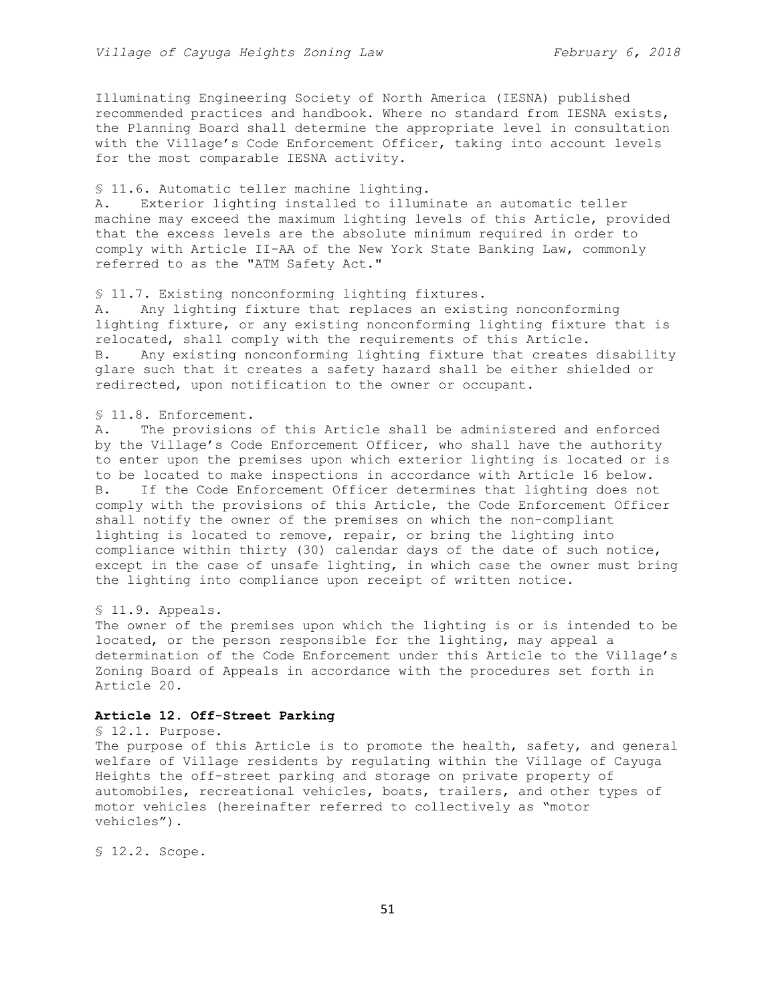Illuminating Engineering Society of North America (IESNA) published recommended practices and handbook. Where no standard from IESNA exists, the Planning Board shall determine the appropriate level in consultation with the Village's Code Enforcement Officer, taking into account levels for the most comparable IESNA activity.

## § 11.6. Automatic teller machine lighting.

A. Exterior lighting installed to illuminate an automatic teller machine may exceed the maximum lighting levels of this Article, provided that the excess levels are the absolute minimum required in order to comply with Article II-AA of the New York State Banking Law, commonly referred to as the "ATM Safety Act."

#### § 11.7. Existing nonconforming lighting fixtures.

A. Any lighting fixture that replaces an existing nonconforming lighting fixture, or any existing nonconforming lighting fixture that is relocated, shall comply with the requirements of this Article. B. Any existing nonconforming lighting fixture that creates disability glare such that it creates a safety hazard shall be either shielded or redirected, upon notification to the owner or occupant.

# § 11.8. Enforcement.

A. The provisions of this Article shall be administered and enforced by the Village's Code Enforcement Officer, who shall have the authority to enter upon the premises upon which exterior lighting is located or is to be located to make inspections in accordance with Article 16 below. B. If the Code Enforcement Officer determines that lighting does not comply with the provisions of this Article, the Code Enforcement Officer shall notify the owner of the premises on which the non-compliant lighting is located to remove, repair, or bring the lighting into compliance within thirty (30) calendar days of the date of such notice, except in the case of unsafe lighting, in which case the owner must bring the lighting into compliance upon receipt of written notice.

## § 11.9. Appeals.

The owner of the premises upon which the lighting is or is intended to be located, or the person responsible for the lighting, may appeal a determination of the Code Enforcement under this Article to the Village's Zoning Board of Appeals in accordance with the procedures set forth in Article 20.

#### **Article 12. Off-Street Parking**

### § 12.1. Purpose.

The purpose of this Article is to promote the health, safety, and general welfare of Village residents by regulating within the Village of Cayuga Heights the off-street parking and storage on private property of automobiles, recreational vehicles, boats, trailers, and other types of motor vehicles (hereinafter referred to collectively as "motor vehicles").

§ 12.2. Scope.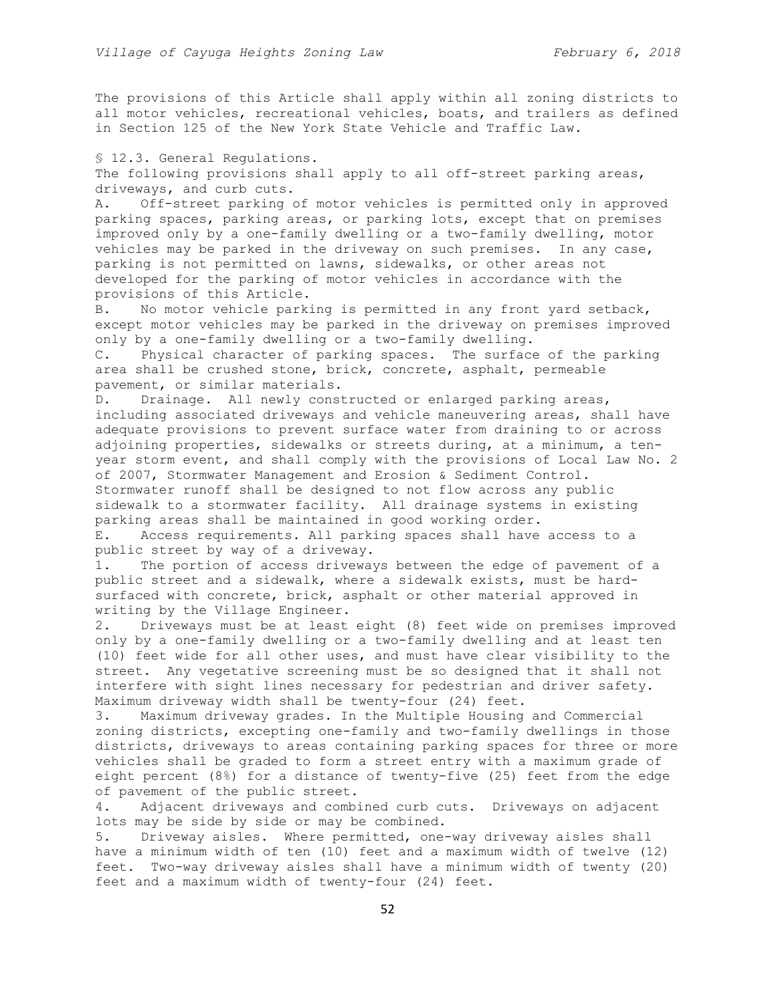The provisions of this Article shall apply within all zoning districts to all motor vehicles, recreational vehicles, boats, and trailers as defined in Section 125 of the New York State Vehicle and Traffic Law.

§ 12.3. General Regulations. The following provisions shall apply to all off-street parking areas, driveways, and curb cuts.

A. Off-street parking of motor vehicles is permitted only in approved parking spaces, parking areas, or parking lots, except that on premises improved only by a one-family dwelling or a two-family dwelling, motor vehicles may be parked in the driveway on such premises. In any case, parking is not permitted on lawns, sidewalks, or other areas not developed for the parking of motor vehicles in accordance with the provisions of this Article.

B. No motor vehicle parking is permitted in any front yard setback, except motor vehicles may be parked in the driveway on premises improved only by a one-family dwelling or a two-family dwelling.

C. Physical character of parking spaces. The surface of the parking area shall be crushed stone, brick, concrete, asphalt, permeable pavement, or similar materials.

D. Drainage. All newly constructed or enlarged parking areas, including associated driveways and vehicle maneuvering areas, shall have adequate provisions to prevent surface water from draining to or across adjoining properties, sidewalks or streets during, at a minimum, a tenyear storm event, and shall comply with the provisions of Local Law No. 2 of 2007, Stormwater Management and Erosion & Sediment Control. Stormwater runoff shall be designed to not flow across any public sidewalk to a stormwater facility. All drainage systems in existing parking areas shall be maintained in good working order.

E. Access requirements. All parking spaces shall have access to a public street by way of a driveway.

1. The portion of access driveways between the edge of pavement of a public street and a sidewalk, where a sidewalk exists, must be hardsurfaced with concrete, brick, asphalt or other material approved in writing by the Village Engineer.

2. Driveways must be at least eight (8) feet wide on premises improved only by a one-family dwelling or a two-family dwelling and at least ten (10) feet wide for all other uses, and must have clear visibility to the street. Any vegetative screening must be so designed that it shall not interfere with sight lines necessary for pedestrian and driver safety. Maximum driveway width shall be twenty-four (24) feet.

3. Maximum driveway grades. In the Multiple Housing and Commercial zoning districts, excepting one-family and two-family dwellings in those districts, driveways to areas containing parking spaces for three or more vehicles shall be graded to form a street entry with a maximum grade of eight percent (8%) for a distance of twenty-five (25) feet from the edge of pavement of the public street.

4. Adjacent driveways and combined curb cuts. Driveways on adjacent lots may be side by side or may be combined.

5. Driveway aisles. Where permitted, one-way driveway aisles shall have a minimum width of ten (10) feet and a maximum width of twelve (12) feet. Two-way driveway aisles shall have a minimum width of twenty (20) feet and a maximum width of twenty-four (24) feet.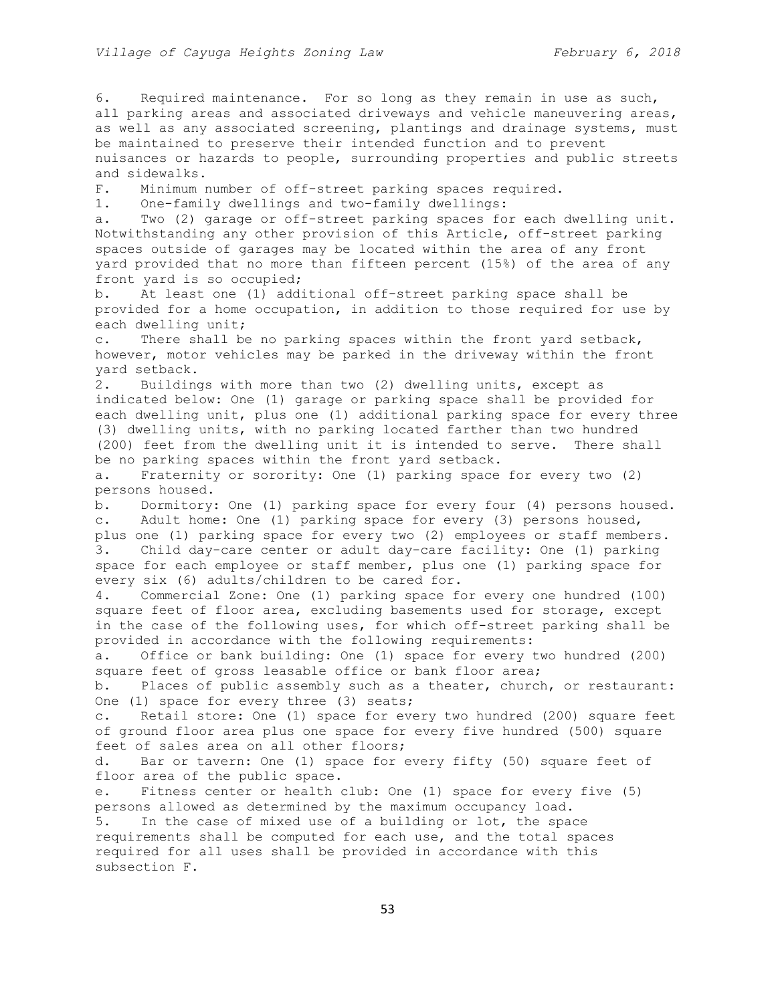6. Required maintenance. For so long as they remain in use as such, all parking areas and associated driveways and vehicle maneuvering areas, as well as any associated screening, plantings and drainage systems, must be maintained to preserve their intended function and to prevent nuisances or hazards to people, surrounding properties and public streets and sidewalks. F. Minimum number of off-street parking spaces required. 1. One-family dwellings and two-family dwellings: a. Two (2) garage or off-street parking spaces for each dwelling unit. Notwithstanding any other provision of this Article, off-street parking spaces outside of garages may be located within the area of any front yard provided that no more than fifteen percent (15%) of the area of any front yard is so occupied; b. At least one (1) additional off-street parking space shall be provided for a home occupation, in addition to those required for use by each dwelling unit; c. There shall be no parking spaces within the front yard setback, however, motor vehicles may be parked in the driveway within the front yard setback. 2. Buildings with more than two (2) dwelling units, except as indicated below: One (1) garage or parking space shall be provided for each dwelling unit, plus one (1) additional parking space for every three (3) dwelling units, with no parking located farther than two hundred (200) feet from the dwelling unit it is intended to serve. There shall be no parking spaces within the front yard setback. a. Fraternity or sorority: One (1) parking space for every two (2) persons housed. b. Dormitory: One (1) parking space for every four (4) persons housed. c. Adult home: One (1) parking space for every (3) persons housed, plus one (1) parking space for every two (2) employees or staff members. 3. Child day-care center or adult day-care facility: One (1) parking space for each employee or staff member, plus one (1) parking space for every six (6) adults/children to be cared for. 4. Commercial Zone: One (1) parking space for every one hundred (100) square feet of floor area, excluding basements used for storage, except in the case of the following uses, for which off-street parking shall be provided in accordance with the following requirements: a. Office or bank building: One (1) space for every two hundred (200) square feet of gross leasable office or bank floor area; b. Places of public assembly such as a theater, church, or restaurant: One (1) space for every three (3) seats; c. Retail store: One (1) space for every two hundred (200) square feet of ground floor area plus one space for every five hundred (500) square feet of sales area on all other floors; d. Bar or tavern: One (1) space for every fifty (50) square feet of floor area of the public space. e. Fitness center or health club: One (1) space for every five (5) persons allowed as determined by the maximum occupancy load. 5. In the case of mixed use of a building or lot, the space requirements shall be computed for each use, and the total spaces required for all uses shall be provided in accordance with this subsection F.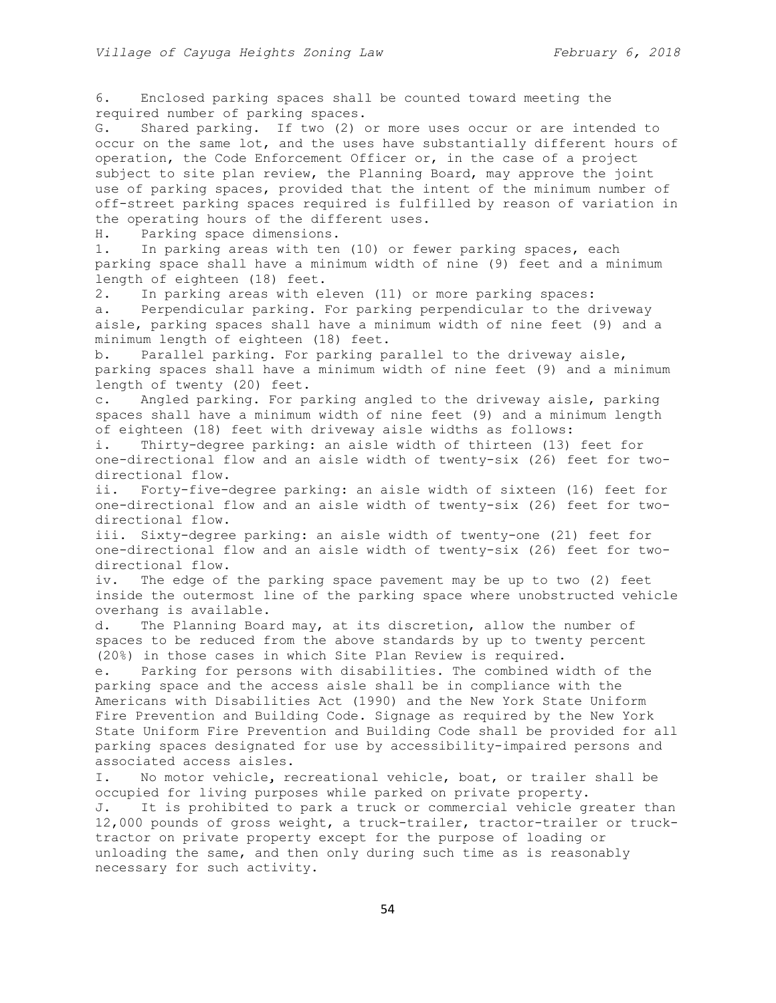6. Enclosed parking spaces shall be counted toward meeting the required number of parking spaces.

G. Shared parking. If two (2) or more uses occur or are intended to occur on the same lot, and the uses have substantially different hours of operation, the Code Enforcement Officer or, in the case of a project subject to site plan review, the Planning Board, may approve the joint use of parking spaces, provided that the intent of the minimum number of off-street parking spaces required is fulfilled by reason of variation in the operating hours of the different uses.

H. Parking space dimensions.

1. In parking areas with ten (10) or fewer parking spaces, each parking space shall have a minimum width of nine (9) feet and a minimum length of eighteen (18) feet.

2. In parking areas with eleven (11) or more parking spaces:

a. Perpendicular parking. For parking perpendicular to the driveway aisle, parking spaces shall have a minimum width of nine feet (9) and a minimum length of eighteen (18) feet.

b. Parallel parking. For parking parallel to the driveway aisle, parking spaces shall have a minimum width of nine feet (9) and a minimum length of twenty (20) feet.

c. Angled parking. For parking angled to the driveway aisle, parking spaces shall have a minimum width of nine feet (9) and a minimum length of eighteen (18) feet with driveway aisle widths as follows:

i. Thirty-degree parking: an aisle width of thirteen (13) feet for one-directional flow and an aisle width of twenty-six (26) feet for twodirectional flow.

ii. Forty-five-degree parking: an aisle width of sixteen (16) feet for one-directional flow and an aisle width of twenty-six (26) feet for twodirectional flow.

iii. Sixty-degree parking: an aisle width of twenty-one (21) feet for one-directional flow and an aisle width of twenty-six (26) feet for twodirectional flow.

iv. The edge of the parking space pavement may be up to two (2) feet inside the outermost line of the parking space where unobstructed vehicle overhang is available.

d. The Planning Board may, at its discretion, allow the number of spaces to be reduced from the above standards by up to twenty percent (20%) in those cases in which Site Plan Review is required.

e. Parking for persons with disabilities. The combined width of the parking space and the access aisle shall be in compliance with the Americans with Disabilities Act (1990) and the New York State Uniform Fire Prevention and Building Code. Signage as required by the New York State Uniform Fire Prevention and Building Code shall be provided for all parking spaces designated for use by accessibility-impaired persons and associated access aisles.

I. No motor vehicle, recreational vehicle, boat, or trailer shall be occupied for living purposes while parked on private property. J. It is prohibited to park a truck or commercial vehicle greater than 12,000 pounds of gross weight, a truck-trailer, tractor-trailer or trucktractor on private property except for the purpose of loading or unloading the same, and then only during such time as is reasonably necessary for such activity.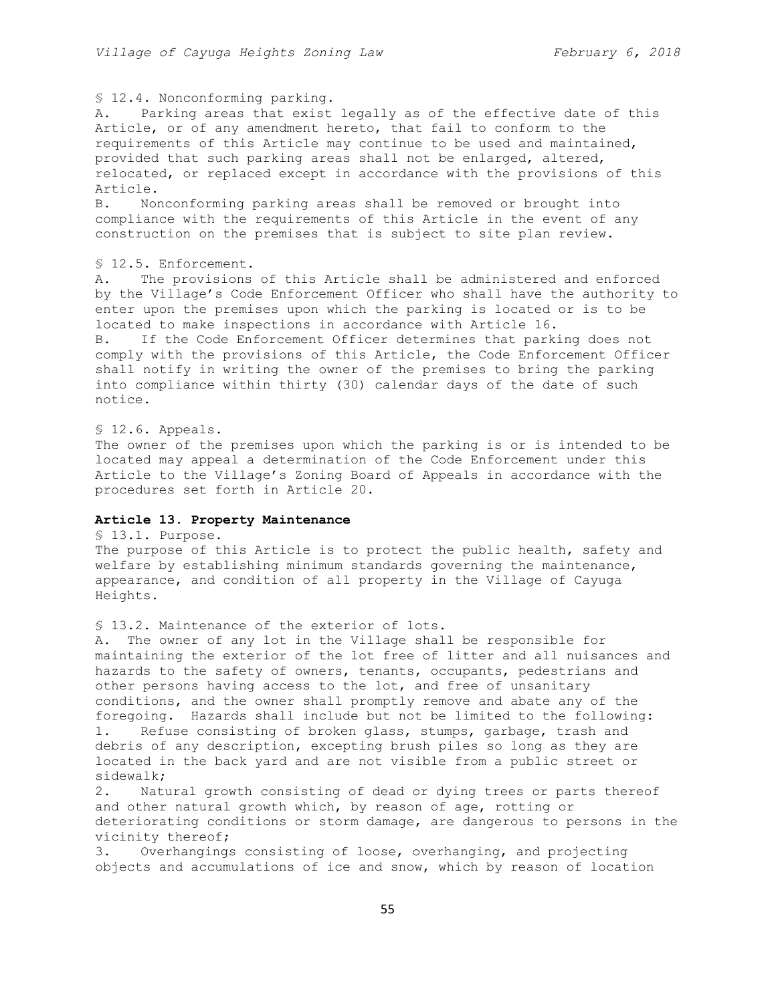## § 12.4. Nonconforming parking.

A. Parking areas that exist legally as of the effective date of this Article, or of any amendment hereto, that fail to conform to the requirements of this Article may continue to be used and maintained, provided that such parking areas shall not be enlarged, altered, relocated, or replaced except in accordance with the provisions of this Article.

B. Nonconforming parking areas shall be removed or brought into compliance with the requirements of this Article in the event of any construction on the premises that is subject to site plan review.

## § 12.5. Enforcement.

A. The provisions of this Article shall be administered and enforced by the Village's Code Enforcement Officer who shall have the authority to enter upon the premises upon which the parking is located or is to be located to make inspections in accordance with Article 16.

B. If the Code Enforcement Officer determines that parking does not comply with the provisions of this Article, the Code Enforcement Officer shall notify in writing the owner of the premises to bring the parking into compliance within thirty (30) calendar days of the date of such notice.

#### § 12.6. Appeals.

The owner of the premises upon which the parking is or is intended to be located may appeal a determination of the Code Enforcement under this Article to the Village's Zoning Board of Appeals in accordance with the procedures set forth in Article 20.

## **Article 13. Property Maintenance**

# § 13.1. Purpose.

The purpose of this Article is to protect the public health, safety and welfare by establishing minimum standards governing the maintenance, appearance, and condition of all property in the Village of Cayuga Heights.

## § 13.2. Maintenance of the exterior of lots.

A. The owner of any lot in the Village shall be responsible for maintaining the exterior of the lot free of litter and all nuisances and hazards to the safety of owners, tenants, occupants, pedestrians and other persons having access to the lot, and free of unsanitary conditions, and the owner shall promptly remove and abate any of the foregoing. Hazards shall include but not be limited to the following: 1. Refuse consisting of broken glass, stumps, garbage, trash and debris of any description, excepting brush piles so long as they are located in the back yard and are not visible from a public street or sidewalk;

2. Natural growth consisting of dead or dying trees or parts thereof and other natural growth which, by reason of age, rotting or deteriorating conditions or storm damage, are dangerous to persons in the vicinity thereof;

3. Overhangings consisting of loose, overhanging, and projecting objects and accumulations of ice and snow, which by reason of location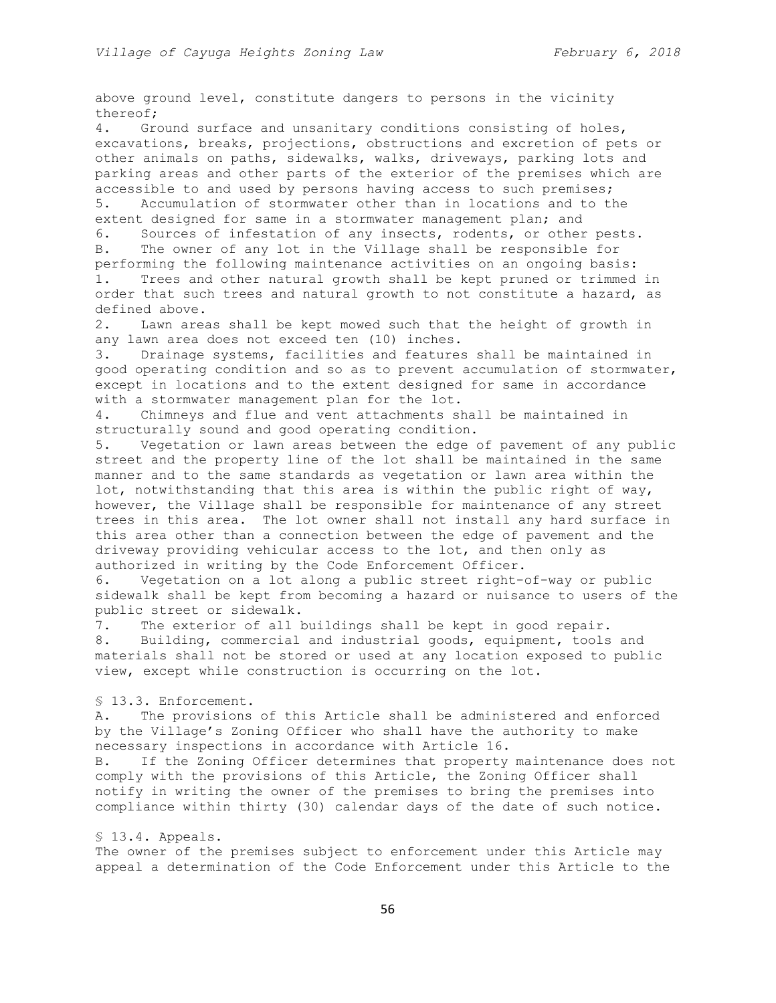above ground level, constitute dangers to persons in the vicinity thereof;

4. Ground surface and unsanitary conditions consisting of holes, excavations, breaks, projections, obstructions and excretion of pets or other animals on paths, sidewalks, walks, driveways, parking lots and parking areas and other parts of the exterior of the premises which are accessible to and used by persons having access to such premises; 5. Accumulation of stormwater other than in locations and to the extent designed for same in a stormwater management plan; and

6. Sources of infestation of any insects, rodents, or other pests. B. The owner of any lot in the Village shall be responsible for performing the following maintenance activities on an ongoing basis:

1. Trees and other natural growth shall be kept pruned or trimmed in order that such trees and natural growth to not constitute a hazard, as defined above.

2. Lawn areas shall be kept mowed such that the height of growth in any lawn area does not exceed ten (10) inches.

3. Drainage systems, facilities and features shall be maintained in good operating condition and so as to prevent accumulation of stormwater, except in locations and to the extent designed for same in accordance with a stormwater management plan for the lot.

4. Chimneys and flue and vent attachments shall be maintained in structurally sound and good operating condition.

5. Vegetation or lawn areas between the edge of pavement of any public street and the property line of the lot shall be maintained in the same manner and to the same standards as vegetation or lawn area within the lot, notwithstanding that this area is within the public right of way, however, the Village shall be responsible for maintenance of any street trees in this area. The lot owner shall not install any hard surface in this area other than a connection between the edge of pavement and the driveway providing vehicular access to the lot, and then only as authorized in writing by the Code Enforcement Officer.

6. Vegetation on a lot along a public street right-of-way or public sidewalk shall be kept from becoming a hazard or nuisance to users of the public street or sidewalk.

7. The exterior of all buildings shall be kept in good repair. 8. Building, commercial and industrial goods, equipment, tools and materials shall not be stored or used at any location exposed to public view, except while construction is occurring on the lot.

#### § 13.3. Enforcement.

A. The provisions of this Article shall be administered and enforced by the Village's Zoning Officer who shall have the authority to make necessary inspections in accordance with Article 16.

B. If the Zoning Officer determines that property maintenance does not comply with the provisions of this Article, the Zoning Officer shall notify in writing the owner of the premises to bring the premises into compliance within thirty (30) calendar days of the date of such notice.

## § 13.4. Appeals.

The owner of the premises subject to enforcement under this Article may appeal a determination of the Code Enforcement under this Article to the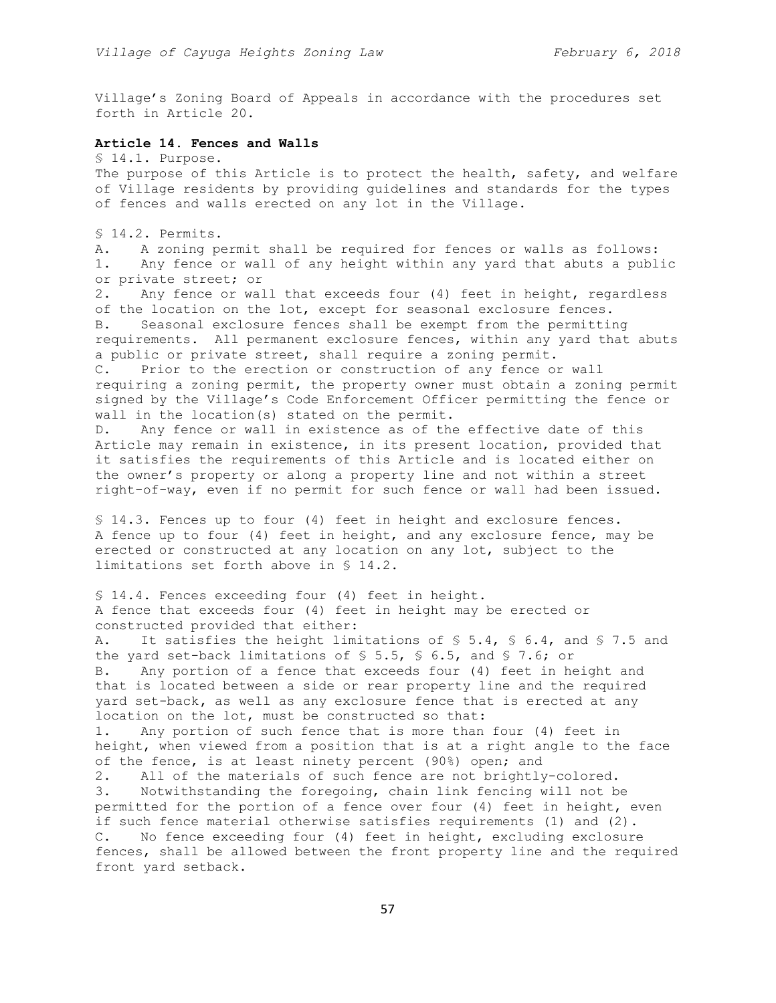Village's Zoning Board of Appeals in accordance with the procedures set forth in Article 20.

### **Article 14. Fences and Walls**

§ 14.1. Purpose.

The purpose of this Article is to protect the health, safety, and welfare of Village residents by providing guidelines and standards for the types of fences and walls erected on any lot in the Village.

§ 14.2. Permits.

A. A zoning permit shall be required for fences or walls as follows: 1. Any fence or wall of any height within any yard that abuts a public or private street; or

2. Any fence or wall that exceeds four (4) feet in height, regardless of the location on the lot, except for seasonal exclosure fences. B. Seasonal exclosure fences shall be exempt from the permitting requirements. All permanent exclosure fences, within any yard that abuts a public or private street, shall require a zoning permit. C. Prior to the erection or construction of any fence or wall requiring a zoning permit, the property owner must obtain a zoning permit signed by the Village's Code Enforcement Officer permitting the fence or wall in the location(s) stated on the permit.

D. Any fence or wall in existence as of the effective date of this Article may remain in existence, in its present location, provided that it satisfies the requirements of this Article and is located either on the owner's property or along a property line and not within a street right-of-way, even if no permit for such fence or wall had been issued.

§ 14.3. Fences up to four (4) feet in height and exclosure fences. A fence up to four (4) feet in height, and any exclosure fence, may be erected or constructed at any location on any lot, subject to the limitations set forth above in § 14.2.

§ 14.4. Fences exceeding four (4) feet in height. A fence that exceeds four (4) feet in height may be erected or constructed provided that either: A. It satisfies the height limitations of § 5.4, § 6.4, and § 7.5 and

the yard set-back limitations of § 5.5, § 6.5, and § 7.6; or B. Any portion of a fence that exceeds four (4) feet in height and that is located between a side or rear property line and the required yard set-back**,** as well as any exclosure fence that is erected at any location on the lot, must be constructed so that: 1. Any portion of such fence that is more than four (4) feet in height, when viewed from a position that is at a right angle to the face of the fence, is at least ninety percent (90%) open; and 2. All of the materials of such fence are not brightly-colored. 3. Notwithstanding the foregoing, chain link fencing will not be permitted for the portion of a fence over four (4) feet in height, even if such fence material otherwise satisfies requirements (1) and (2). C. No fence exceeding four (4) feet in height, excluding exclosure fences, shall be allowed between the front property line and the required front yard setback.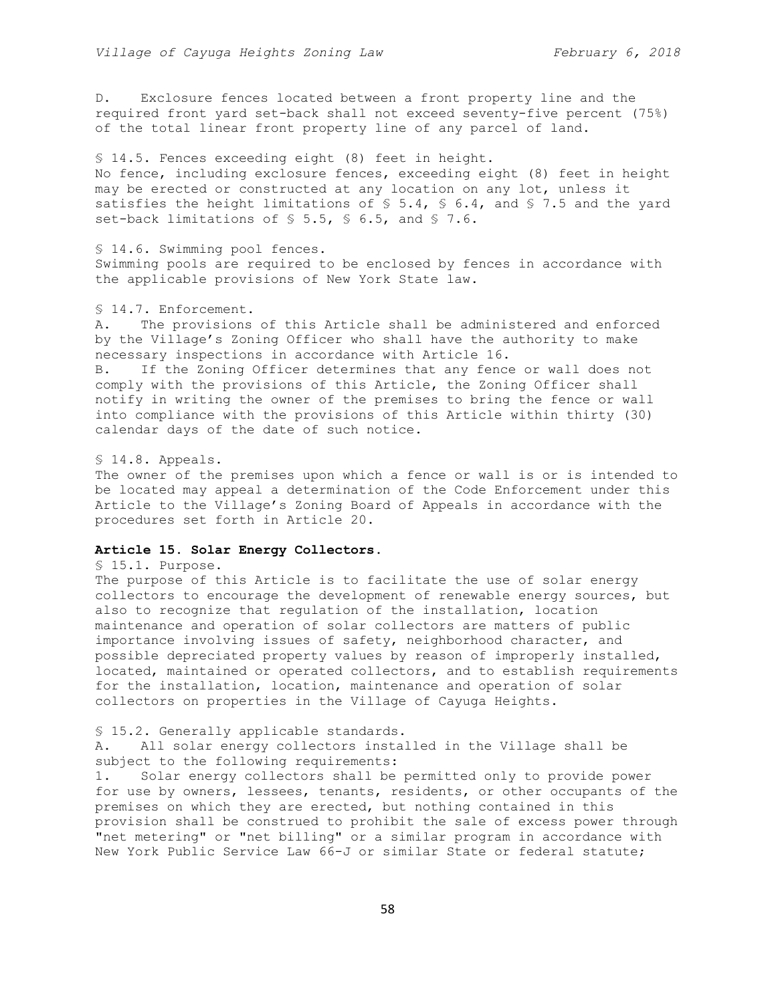D. Exclosure fences located between a front property line and the required front yard set-back shall not exceed seventy-five percent (75%) of the total linear front property line of any parcel of land.

§ 14.5. Fences exceeding eight (8) feet in height. No fence, including exclosure fences, exceeding eight (8) feet in height may be erected or constructed at any location on any lot, unless it satisfies the height limitations of  $\S$  5.4,  $\S$  6.4, and  $\S$  7.5 and the yard set-back limitations of § 5.5, § 6.5, and § 7.6.

§ 14.6. Swimming pool fences. Swimming pools are required to be enclosed by fences in accordance with the applicable provisions of New York State law.

## § 14.7. Enforcement.

A. The provisions of this Article shall be administered and enforced by the Village's Zoning Officer who shall have the authority to make necessary inspections in accordance with Article 16.

B. If the Zoning Officer determines that any fence or wall does not comply with the provisions of this Article, the Zoning Officer shall notify in writing the owner of the premises to bring the fence or wall into compliance with the provisions of this Article within thirty (30) calendar days of the date of such notice.

## § 14.8. Appeals.

The owner of the premises upon which a fence or wall is or is intended to be located may appeal a determination of the Code Enforcement under this Article to the Village's Zoning Board of Appeals in accordance with the procedures set forth in Article 20.

## **Article 15. Solar Energy Collectors.**

§ 15.1. Purpose.

The purpose of this Article is to facilitate the use of solar energy collectors to encourage the development of renewable energy sources, but also to recognize that regulation of the installation, location maintenance and operation of solar collectors are matters of public importance involving issues of safety, neighborhood character, and possible depreciated property values by reason of improperly installed, located, maintained or operated collectors, and to establish requirements for the installation, location, maintenance and operation of solar collectors on properties in the Village of Cayuga Heights.

### § 15.2. Generally applicable standards.

A. All solar energy collectors installed in the Village shall be subject to the following requirements:

1. Solar energy collectors shall be permitted only to provide power for use by owners, lessees, tenants, residents, or other occupants of the premises on which they are erected, but nothing contained in this provision shall be construed to prohibit the sale of excess power through "net metering" or "net billing" or a similar program in accordance with New York Public Service Law 66-J or similar State or federal statute;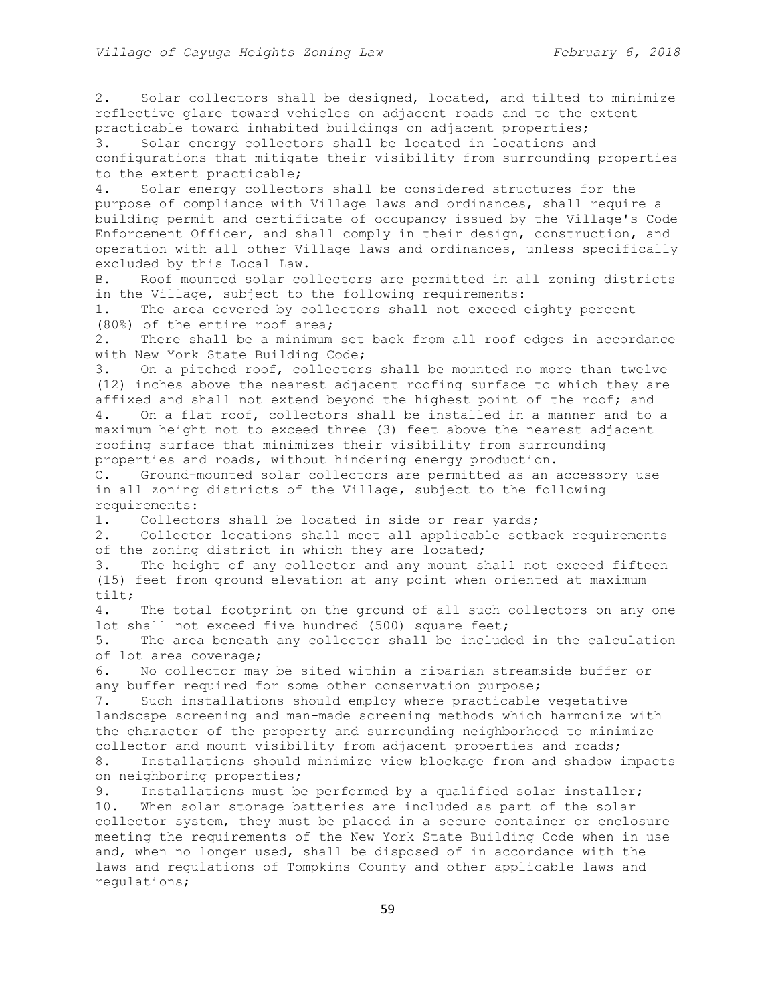2. Solar collectors shall be designed, located, and tilted to minimize reflective glare toward vehicles on adjacent roads and to the extent practicable toward inhabited buildings on adjacent properties; 3. Solar energy collectors shall be located in locations and configurations that mitigate their visibility from surrounding properties to the extent practicable; 4. Solar energy collectors shall be considered structures for the purpose of compliance with Village laws and ordinances, shall require a building permit and certificate of occupancy issued by the Village's Code Enforcement Officer, and shall comply in their design, construction, and operation with all other Village laws and ordinances, unless specifically excluded by this Local Law. B. Roof mounted solar collectors are permitted in all zoning districts in the Village, subject to the following requirements: 1. The area covered by collectors shall not exceed eighty percent (80%) of the entire roof area; 2. There shall be a minimum set back from all roof edges in accordance with New York State Building Code; 3. On a pitched roof, collectors shall be mounted no more than twelve (12) inches above the nearest adjacent roofing surface to which they are affixed and shall not extend beyond the highest point of the roof; and 4. On a flat roof, collectors shall be installed in a manner and to a maximum height not to exceed three (3) feet above the nearest adjacent roofing surface that minimizes their visibility from surrounding properties and roads, without hindering energy production. C. Ground-mounted solar collectors are permitted as an accessory use in all zoning districts of the Village, subject to the following requirements: 1. Collectors shall be located in side or rear yards; 2. Collector locations shall meet all applicable setback requirements of the zoning district in which they are located; 3. The height of any collector and any mount sha11 not exceed fifteen (15) feet from ground elevation at any point when oriented at maximum tilt; 4. The total footprint on the ground of all such collectors on any one lot shall not exceed five hundred (500) square feet; 5. The area beneath any collector shall be included in the calculation of lot area coverage; 6. No collector may be sited within a riparian streamside buffer or any buffer required for some other conservation purpose; 7. Such installations should employ where practicable vegetative landscape screening and man-made screening methods which harmonize with the character of the property and surrounding neighborhood to minimize collector and mount visibility from adjacent properties and roads; 8. Installations should minimize view blockage from and shadow impacts on neighboring properties; 9. Installations must be performed by a qualified solar installer; 10. When solar storage batteries are included as part of the solar collector system, they must be placed in a secure container or enclosure meeting the requirements of the New York State Building Code when in use and, when no longer used, shall be disposed of in accordance with the laws and regulations of Tompkins County and other applicable laws and regulations;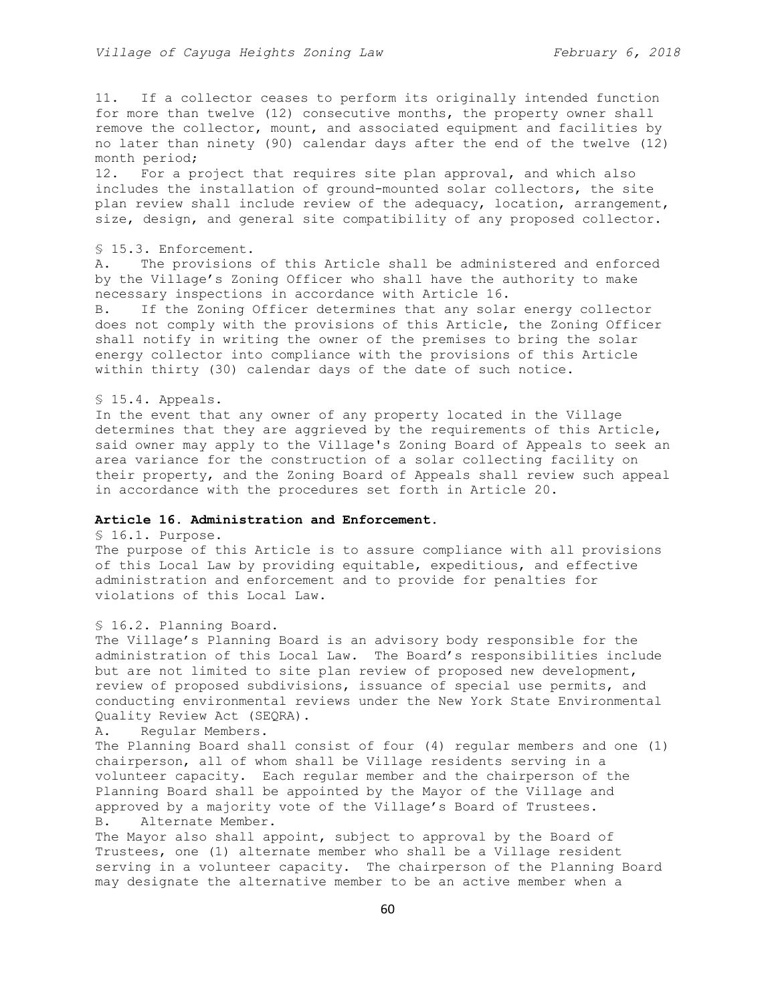11. If a collector ceases to perform its originally intended function for more than twelve (12) consecutive months, the property owner shall remove the collector, mount, and associated equipment and facilities by no later than ninety (90) calendar days after the end of the twelve (12) month period;

12. For a project that requires site plan approval, and which also includes the installation of ground-mounted solar collectors, the site plan review shall include review of the adequacy, location, arrangement, size, design, and general site compatibility of any proposed collector.

## § 15.3. Enforcement.

A. The provisions of this Article shall be administered and enforced by the Village's Zoning Officer who shall have the authority to make necessary inspections in accordance with Article 16.

B. If the Zoning Officer determines that any solar energy collector does not comply with the provisions of this Article, the Zoning Officer shall notify in writing the owner of the premises to bring the solar energy collector into compliance with the provisions of this Article within thirty (30) calendar days of the date of such notice.

#### § 15.4. Appeals.

In the event that any owner of any property located in the Village determines that they are aggrieved by the requirements of this Article, said owner may apply to the Village's Zoning Board of Appeals to seek an area variance for the construction of a solar collecting facility on their property, and the Zoning Board of Appeals shall review such appeal in accordance with the procedures set forth in Article 20.

# **Article 16. Administration and Enforcement.**

# § 16.1. Purpose.

The purpose of this Article is to assure compliance with all provisions of this Local Law by providing equitable, expeditious, and effective administration and enforcement and to provide for penalties for violations of this Local Law.

## § 16.2. Planning Board.

The Village's Planning Board is an advisory body responsible for the administration of this Local Law. The Board's responsibilities include but are not limited to site plan review of proposed new development, review of proposed subdivisions, issuance of special use permits, and conducting environmental reviews under the New York State Environmental Quality Review Act (SEQRA).

A. Regular Members.

The Planning Board shall consist of four (4) regular members and one (1) chairperson, all of whom shall be Village residents serving in a volunteer capacity. Each regular member and the chairperson of the Planning Board shall be appointed by the Mayor of the Village and approved by a majority vote of the Village's Board of Trustees. B. Alternate Member.

The Mayor also shall appoint, subject to approval by the Board of Trustees, one (1) alternate member who shall be a Village resident serving in a volunteer capacity. The chairperson of the Planning Board may designate the alternative member to be an active member when a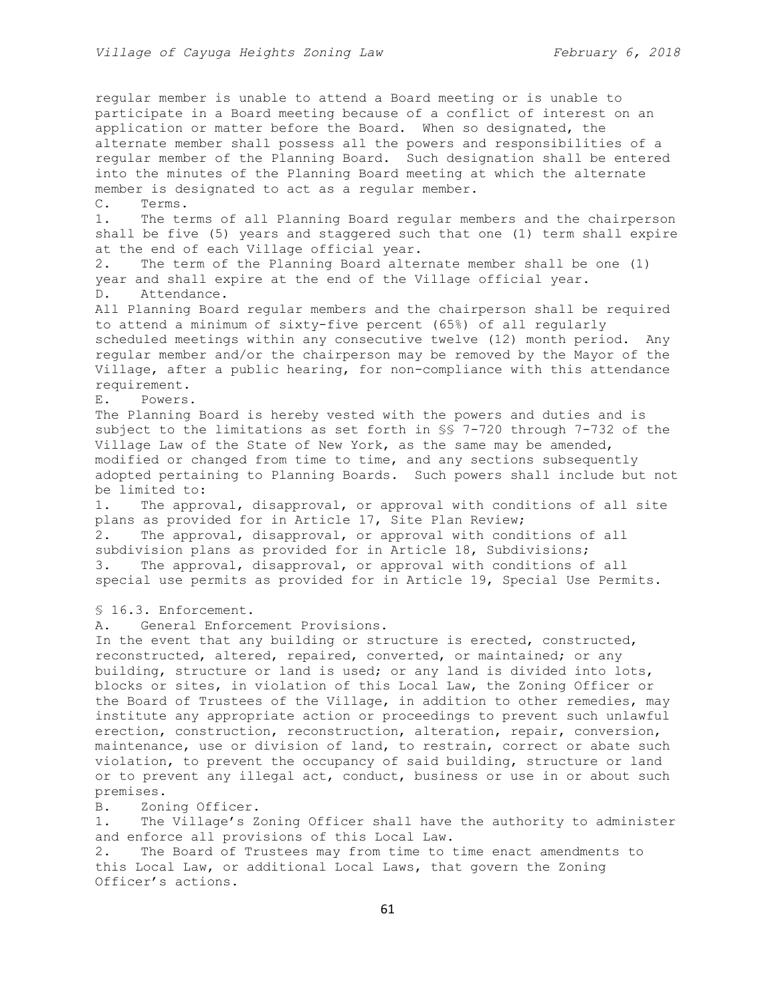regular member is unable to attend a Board meeting or is unable to participate in a Board meeting because of a conflict of interest on an application or matter before the Board. When so designated, the alternate member shall possess all the powers and responsibilities of a regular member of the Planning Board. Such designation shall be entered into the minutes of the Planning Board meeting at which the alternate member is designated to act as a regular member. C. Terms. 1. The terms of all Planning Board regular members and the chairperson shall be five (5) years and staggered such that one (1) term shall expire at the end of each Village official year. 2. The term of the Planning Board alternate member shall be one (1) year and shall expire at the end of the Village official year. D. Attendance. All Planning Board regular members and the chairperson shall be required to attend a minimum of sixty-five percent (65%) of all regularly scheduled meetings within any consecutive twelve (12) month period. Any regular member and/or the chairperson may be removed by the Mayor of the Village, after a public hearing, for non-compliance with this attendance requirement. E. Powers. The Planning Board is hereby vested with the powers and duties and is subject to the limitations as set forth in §§ 7-720 through 7-732 of the Village Law of the State of New York, as the same may be amended, modified or changed from time to time, and any sections subsequently adopted pertaining to Planning Boards. Such powers shall include but not be limited to: 1. The approval, disapproval, or approval with conditions of all site plans as provided for in Article 17, Site Plan Review; 2. The approval, disapproval, or approval with conditions of all subdivision plans as provided for in Article 18, Subdivisions; 3. The approval, disapproval, or approval with conditions of all special use permits as provided for in Article 19, Special Use Permits. § 16.3. Enforcement. A. General Enforcement Provisions. In the event that any building or structure is erected, constructed, reconstructed, altered, repaired, converted, or maintained; or any building, structure or land is used; or any land is divided into lots, blocks or sites, in violation of this Local Law, the Zoning Officer or the Board of Trustees of the Village, in addition to other remedies, may institute any appropriate action or proceedings to prevent such unlawful erection, construction, reconstruction, alteration, repair, conversion, maintenance, use or division of land, to restrain, correct or abate such violation, to prevent the occupancy of said building, structure or land or to prevent any illegal act, conduct, business or use in or about such premises. B. Zoning Officer. 1. The Village's Zoning Officer shall have the authority to administer and enforce all provisions of this Local Law. 2. The Board of Trustees may from time to time enact amendments to

this Local Law, or additional Local Laws, that govern the Zoning Officer's actions.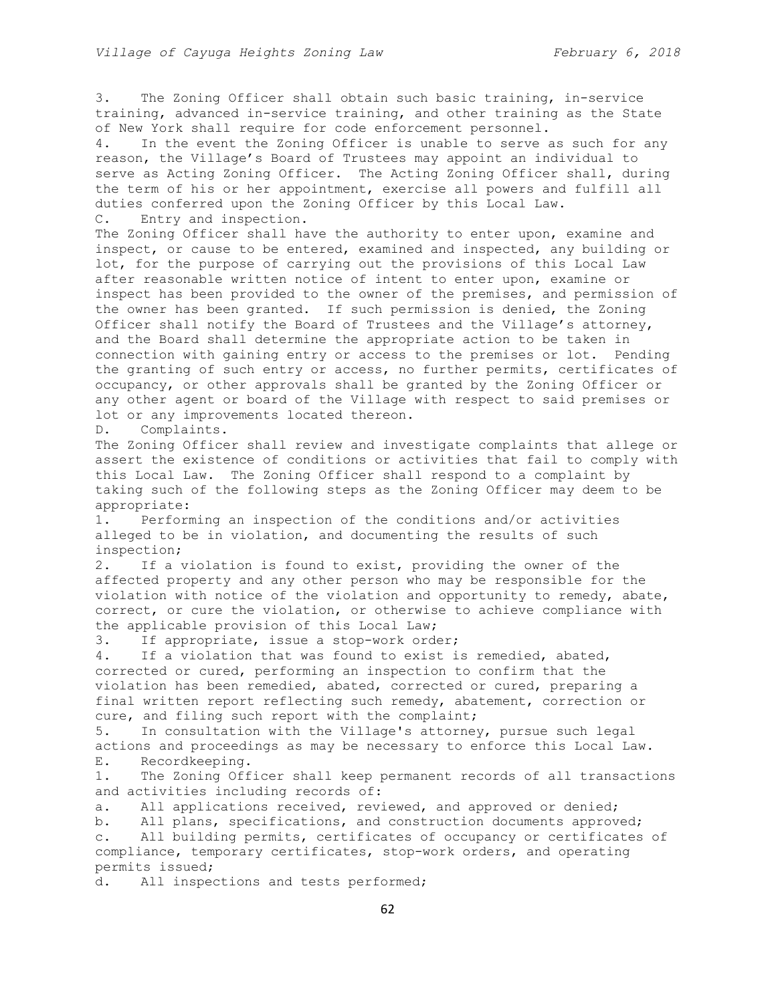3. The Zoning Officer shall obtain such basic training, in-service training, advanced in-service training, and other training as the State of New York shall require for code enforcement personnel.

4. In the event the Zoning Officer is unable to serve as such for any reason, the Village's Board of Trustees may appoint an individual to serve as Acting Zoning Officer. The Acting Zoning Officer shall, during the term of his or her appointment, exercise all powers and fulfill all duties conferred upon the Zoning Officer by this Local Law. C. Entry and inspection.

The Zoning Officer shall have the authority to enter upon, examine and inspect, or cause to be entered, examined and inspected, any building or lot, for the purpose of carrying out the provisions of this Local Law after reasonable written notice of intent to enter upon, examine or inspect has been provided to the owner of the premises, and permission of the owner has been granted. If such permission is denied, the Zoning Officer shall notify the Board of Trustees and the Village's attorney, and the Board shall determine the appropriate action to be taken in connection with gaining entry or access to the premises or lot. Pending the granting of such entry or access, no further permits, certificates of occupancy, or other approvals shall be granted by the Zoning Officer or any other agent or board of the Village with respect to said premises or lot or any improvements located thereon.

D. Complaints.

The Zoning Officer shall review and investigate complaints that allege or assert the existence of conditions or activities that fail to comply with this Local Law. The Zoning Officer shall respond to a complaint by taking such of the following steps as the Zoning Officer may deem to be appropriate:

1. Performing an inspection of the conditions and/or activities alleged to be in violation, and documenting the results of such inspection;

2. If a violation is found to exist, providing the owner of the affected property and any other person who may be responsible for the violation with notice of the violation and opportunity to remedy, abate, correct, or cure the violation, or otherwise to achieve compliance with the applicable provision of this Local Law;

3. If appropriate, issue a stop-work order;

4. If a violation that was found to exist is remedied, abated, corrected or cured, performing an inspection to confirm that the violation has been remedied, abated, corrected or cured, preparing a final written report reflecting such remedy, abatement, correction or cure, and filing such report with the complaint;

5. In consultation with the Village's attorney, pursue such legal actions and proceedings as may be necessary to enforce this Local Law. E. Recordkeeping.

1. The Zoning Officer shall keep permanent records of all transactions and activities including records of:

a. All applications received, reviewed, and approved or denied;

b. All plans, specifications, and construction documents approved; c. All building permits, certificates of occupancy or certificates of compliance, temporary certificates, stop-work orders, and operating permits issued;

d. All inspections and tests performed;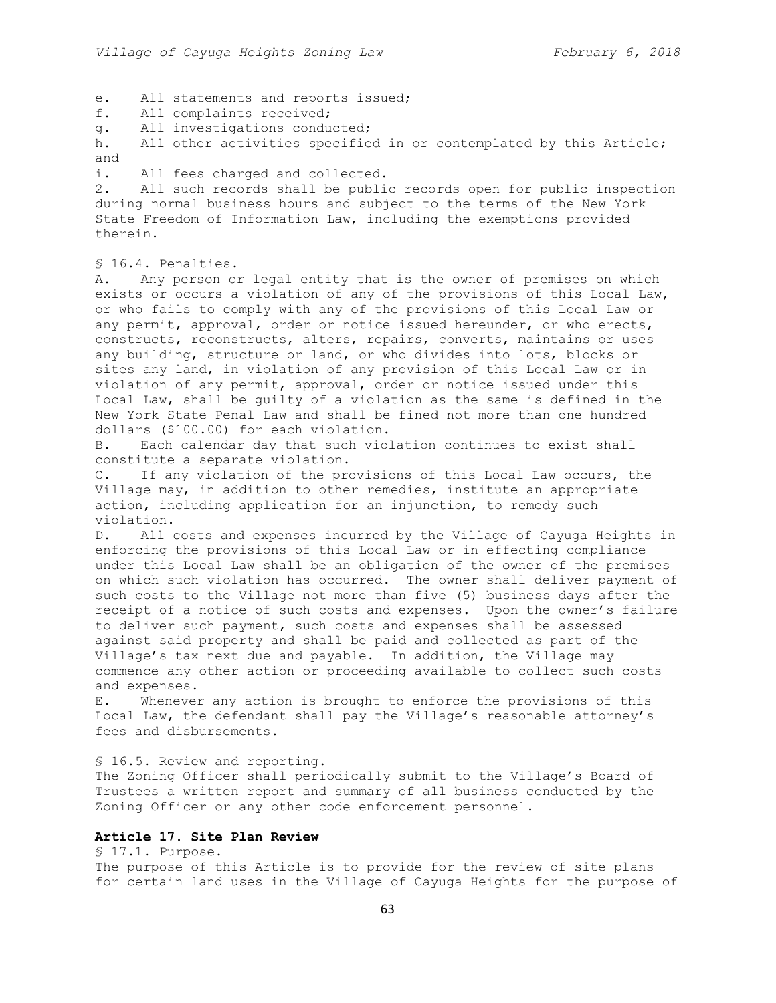e. All statements and reports issued;

- f. All complaints received;
- g. All investigations conducted;

h. All other activities specified in or contemplated by this Article; and

i. All fees charged and collected.

2. All such records shall be public records open for public inspection during normal business hours and subject to the terms of the New York State Freedom of Information Law, including the exemptions provided therein.

§ 16.4. Penalties.

A. Any person or legal entity that is the owner of premises on which exists or occurs a violation of any of the provisions of this Local Law, or who fails to comply with any of the provisions of this Local Law or any permit, approval, order or notice issued hereunder, or who erects, constructs, reconstructs, alters, repairs, converts, maintains or uses any building, structure or land, or who divides into lots, blocks or sites any land, in violation of any provision of this Local Law or in violation of any permit, approval, order or notice issued under this Local Law, shall be guilty of a violation as the same is defined in the New York State Penal Law and shall be fined not more than one hundred dollars (\$100.00) for each violation.

B. Each calendar day that such violation continues to exist shall constitute a separate violation.

C. If any violation of the provisions of this Local Law occurs, the Village may, in addition to other remedies, institute an appropriate action, including application for an injunction, to remedy such violation.

D. All costs and expenses incurred by the Village of Cayuga Heights in enforcing the provisions of this Local Law or in effecting compliance under this Local Law shall be an obligation of the owner of the premises on which such violation has occurred. The owner shall deliver payment of such costs to the Village not more than five (5) business days after the receipt of a notice of such costs and expenses. Upon the owner's failure to deliver such payment, such costs and expenses shall be assessed against said property and shall be paid and collected as part of the Village's tax next due and payable. In addition, the Village may commence any other action or proceeding available to collect such costs and expenses.

E. Whenever any action is brought to enforce the provisions of this Local Law, the defendant shall pay the Village's reasonable attorney's fees and disbursements.

§ 16.5. Review and reporting.

The Zoning Officer shall periodically submit to the Village's Board of Trustees a written report and summary of all business conducted by the Zoning Officer or any other code enforcement personnel.

# **Article 17. Site Plan Review**

§ 17.1. Purpose.

The purpose of this Article is to provide for the review of site plans for certain land uses in the Village of Cayuga Heights for the purpose of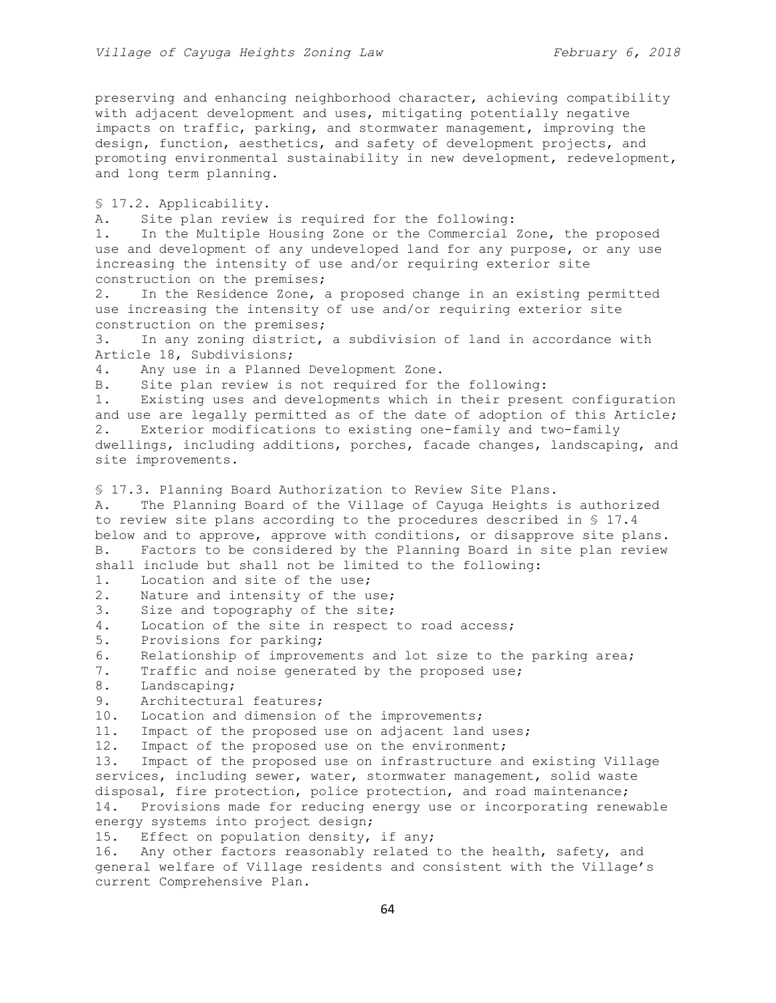preserving and enhancing neighborhood character, achieving compatibility with adjacent development and uses, mitigating potentially negative impacts on traffic, parking, and stormwater management, improving the design, function, aesthetics, and safety of development projects, and promoting environmental sustainability in new development, redevelopment, and long term planning.

§ 17.2. Applicability.

A. Site plan review is required for the following:

1. In the Multiple Housing Zone or the Commercial Zone, the proposed use and development of any undeveloped land for any purpose, or any use increasing the intensity of use and/or requiring exterior site construction on the premises;

2. In the Residence Zone, a proposed change in an existing permitted use increasing the intensity of use and/or requiring exterior site construction on the premises;

3. In any zoning district, a subdivision of land in accordance with Article 18, Subdivisions;

4. Any use in a Planned Development Zone.

B. Site plan review is not required for the following:

1. Existing uses and developments which in their present configuration and use are legally permitted as of the date of adoption of this Article; 2. Exterior modifications to existing one-family and two-family dwellings, including additions, porches, facade changes, landscaping, and site improvements.

§ 17.3. Planning Board Authorization to Review Site Plans.

A. The Planning Board of the Village of Cayuga Heights is authorized to review site plans according to the procedures described in § 17.4 below and to approve, approve with conditions, or disapprove site plans. B. Factors to be considered by the Planning Board in site plan review shall include but shall not be limited to the following:

1. Location and site of the use;

2. Nature and intensity of the use;

3. Size and topography of the site;

- 4. Location of the site in respect to road access;
- 5. Provisions for parking;

6. Relationship of improvements and lot size to the parking area;

- 7. Traffic and noise generated by the proposed use;
- 8. Landscaping;
- 9. Architectural features;

10. Location and dimension of the improvements;

11. Impact of the proposed use on adjacent land uses;

12. Impact of the proposed use on the environment;

13. Impact of the proposed use on infrastructure and existing Village services, including sewer, water, stormwater management, solid waste disposal, fire protection, police protection, and road maintenance; 14. Provisions made for reducing energy use or incorporating renewable energy systems into project design;

15. Effect on population density, if any;

16. Any other factors reasonably related to the health, safety, and general welfare of Village residents and consistent with the Village's current Comprehensive Plan.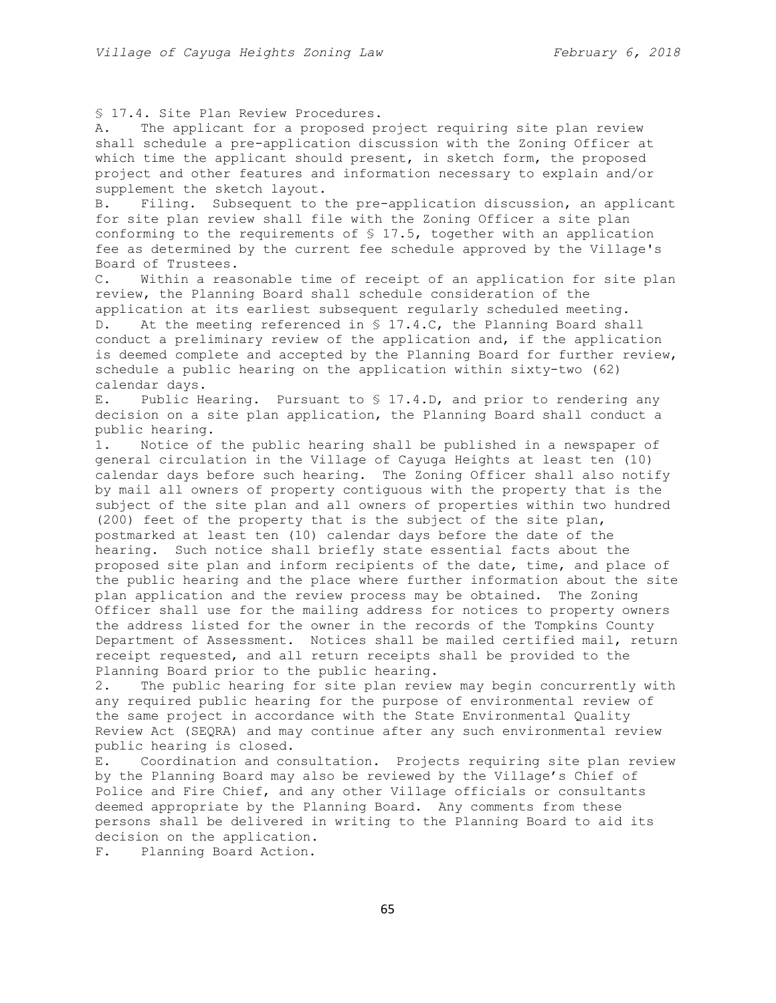§ 17.4. Site Plan Review Procedures.

A. The applicant for a proposed project requiring site plan review shall schedule a pre-application discussion with the Zoning Officer at which time the applicant should present, in sketch form, the proposed project and other features and information necessary to explain and/or supplement the sketch layout.

B. Filing. Subsequent to the pre-application discussion, an applicant for site plan review shall file with the Zoning Officer a site plan conforming to the requirements of § 17.5, together with an application fee as determined by the current fee schedule approved by the Village's Board of Trustees.

C. Within a reasonable time of receipt of an application for site plan review, the Planning Board shall schedule consideration of the application at its earliest subsequent regularly scheduled meeting. D. At the meeting referenced in § 17.4.C, the Planning Board shall conduct a preliminary review of the application and, if the application is deemed complete and accepted by the Planning Board for further review, schedule a public hearing on the application within sixty-two (62) calendar days.

E. Public Hearing. Pursuant to § 17.4.D, and prior to rendering any decision on a site plan application, the Planning Board shall conduct a public hearing.

1. Notice of the public hearing shall be published in a newspaper of general circulation in the Village of Cayuga Heights at least ten (10) calendar days before such hearing. The Zoning Officer shall also notify by mail all owners of property contiguous with the property that is the subject of the site plan and all owners of properties within two hundred (200) feet of the property that is the subject of the site plan, postmarked at least ten (10) calendar days before the date of the hearing. Such notice shall briefly state essential facts about the proposed site plan and inform recipients of the date, time, and place of the public hearing and the place where further information about the site plan application and the review process may be obtained. The Zoning Officer shall use for the mailing address for notices to property owners the address listed for the owner in the records of the Tompkins County Department of Assessment. Notices shall be mailed certified mail, return receipt requested, and all return receipts shall be provided to the Planning Board prior to the public hearing.

2. The public hearing for site plan review may begin concurrently with any required public hearing for the purpose of environmental review of the same project in accordance with the State Environmental Quality Review Act (SEQRA) and may continue after any such environmental review public hearing is closed.

E. Coordination and consultation. Projects requiring site plan review by the Planning Board may also be reviewed by the Village's Chief of Police and Fire Chief, and any other Village officials or consultants deemed appropriate by the Planning Board. Any comments from these persons shall be delivered in writing to the Planning Board to aid its decision on the application.

F. Planning Board Action.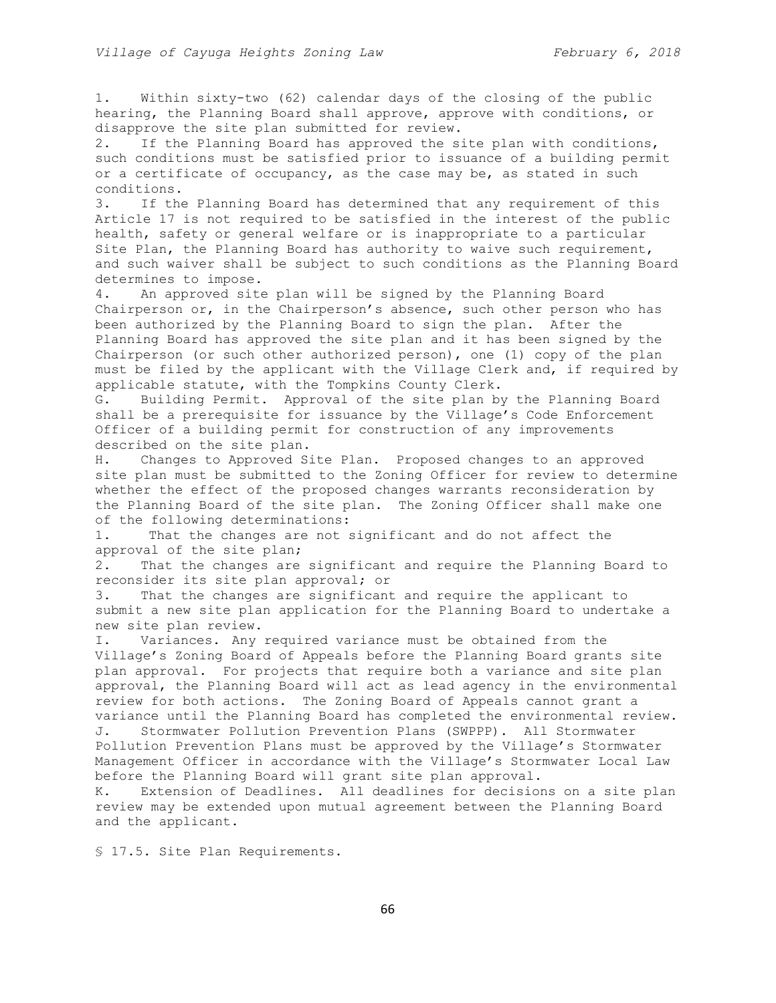1. Within sixty-two (62) calendar days of the closing of the public hearing, the Planning Board shall approve, approve with conditions, or disapprove the site plan submitted for review.

2. If the Planning Board has approved the site plan with conditions, such conditions must be satisfied prior to issuance of a building permit or a certificate of occupancy, as the case may be, as stated in such conditions.

3. If the Planning Board has determined that any requirement of this Article 17 is not required to be satisfied in the interest of the public health, safety or general welfare or is inappropriate to a particular Site Plan, the Planning Board has authority to waive such requirement, and such waiver shall be subject to such conditions as the Planning Board determines to impose.

4. An approved site plan will be signed by the Planning Board Chairperson or, in the Chairperson's absence, such other person who has been authorized by the Planning Board to sign the plan. After the Planning Board has approved the site plan and it has been signed by the Chairperson (or such other authorized person), one (1) copy of the plan must be filed by the applicant with the Village Clerk and, if required by applicable statute, with the Tompkins County Clerk.

G. Building Permit. Approval of the site plan by the Planning Board shall be a prerequisite for issuance by the Village's Code Enforcement Officer of a building permit for construction of any improvements described on the site plan.

H. Changes to Approved Site Plan. Proposed changes to an approved site plan must be submitted to the Zoning Officer for review to determine whether the effect of the proposed changes warrants reconsideration by the Planning Board of the site plan. The Zoning Officer shall make one of the following determinations:

1. That the changes are not significant and do not affect the approval of the site plan;

2. That the changes are significant and require the Planning Board to reconsider its site plan approval; or

3. That the changes are significant and require the applicant to submit a new site plan application for the Planning Board to undertake a new site plan review.

I. Variances. Any required variance must be obtained from the Village's Zoning Board of Appeals before the Planning Board grants site plan approval. For projects that require both a variance and site plan approval, the Planning Board will act as lead agency in the environmental review for both actions. The Zoning Board of Appeals cannot grant a variance until the Planning Board has completed the environmental review. J. Stormwater Pollution Prevention Plans (SWPPP). All Stormwater Pollution Prevention Plans must be approved by the Village's Stormwater Management Officer in accordance with the Village's Stormwater Local Law before the Planning Board will grant site plan approval.

K. Extension of Deadlines. All deadlines for decisions on a site plan review may be extended upon mutual agreement between the Planning Board and the applicant.

§ 17.5. Site Plan Requirements.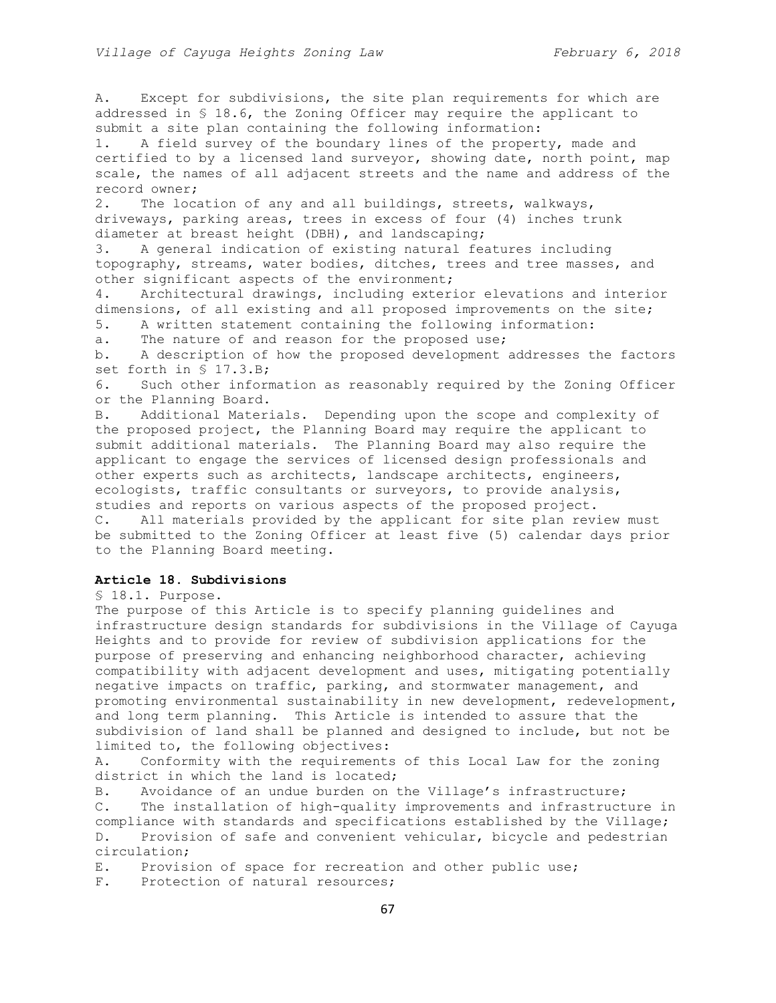A. Except for subdivisions, the site plan requirements for which are addressed in § 18.6, the Zoning Officer may require the applicant to submit a site plan containing the following information:

1. A field survey of the boundary lines of the property, made and certified to by a licensed land surveyor, showing date, north point, map scale, the names of all adjacent streets and the name and address of the record owner;

2. The location of any and all buildings, streets, walkways, driveways, parking areas, trees in excess of four (4) inches trunk diameter at breast height (DBH), and landscaping;

3. A general indication of existing natural features including topography, streams, water bodies, ditches, trees and tree masses, and other significant aspects of the environment;

4. Architectural drawings, including exterior elevations and interior dimensions, of all existing and all proposed improvements on the site;

5. A written statement containing the following information:

a. The nature of and reason for the proposed use;

b. A description of how the proposed development addresses the factors set forth in § 17.3.B;

6. Such other information as reasonably required by the Zoning Officer or the Planning Board.

B. Additional Materials. Depending upon the scope and complexity of the proposed project, the Planning Board may require the applicant to submit additional materials. The Planning Board may also require the applicant to engage the services of licensed design professionals and other experts such as architects, landscape architects, engineers, ecologists, traffic consultants or surveyors, to provide analysis, studies and reports on various aspects of the proposed project. C. All materials provided by the applicant for site plan review must be submitted to the Zoning Officer at least five (5) calendar days prior to the Planning Board meeting.

# **Article 18. Subdivisions**

§ 18.1. Purpose.

The purpose of this Article is to specify planning guidelines and infrastructure design standards for subdivisions in the Village of Cayuga Heights and to provide for review of subdivision applications for the purpose of preserving and enhancing neighborhood character, achieving compatibility with adjacent development and uses, mitigating potentially negative impacts on traffic, parking, and stormwater management, and promoting environmental sustainability in new development, redevelopment, and long term planning. This Article is intended to assure that the subdivision of land shall be planned and designed to include, but not be limited to, the following objectives:

A. Conformity with the requirements of this Local Law for the zoning district in which the land is located;

B. Avoidance of an undue burden on the Village's infrastructure;

C. The installation of high-quality improvements and infrastructure in compliance with standards and specifications established by the Village; D. Provision of safe and convenient vehicular, bicycle and pedestrian circulation;

E. Provision of space for recreation and other public use;

F. Protection of natural resources;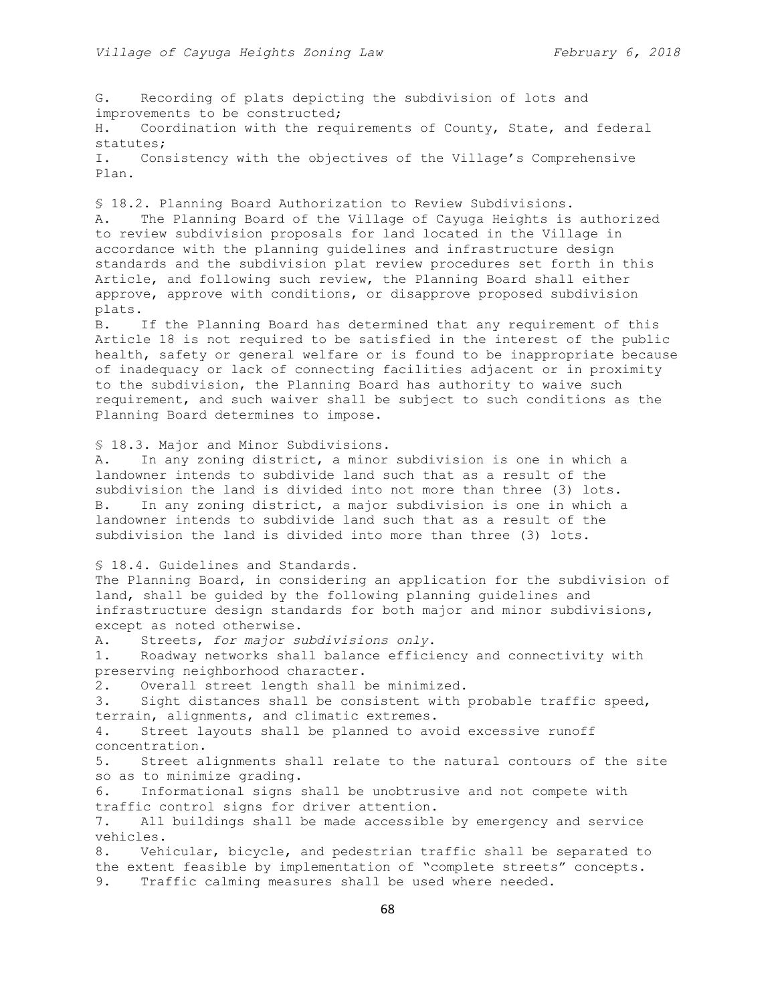G. Recording of plats depicting the subdivision of lots and improvements to be constructed; H. Coordination with the requirements of County, State, and federal statutes; I. Consistency with the objectives of the Village's Comprehensive Plan. § 18.2. Planning Board Authorization to Review Subdivisions. A. The Planning Board of the Village of Cayuga Heights is authorized to review subdivision proposals for land located in the Village in accordance with the planning guidelines and infrastructure design standards and the subdivision plat review procedures set forth in this Article, and following such review, the Planning Board shall either approve, approve with conditions, or disapprove proposed subdivision plats. B. If the Planning Board has determined that any requirement of this Article 18 is not required to be satisfied in the interest of the public health, safety or general welfare or is found to be inappropriate because of inadequacy or lack of connecting facilities adjacent or in proximity to the subdivision, the Planning Board has authority to waive such requirement, and such waiver shall be subject to such conditions as the Planning Board determines to impose. § 18.3. Major and Minor Subdivisions. A. In any zoning district, a minor subdivision is one in which a landowner intends to subdivide land such that as a result of the subdivision the land is divided into not more than three (3) lots. B. In any zoning district, a major subdivision is one in which a landowner intends to subdivide land such that as a result of the subdivision the land is divided into more than three (3) lots. § 18.4. Guidelines and Standards. The Planning Board, in considering an application for the subdivision of land, shall be guided by the following planning guidelines and infrastructure design standards for both major and minor subdivisions, except as noted otherwise. A. Streets, *for major subdivisions only*. 1. Roadway networks shall balance efficiency and connectivity with preserving neighborhood character. 2. Overall street length shall be minimized. 3. Sight distances shall be consistent with probable traffic speed, terrain, alignments, and climatic extremes. 4. Street layouts shall be planned to avoid excessive runoff concentration. 5. Street alignments shall relate to the natural contours of the site so as to minimize grading. 6. Informational signs shall be unobtrusive and not compete with traffic control signs for driver attention. 7. All buildings shall be made accessible by emergency and service vehicles. 8. Vehicular, bicycle, and pedestrian traffic shall be separated to the extent feasible by implementation of "complete streets" concepts. 9. Traffic calming measures shall be used where needed.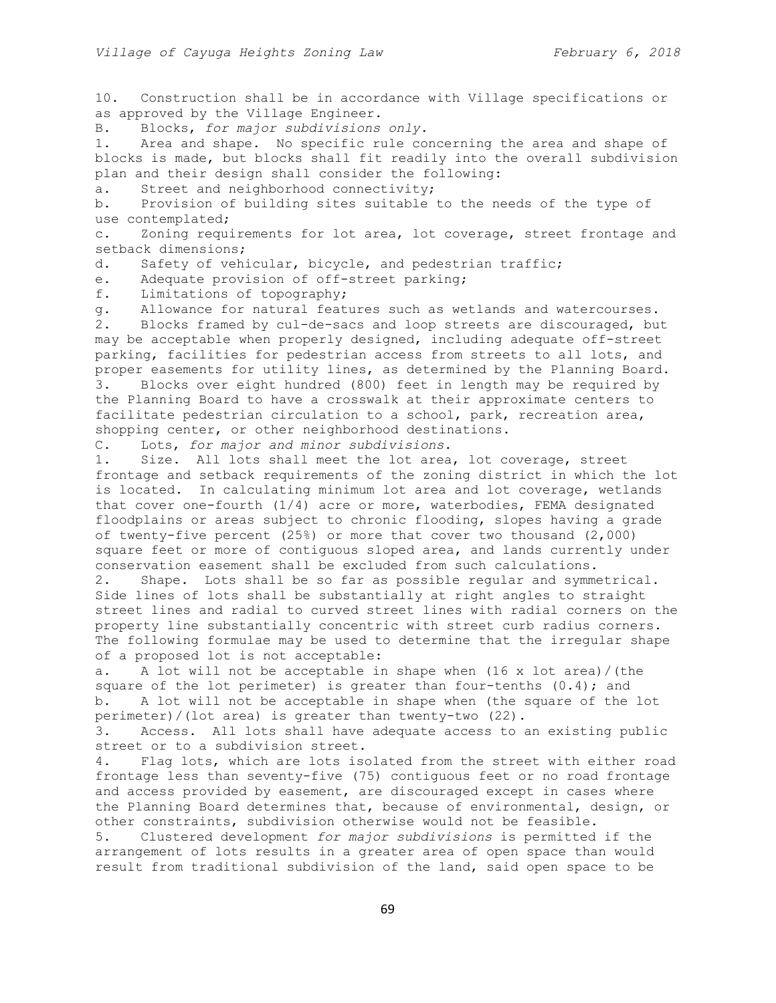10. Construction shall be in accordance with Village specifications or as approved by the Village Engineer.

B. Blocks, *for major subdivisions only*.

1. Area and shape. No specific rule concerning the area and shape of blocks is made, but blocks shall fit readily into the overall subdivision plan and their design shall consider the following:

a. Street and neighborhood connectivity;

b. Provision of building sites suitable to the needs of the type of use contemplated;

c. Zoning requirements for lot area, lot coverage, street frontage and setback dimensions;

d. Safety of vehicular, bicycle, and pedestrian traffic;

e. Adequate provision of off-street parking;

f. Limitations of topography;

g. Allowance for natural features such as wetlands and watercourses. 2. Blocks framed by cul-de-sacs and loop streets are discouraged, but may be acceptable when properly designed, including adequate off-street parking, facilities for pedestrian access from streets to all lots, and proper easements for utility lines, as determined by the Planning Board.

3. Blocks over eight hundred (800) feet in length may be required by the Planning Board to have a crosswalk at their approximate centers to facilitate pedestrian circulation to a school, park, recreation area, shopping center, or other neighborhood destinations.

C. Lots, *for major and minor subdivisions*.

1. Size. All lots shall meet the lot area, lot coverage, street frontage and setback requirements of the zoning district in which the lot is located. In calculating minimum lot area and lot coverage, wetlands that cover one-fourth (1/4) acre or more, waterbodies, FEMA designated floodplains or areas subject to chronic flooding, slopes having a grade of twenty-five percent (25%) or more that cover two thousand (2,000) square feet or more of contiguous sloped area, and lands currently under conservation easement shall be excluded from such calculations.

2. Shape. Lots shall be so far as possible regular and symmetrical. Side lines of lots shall be substantially at right angles to straight street lines and radial to curved street lines with radial corners on the property line substantially concentric with street curb radius corners. The following formulae may be used to determine that the irregular shape of a proposed lot is not acceptable:

a. A lot will not be acceptable in shape when (16 x lot area)/(the square of the lot perimeter) is greater than four-tenths  $(0.4)$ ; and b. A lot will not be acceptable in shape when (the square of the lot perimeter)/(lot area) is greater than twenty-two (22).

3. Access. All lots shall have adequate access to an existing public street or to a subdivision street.

4. Flag lots, which are lots isolated from the street with either road frontage less than seventy-five (75) contiguous feet or no road frontage and access provided by easement, are discouraged except in cases where the Planning Board determines that, because of environmental, design, or other constraints, subdivision otherwise would not be feasible.

5. Clustered development *for major subdivisions* is permitted if the arrangement of lots results in a greater area of open space than would result from traditional subdivision of the land, said open space to be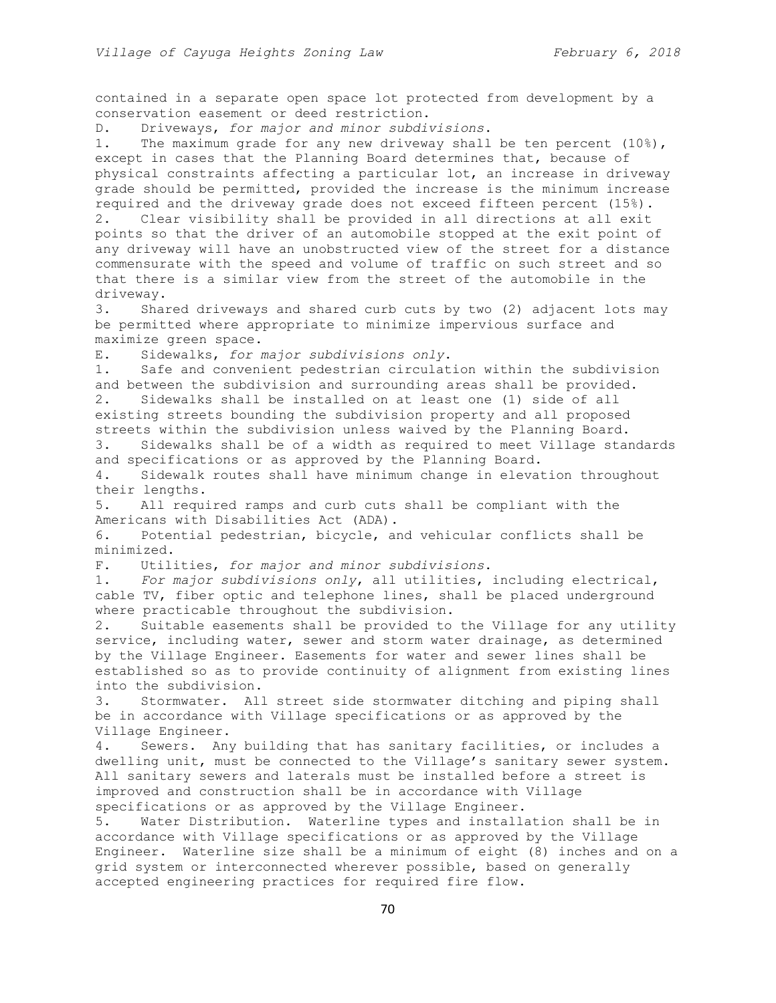contained in a separate open space lot protected from development by a conservation easement or deed restriction.

D. Driveways, *for major and minor subdivisions*.

1. The maximum grade for any new driveway shall be ten percent (10%), except in cases that the Planning Board determines that, because of physical constraints affecting a particular lot, an increase in driveway grade should be permitted, provided the increase is the minimum increase required and the driveway grade does not exceed fifteen percent (15%). 2. Clear visibility shall be provided in all directions at all exit points so that the driver of an automobile stopped at the exit point of any driveway will have an unobstructed view of the street for a distance commensurate with the speed and volume of traffic on such street and so that there is a similar view from the street of the automobile in the driveway.

3. Shared driveways and shared curb cuts by two (2) adjacent lots may be permitted where appropriate to minimize impervious surface and maximize green space.

E. Sidewalks, *for major subdivisions only*.

1. Safe and convenient pedestrian circulation within the subdivision and between the subdivision and surrounding areas shall be provided.

2. Sidewalks shall be installed on at least one (1) side of all existing streets bounding the subdivision property and all proposed streets within the subdivision unless waived by the Planning Board.

3. Sidewalks shall be of a width as required to meet Village standards and specifications or as approved by the Planning Board.

4. Sidewalk routes shall have minimum change in elevation throughout their lengths.

5. All required ramps and curb cuts shall be compliant with the Americans with Disabilities Act (ADA).

6. Potential pedestrian, bicycle, and vehicular conflicts shall be minimized.

F. Utilities, *for major and minor subdivisions*.

1. *For major subdivisions only*, all utilities, including electrical, cable TV, fiber optic and telephone lines, shall be placed underground where practicable throughout the subdivision.

2. Suitable easements shall be provided to the Village for any utility service, including water, sewer and storm water drainage, as determined by the Village Engineer. Easements for water and sewer lines shall be established so as to provide continuity of alignment from existing lines into the subdivision.

3. Stormwater. All street side stormwater ditching and piping shall be in accordance with Village specifications or as approved by the Village Engineer.

4. Sewers. Any building that has sanitary facilities, or includes a dwelling unit, must be connected to the Village's sanitary sewer system. All sanitary sewers and laterals must be installed before a street is improved and construction shall be in accordance with Village specifications or as approved by the Village Engineer.

5. Water Distribution. Waterline types and installation shall be in accordance with Village specifications or as approved by the Village Engineer. Waterline size shall be a minimum of eight (8) inches and on a grid system or interconnected wherever possible, based on generally accepted engineering practices for required fire flow.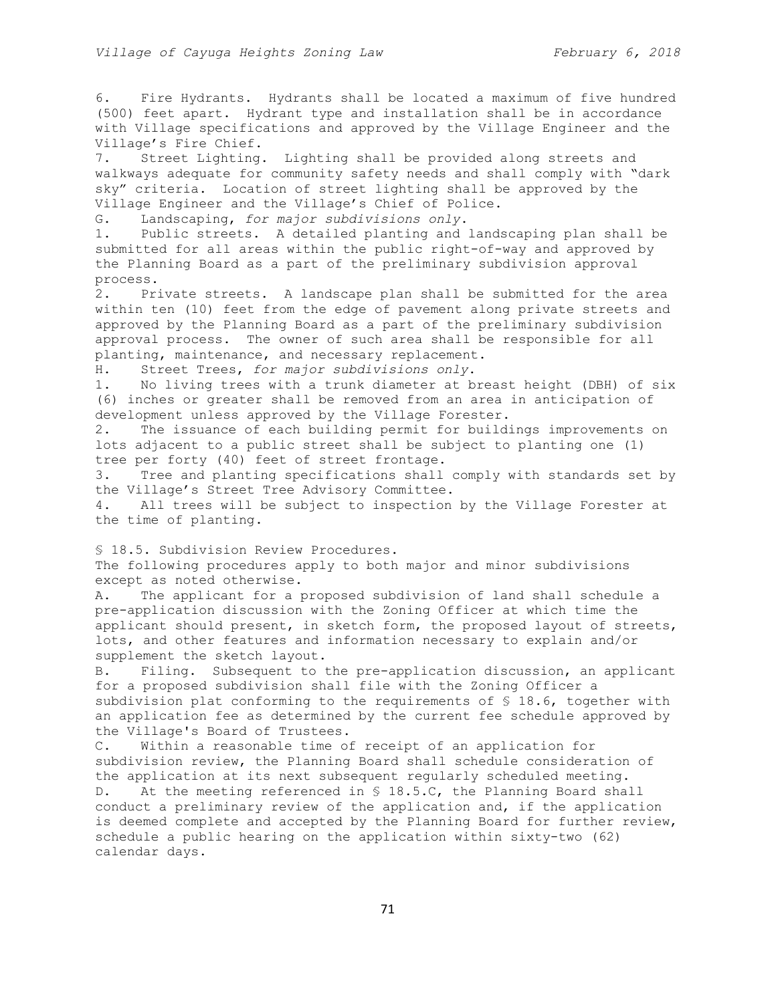6. Fire Hydrants. Hydrants shall be located a maximum of five hundred (500) feet apart. Hydrant type and installation shall be in accordance with Village specifications and approved by the Village Engineer and the Village's Fire Chief.

7. Street Lighting. Lighting shall be provided along streets and walkways adequate for community safety needs and shall comply with "dark sky" criteria. Location of street lighting shall be approved by the Village Engineer and the Village's Chief of Police.

G. Landscaping, *for major subdivisions only*.

1. Public streets. A detailed planting and landscaping plan shall be submitted for all areas within the public right-of-way and approved by the Planning Board as a part of the preliminary subdivision approval process.

2. Private streets. A landscape plan shall be submitted for the area within ten (10) feet from the edge of pavement along private streets and approved by the Planning Board as a part of the preliminary subdivision approval process. The owner of such area shall be responsible for all planting, maintenance, and necessary replacement.

H. Street Trees, *for major subdivisions only*.

1. No living trees with a trunk diameter at breast height (DBH) of six (6) inches or greater shall be removed from an area in anticipation of development unless approved by the Village Forester.

2. The issuance of each building permit for buildings improvements on lots adjacent to a public street shall be subject to planting one (1) tree per forty (40) feet of street frontage.

3. Tree and planting specifications shall comply with standards set by the Village's Street Tree Advisory Committee.

4. All trees will be subject to inspection by the Village Forester at the time of planting.

§ 18.5. Subdivision Review Procedures.

The following procedures apply to both major and minor subdivisions except as noted otherwise.

A. The applicant for a proposed subdivision of land shall schedule a pre-application discussion with the Zoning Officer at which time the applicant should present, in sketch form, the proposed layout of streets, lots, and other features and information necessary to explain and/or supplement the sketch layout.

B. Filing. Subsequent to the pre-application discussion, an applicant for a proposed subdivision shall file with the Zoning Officer a subdivision plat conforming to the requirements of § 18.6, together with an application fee as determined by the current fee schedule approved by the Village's Board of Trustees.

C. Within a reasonable time of receipt of an application for subdivision review, the Planning Board shall schedule consideration of the application at its next subsequent regularly scheduled meeting. D. At the meeting referenced in § 18.5.C, the Planning Board shall conduct a preliminary review of the application and, if the application is deemed complete and accepted by the Planning Board for further review, schedule a public hearing on the application within sixty-two (62) calendar days.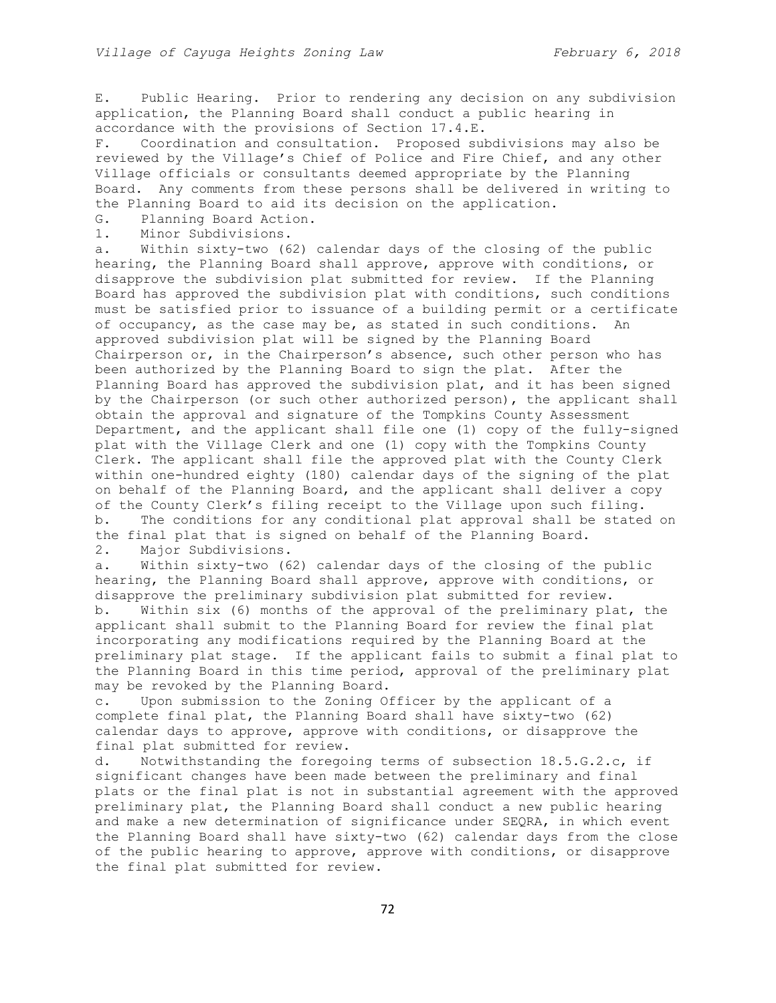E. Public Hearing. Prior to rendering any decision on any subdivision application, the Planning Board shall conduct a public hearing in accordance with the provisions of Section 17.4.E.

F. Coordination and consultation. Proposed subdivisions may also be reviewed by the Village's Chief of Police and Fire Chief, and any other Village officials or consultants deemed appropriate by the Planning Board. Any comments from these persons shall be delivered in writing to the Planning Board to aid its decision on the application.

G. Planning Board Action.

1. Minor Subdivisions.

a. Within sixty-two (62) calendar days of the closing of the public hearing, the Planning Board shall approve, approve with conditions, or disapprove the subdivision plat submitted for review. If the Planning Board has approved the subdivision plat with conditions, such conditions must be satisfied prior to issuance of a building permit or a certificate of occupancy, as the case may be, as stated in such conditions. An approved subdivision plat will be signed by the Planning Board Chairperson or, in the Chairperson's absence, such other person who has been authorized by the Planning Board to sign the plat. After the Planning Board has approved the subdivision plat, and it has been signed by the Chairperson (or such other authorized person), the applicant shall obtain the approval and signature of the Tompkins County Assessment Department, and the applicant shall file one (1) copy of the fully-signed plat with the Village Clerk and one (1) copy with the Tompkins County Clerk. The applicant shall file the approved plat with the County Clerk within one-hundred eighty (180) calendar days of the signing of the plat on behalf of the Planning Board, and the applicant shall deliver a copy of the County Clerk's filing receipt to the Village upon such filing. b. The conditions for any conditional plat approval shall be stated on the final plat that is signed on behalf of the Planning Board.

2. Major Subdivisions.

a. Within sixty-two (62) calendar days of the closing of the public hearing, the Planning Board shall approve, approve with conditions, or disapprove the preliminary subdivision plat submitted for review.

b. Within six (6) months of the approval of the preliminary plat, the applicant shall submit to the Planning Board for review the final plat incorporating any modifications required by the Planning Board at the preliminary plat stage. If the applicant fails to submit a final plat to the Planning Board in this time period, approval of the preliminary plat may be revoked by the Planning Board.

c. Upon submission to the Zoning Officer by the applicant of a complete final plat, the Planning Board shall have sixty-two (62) calendar days to approve, approve with conditions, or disapprove the final plat submitted for review.

d. Notwithstanding the foregoing terms of subsection 18.5.G.2.c, if significant changes have been made between the preliminary and final plats or the final plat is not in substantial agreement with the approved preliminary plat, the Planning Board shall conduct a new public hearing and make a new determination of significance under SEQRA, in which event the Planning Board shall have sixty-two (62) calendar days from the close of the public hearing to approve, approve with conditions, or disapprove the final plat submitted for review.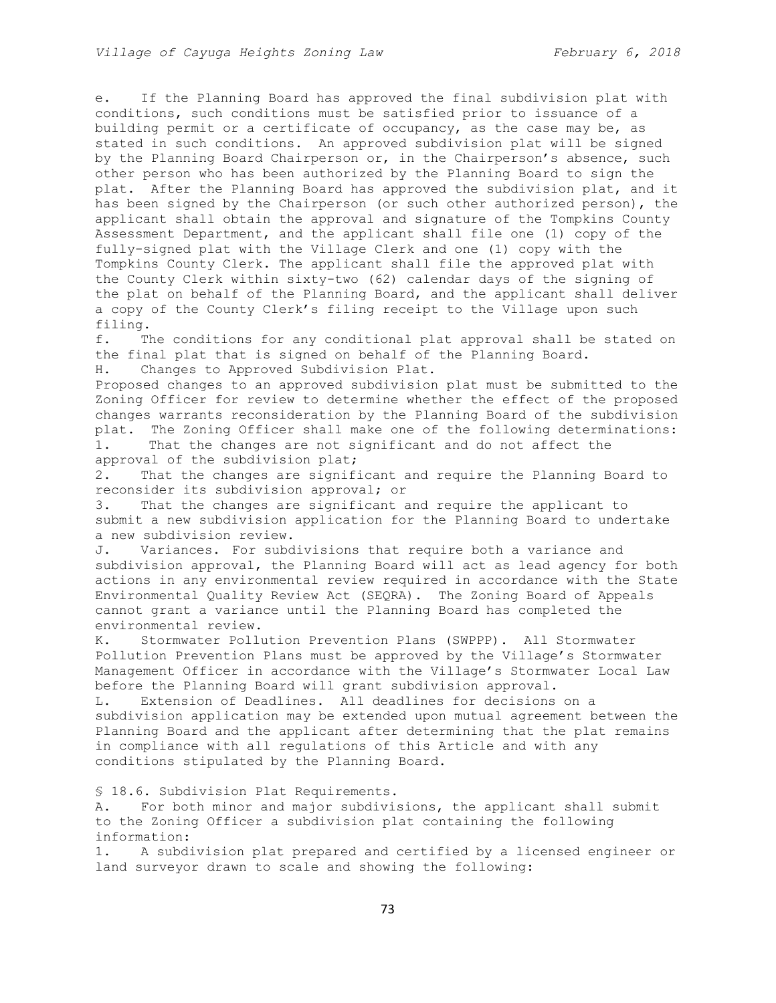e. If the Planning Board has approved the final subdivision plat with conditions, such conditions must be satisfied prior to issuance of a building permit or a certificate of occupancy, as the case may be, as stated in such conditions. An approved subdivision plat will be signed by the Planning Board Chairperson or, in the Chairperson's absence, such other person who has been authorized by the Planning Board to sign the plat. After the Planning Board has approved the subdivision plat, and it has been signed by the Chairperson (or such other authorized person), the applicant shall obtain the approval and signature of the Tompkins County Assessment Department, and the applicant shall file one (1) copy of the fully-signed plat with the Village Clerk and one (1) copy with the Tompkins County Clerk. The applicant shall file the approved plat with the County Clerk within sixty-two (62) calendar days of the signing of the plat on behalf of the Planning Board, and the applicant shall deliver a copy of the County Clerk's filing receipt to the Village upon such filing.

f. The conditions for any conditional plat approval shall be stated on the final plat that is signed on behalf of the Planning Board.

H. Changes to Approved Subdivision Plat.

Proposed changes to an approved subdivision plat must be submitted to the Zoning Officer for review to determine whether the effect of the proposed changes warrants reconsideration by the Planning Board of the subdivision plat. The Zoning Officer shall make one of the following determinations: 1. That the changes are not significant and do not affect the approval of the subdivision plat;

2. That the changes are significant and require the Planning Board to reconsider its subdivision approval; or

3. That the changes are significant and require the applicant to submit a new subdivision application for the Planning Board to undertake a new subdivision review.

J. Variances. For subdivisions that require both a variance and subdivision approval, the Planning Board will act as lead agency for both actions in any environmental review required in accordance with the State Environmental Quality Review Act (SEQRA). The Zoning Board of Appeals cannot grant a variance until the Planning Board has completed the environmental review.

K. Stormwater Pollution Prevention Plans (SWPPP). All Stormwater Pollution Prevention Plans must be approved by the Village's Stormwater Management Officer in accordance with the Village's Stormwater Local Law before the Planning Board will grant subdivision approval.

L. Extension of Deadlines. All deadlines for decisions on a subdivision application may be extended upon mutual agreement between the Planning Board and the applicant after determining that the plat remains in compliance with all regulations of this Article and with any conditions stipulated by the Planning Board.

§ 18.6. Subdivision Plat Requirements.

A. For both minor and major subdivisions, the applicant shall submit to the Zoning Officer a subdivision plat containing the following information:

1. A subdivision plat prepared and certified by a licensed engineer or land surveyor drawn to scale and showing the following: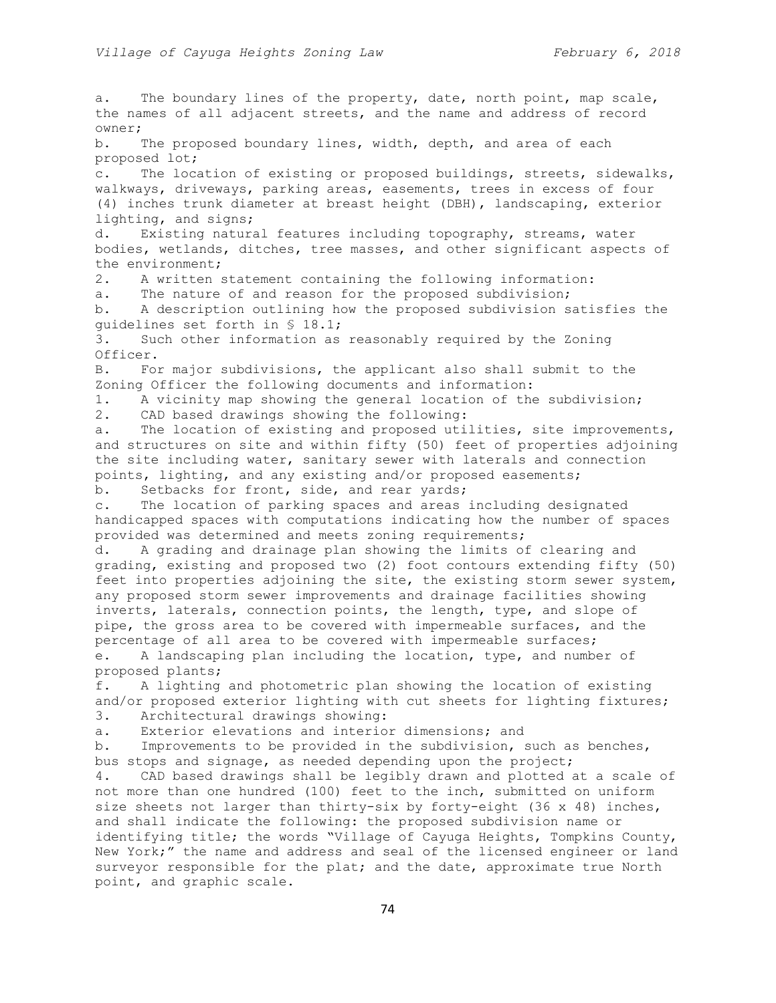a. The boundary lines of the property, date, north point, map scale, the names of all adjacent streets, and the name and address of record owner; b. The proposed boundary lines, width, depth, and area of each proposed lot; c. The location of existing or proposed buildings, streets, sidewalks, walkways, driveways, parking areas, easements, trees in excess of four (4) inches trunk diameter at breast height (DBH), landscaping, exterior lighting, and signs; d. Existing natural features including topography, streams, water bodies, wetlands, ditches, tree masses, and other significant aspects of the environment; 2. A written statement containing the following information: a. The nature of and reason for the proposed subdivision; b. A description outlining how the proposed subdivision satisfies the guidelines set forth in § 18.1; 3. Such other information as reasonably required by the Zoning Officer. B. For major subdivisions, the applicant also shall submit to the Zoning Officer the following documents and information: 1. A vicinity map showing the general location of the subdivision; 2. CAD based drawings showing the following: a. The location of existing and proposed utilities, site improvements, and structures on site and within fifty (50) feet of properties adjoining the site including water, sanitary sewer with laterals and connection points, lighting, and any existing and/or proposed easements; b. Setbacks for front, side, and rear yards; c. The location of parking spaces and areas including designated handicapped spaces with computations indicating how the number of spaces provided was determined and meets zoning requirements; d. A grading and drainage plan showing the limits of clearing and grading, existing and proposed two (2) foot contours extending fifty (50) feet into properties adjoining the site, the existing storm sewer system, any proposed storm sewer improvements and drainage facilities showing inverts, laterals, connection points, the length, type, and slope of pipe, the gross area to be covered with impermeable surfaces, and the percentage of all area to be covered with impermeable surfaces; e. A landscaping plan including the location, type, and number of proposed plants; f. A lighting and photometric plan showing the location of existing and/or proposed exterior lighting with cut sheets for lighting fixtures; 3. Architectural drawings showing: a. Exterior elevations and interior dimensions; and b. Improvements to be provided in the subdivision, such as benches, bus stops and signage, as needed depending upon the project; 4. CAD based drawings shall be legibly drawn and plotted at a scale of not more than one hundred (100) feet to the inch, submitted on uniform size sheets not larger than thirty-six by forty-eight (36 x 48) inches, and shall indicate the following: the proposed subdivision name or identifying title; the words "Village of Cayuga Heights, Tompkins County, New York;" the name and address and seal of the licensed engineer or land surveyor responsible for the plat; and the date, approximate true North point, and graphic scale.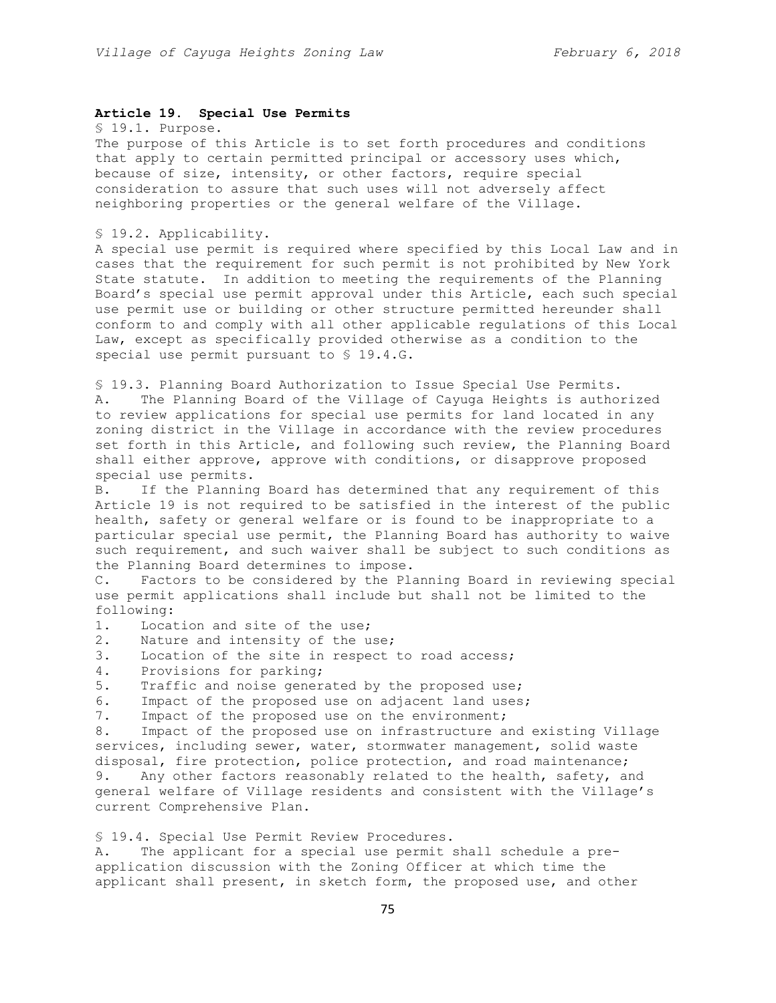### **Article 19. Special Use Permits**

§ 19.1. Purpose.

The purpose of this Article is to set forth procedures and conditions that apply to certain permitted principal or accessory uses which, because of size, intensity, or other factors, require special consideration to assure that such uses will not adversely affect neighboring properties or the general welfare of the Village.

§ 19.2. Applicability.

A special use permit is required where specified by this Local Law and in cases that the requirement for such permit is not prohibited by New York State statute. In addition to meeting the requirements of the Planning Board's special use permit approval under this Article, each such special use permit use or building or other structure permitted hereunder shall conform to and comply with all other applicable regulations of this Local Law, except as specifically provided otherwise as a condition to the special use permit pursuant to § 19.4.G.

§ 19.3. Planning Board Authorization to Issue Special Use Permits. A. The Planning Board of the Village of Cayuga Heights is authorized to review applications for special use permits for land located in any zoning district in the Village in accordance with the review procedures set forth in this Article, and following such review, the Planning Board shall either approve, approve with conditions, or disapprove proposed special use permits.

B. If the Planning Board has determined that any requirement of this Article 19 is not required to be satisfied in the interest of the public health, safety or general welfare or is found to be inappropriate to a particular special use permit, the Planning Board has authority to waive such requirement, and such waiver shall be subject to such conditions as the Planning Board determines to impose.

C. Factors to be considered by the Planning Board in reviewing special use permit applications shall include but shall not be limited to the following:

- 1. Location and site of the use;
- 2. Nature and intensity of the use;
- 3. Location of the site in respect to road access;
- 4. Provisions for parking;
- 5. Traffic and noise generated by the proposed use;
- 6. Impact of the proposed use on adjacent land uses;
- 7. Impact of the proposed use on the environment;

8. Impact of the proposed use on infrastructure and existing Village services, including sewer, water, stormwater management, solid waste disposal, fire protection, police protection, and road maintenance; 9. Any other factors reasonably related to the health, safety, and general welfare of Village residents and consistent with the Village's current Comprehensive Plan.

§ 19.4. Special Use Permit Review Procedures.

A. The applicant for a special use permit shall schedule a preapplication discussion with the Zoning Officer at which time the applicant shall present, in sketch form, the proposed use, and other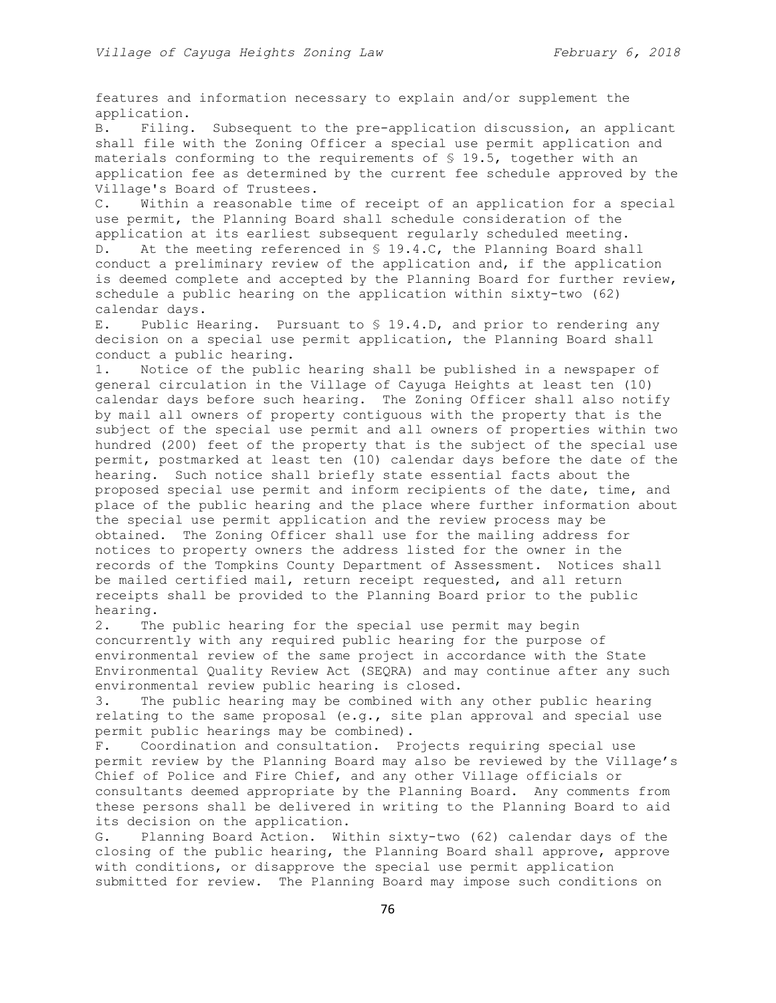features and information necessary to explain and/or supplement the application.

B. Filing. Subsequent to the pre-application discussion, an applicant shall file with the Zoning Officer a special use permit application and materials conforming to the requirements of § 19.5, together with an application fee as determined by the current fee schedule approved by the Village's Board of Trustees.

C. Within a reasonable time of receipt of an application for a special use permit, the Planning Board shall schedule consideration of the application at its earliest subsequent regularly scheduled meeting. D. At the meeting referenced in § 19.4.C, the Planning Board shall conduct a preliminary review of the application and, if the application is deemed complete and accepted by the Planning Board for further review, schedule a public hearing on the application within sixty-two (62)

calendar days.

E. Public Hearing. Pursuant to § 19.4.D, and prior to rendering any decision on a special use permit application, the Planning Board shall conduct a public hearing.

1. Notice of the public hearing shall be published in a newspaper of general circulation in the Village of Cayuga Heights at least ten (10) calendar days before such hearing. The Zoning Officer shall also notify by mail all owners of property contiguous with the property that is the subject of the special use permit and all owners of properties within two hundred (200) feet of the property that is the subject of the special use permit, postmarked at least ten (10) calendar days before the date of the hearing. Such notice shall briefly state essential facts about the proposed special use permit and inform recipients of the date, time, and place of the public hearing and the place where further information about the special use permit application and the review process may be obtained. The Zoning Officer shall use for the mailing address for notices to property owners the address listed for the owner in the records of the Tompkins County Department of Assessment. Notices shall be mailed certified mail, return receipt requested, and all return receipts shall be provided to the Planning Board prior to the public hearing.

2. The public hearing for the special use permit may begin concurrently with any required public hearing for the purpose of environmental review of the same project in accordance with the State Environmental Quality Review Act (SEQRA) and may continue after any such environmental review public hearing is closed.

3. The public hearing may be combined with any other public hearing relating to the same proposal  $(e.g., site plan approval and special use$ permit public hearings may be combined).

F. Coordination and consultation. Projects requiring special use permit review by the Planning Board may also be reviewed by the Village's Chief of Police and Fire Chief, and any other Village officials or consultants deemed appropriate by the Planning Board. Any comments from these persons shall be delivered in writing to the Planning Board to aid its decision on the application.

G. Planning Board Action. Within sixty-two (62) calendar days of the closing of the public hearing, the Planning Board shall approve, approve with conditions, or disapprove the special use permit application submitted for review. The Planning Board may impose such conditions on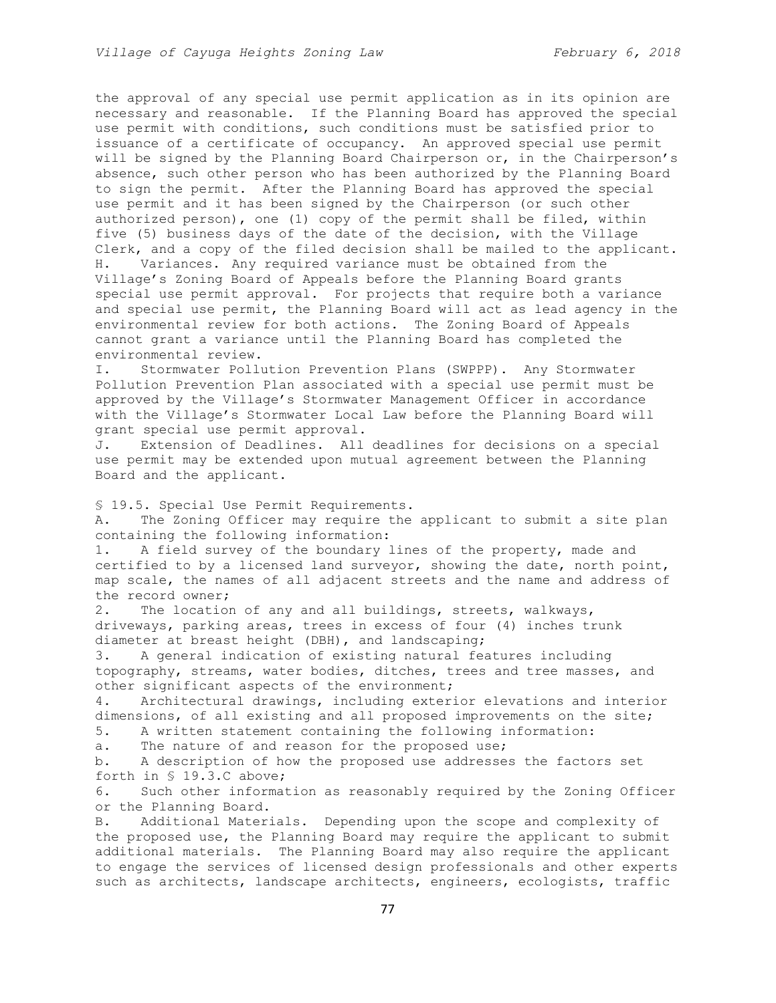the approval of any special use permit application as in its opinion are necessary and reasonable. If the Planning Board has approved the special use permit with conditions, such conditions must be satisfied prior to issuance of a certificate of occupancy. An approved special use permit will be signed by the Planning Board Chairperson or, in the Chairperson's absence, such other person who has been authorized by the Planning Board to sign the permit. After the Planning Board has approved the special use permit and it has been signed by the Chairperson (or such other authorized person), one (1) copy of the permit shall be filed, within five (5) business days of the date of the decision, with the Village Clerk, and a copy of the filed decision shall be mailed to the applicant. H. Variances. Any required variance must be obtained from the Village's Zoning Board of Appeals before the Planning Board grants special use permit approval. For projects that require both a variance and special use permit, the Planning Board will act as lead agency in the environmental review for both actions. The Zoning Board of Appeals cannot grant a variance until the Planning Board has completed the environmental review.

I. Stormwater Pollution Prevention Plans (SWPPP). Any Stormwater Pollution Prevention Plan associated with a special use permit must be approved by the Village's Stormwater Management Officer in accordance with the Village's Stormwater Local Law before the Planning Board will grant special use permit approval.

J. Extension of Deadlines. All deadlines for decisions on a special use permit may be extended upon mutual agreement between the Planning Board and the applicant.

§ 19.5. Special Use Permit Requirements.

A. The Zoning Officer may require the applicant to submit a site plan containing the following information:

1. A field survey of the boundary lines of the property, made and certified to by a licensed land surveyor, showing the date, north point, map scale, the names of all adjacent streets and the name and address of the record owner;

2. The location of any and all buildings, streets, walkways, driveways, parking areas, trees in excess of four (4) inches trunk diameter at breast height (DBH), and landscaping;

3. A general indication of existing natural features including topography, streams, water bodies, ditches, trees and tree masses, and other significant aspects of the environment;

4. Architectural drawings, including exterior elevations and interior dimensions, of all existing and all proposed improvements on the site;

5. A written statement containing the following information:

a. The nature of and reason for the proposed use;

b. A description of how the proposed use addresses the factors set forth in § 19.3.C above;

6. Such other information as reasonably required by the Zoning Officer or the Planning Board.

B. Additional Materials. Depending upon the scope and complexity of the proposed use, the Planning Board may require the applicant to submit additional materials. The Planning Board may also require the applicant to engage the services of licensed design professionals and other experts such as architects, landscape architects, engineers, ecologists, traffic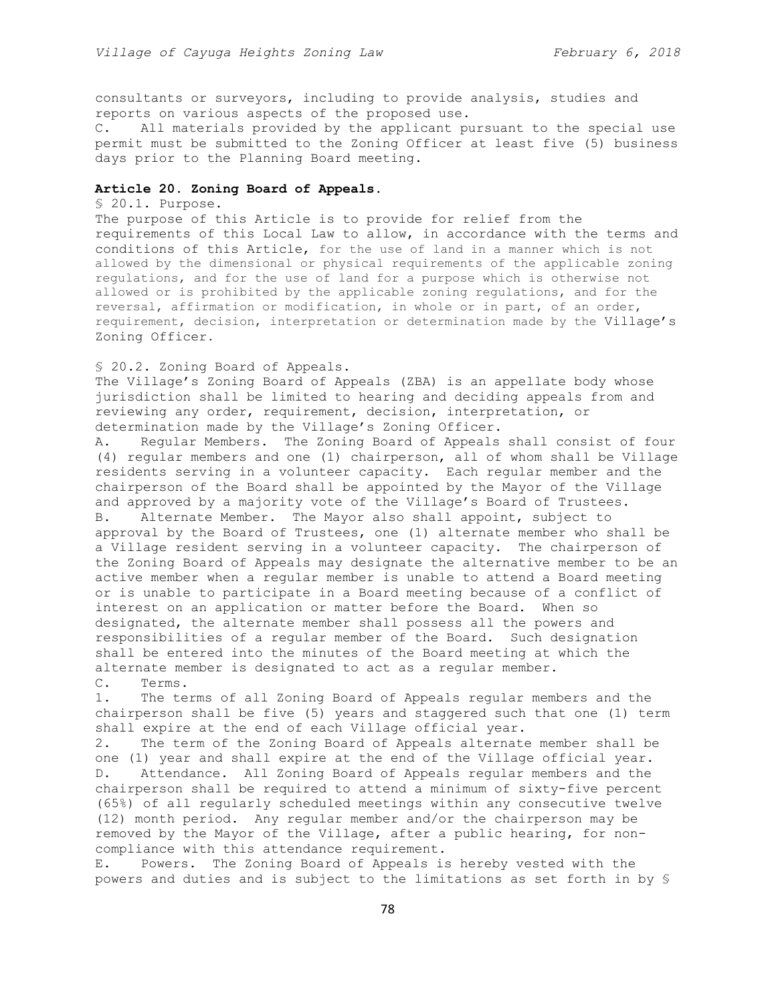consultants or surveyors, including to provide analysis, studies and reports on various aspects of the proposed use.

C. All materials provided by the applicant pursuant to the special use permit must be submitted to the Zoning Officer at least five (5) business days prior to the Planning Board meeting.

# **Article 20. Zoning Board of Appeals.**

#### § 20.1. Purpose.

The purpose of this Article is to provide for relief from the requirements of this Local Law to allow, in accordance with the terms and conditions of this Article, for the use of land in a manner which is not allowed by the dimensional or physical requirements of the applicable zoning regulations, and for the use of land for a purpose which is otherwise not allowed or is prohibited by the applicable zoning regulations, and for the reversal, affirmation or modification, in whole or in part, of an order, requirement, decision, interpretation or determination made by the Village's Zoning Officer.

### § 20.2. Zoning Board of Appeals.

The Village's Zoning Board of Appeals (ZBA) is an appellate body whose jurisdiction shall be limited to hearing and deciding appeals from and reviewing any order, requirement, decision, interpretation, or determination made by the Village's Zoning Officer.

A. Regular Members. The Zoning Board of Appeals shall consist of four (4) regular members and one (1) chairperson, all of whom shall be Village residents serving in a volunteer capacity. Each regular member and the chairperson of the Board shall be appointed by the Mayor of the Village and approved by a majority vote of the Village's Board of Trustees. B. Alternate Member. The Mayor also shall appoint, subject to approval by the Board of Trustees, one (1) alternate member who shall be a Village resident serving in a volunteer capacity. The chairperson of the Zoning Board of Appeals may designate the alternative member to be an active member when a regular member is unable to attend a Board meeting or is unable to participate in a Board meeting because of a conflict of interest on an application or matter before the Board. When so designated, the alternate member shall possess all the powers and responsibilities of a regular member of the Board. Such designation shall be entered into the minutes of the Board meeting at which the alternate member is designated to act as a regular member.

# C. Terms.

1. The terms of all Zoning Board of Appeals regular members and the chairperson shall be five (5) years and staggered such that one (1) term shall expire at the end of each Village official year.

2. The term of the Zoning Board of Appeals alternate member shall be one (1) year and shall expire at the end of the Village official year. D. Attendance. All Zoning Board of Appeals regular members and the chairperson shall be required to attend a minimum of sixty-five percent (65%) of all regularly scheduled meetings within any consecutive twelve (12) month period. Any regular member and/or the chairperson may be removed by the Mayor of the Village, after a public hearing, for noncompliance with this attendance requirement.

E. Powers. The Zoning Board of Appeals is hereby vested with the powers and duties and is subject to the limitations as set forth in by §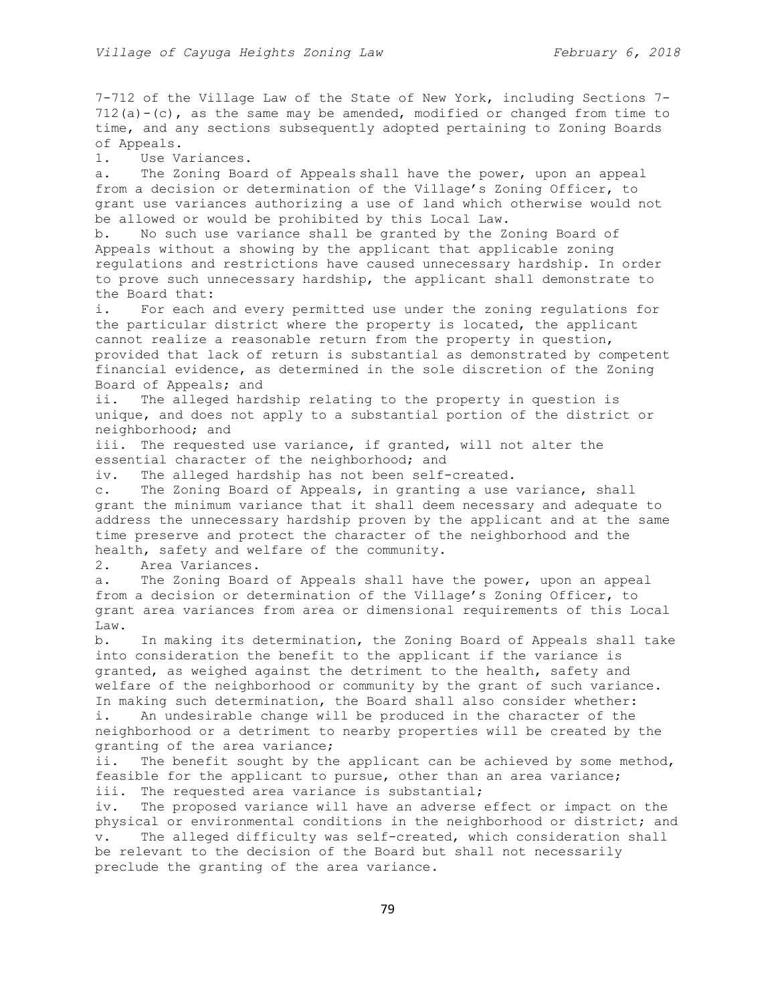7-712 of the Village Law of the State of New York, including Sections 7-  $712(a) - (c)$ , as the same may be amended, modified or changed from time to time, and any sections subsequently adopted pertaining to Zoning Boards of Appeals.

1. Use Variances.

a. The Zoning Board of Appeals shall have the power, upon an appeal from a decision or determination of the Village's Zoning Officer, to grant use variances authorizing a use of land which otherwise would not be allowed or would be prohibited by this Local Law.

b. No such use variance shall be granted by the Zoning Board of Appeals without a showing by the applicant that applicable zoning regulations and restrictions have caused unnecessary hardship. In order to prove such unnecessary hardship, the applicant shall demonstrate to the Board that:

i. For each and every permitted use under the zoning regulations for the particular district where the property is located, the applicant cannot realize a reasonable return from the property in question, provided that lack of return is substantial as demonstrated by competent financial evidence, as determined in the sole discretion of the Zoning Board of Appeals; and

ii. The alleged hardship relating to the property in question is unique, and does not apply to a substantial portion of the district or neighborhood; and

iii. The requested use variance, if granted, will not alter the essential character of the neighborhood; and

iv. The alleged hardship has not been self-created.

c. The Zoning Board of Appeals, in granting a use variance, shall grant the minimum variance that it shall deem necessary and adequate to address the unnecessary hardship proven by the applicant and at the same time preserve and protect the character of the neighborhood and the health, safety and welfare of the community.

2. Area Variances.

a. The Zoning Board of Appeals shall have the power, upon an appeal from a decision or determination of the Village's Zoning Officer, to grant area variances from area or dimensional requirements of this Local Law.

b. In making its determination, the Zoning Board of Appeals shall take into consideration the benefit to the applicant if the variance is granted, as weighed against the detriment to the health, safety and welfare of the neighborhood or community by the grant of such variance. In making such determination, the Board shall also consider whether:

i. An undesirable change will be produced in the character of the neighborhood or a detriment to nearby properties will be created by the granting of the area variance;

ii. The benefit sought by the applicant can be achieved by some method, feasible for the applicant to pursue, other than an area variance; iii. The requested area variance is substantial;

iv. The proposed variance will have an adverse effect or impact on the physical or environmental conditions in the neighborhood or district; and v. The alleged difficulty was self-created, which consideration shall be relevant to the decision of the Board but shall not necessarily preclude the granting of the area variance.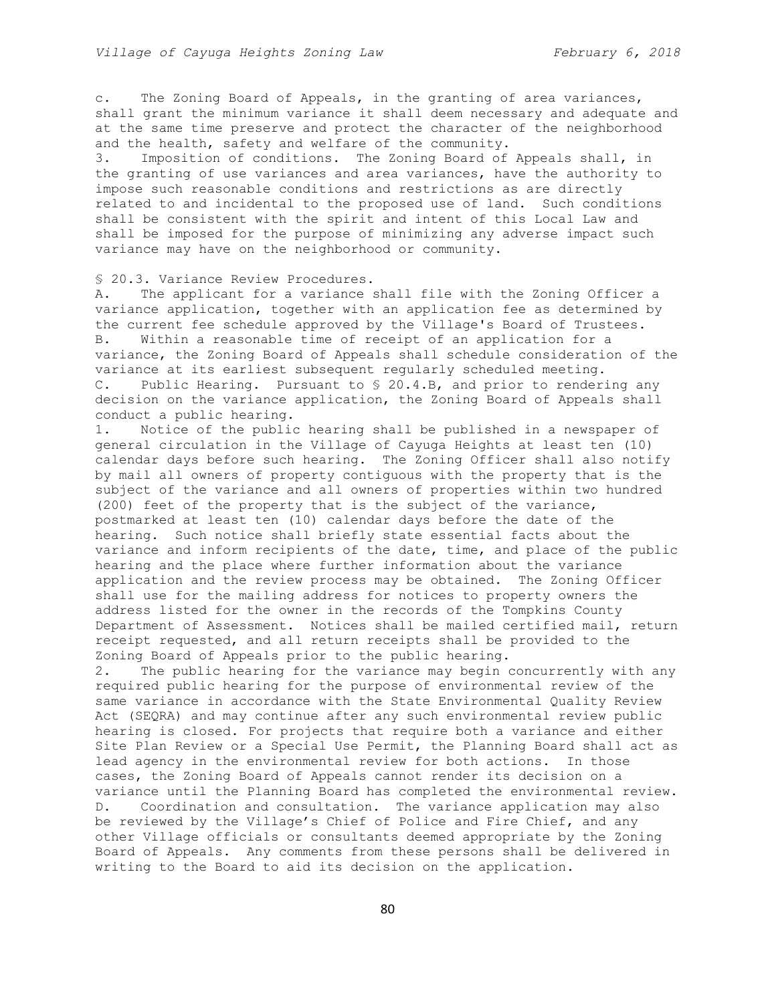c. The Zoning Board of Appeals, in the granting of area variances, shall grant the minimum variance it shall deem necessary and adequate and at the same time preserve and protect the character of the neighborhood and the health, safety and welfare of the community.

3. Imposition of conditions. The Zoning Board of Appeals shall, in the granting of use variances and area variances, have the authority to impose such reasonable conditions and restrictions as are directly related to and incidental to the proposed use of land. Such conditions shall be consistent with the spirit and intent of this Local Law and shall be imposed for the purpose of minimizing any adverse impact such variance may have on the neighborhood or community.

### § 20.3. Variance Review Procedures.

A. The applicant for a variance shall file with the Zoning Officer a variance application, together with an application fee as determined by the current fee schedule approved by the Village's Board of Trustees. B. Within a reasonable time of receipt of an application for a variance, the Zoning Board of Appeals shall schedule consideration of the variance at its earliest subsequent regularly scheduled meeting. C. Public Hearing. Pursuant to § 20.4.B, and prior to rendering any

decision on the variance application, the Zoning Board of Appeals shall conduct a public hearing.

1. Notice of the public hearing shall be published in a newspaper of general circulation in the Village of Cayuga Heights at least ten (10) calendar days before such hearing. The Zoning Officer shall also notify by mail all owners of property contiguous with the property that is the subject of the variance and all owners of properties within two hundred (200) feet of the property that is the subject of the variance, postmarked at least ten (10) calendar days before the date of the hearing. Such notice shall briefly state essential facts about the variance and inform recipients of the date, time, and place of the public hearing and the place where further information about the variance application and the review process may be obtained. The Zoning Officer shall use for the mailing address for notices to property owners the address listed for the owner in the records of the Tompkins County Department of Assessment. Notices shall be mailed certified mail, return receipt requested, and all return receipts shall be provided to the Zoning Board of Appeals prior to the public hearing.

2. The public hearing for the variance may begin concurrently with any required public hearing for the purpose of environmental review of the same variance in accordance with the State Environmental Quality Review Act (SEQRA) and may continue after any such environmental review public hearing is closed. For projects that require both a variance and either Site Plan Review or a Special Use Permit, the Planning Board shall act as lead agency in the environmental review for both actions. In those cases, the Zoning Board of Appeals cannot render its decision on a variance until the Planning Board has completed the environmental review. D. Coordination and consultation. The variance application may also be reviewed by the Village's Chief of Police and Fire Chief, and any other Village officials or consultants deemed appropriate by the Zoning Board of Appeals. Any comments from these persons shall be delivered in writing to the Board to aid its decision on the application.